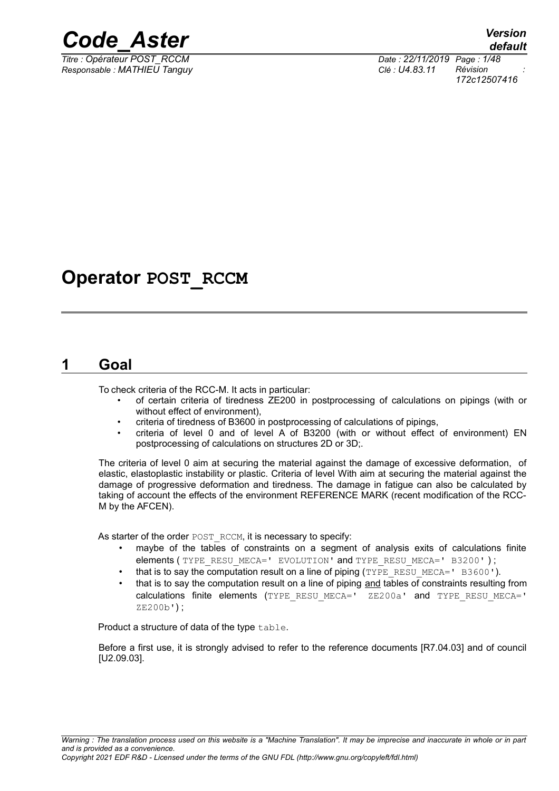

*Responsable : MATHIEU Tanguy Clé : U4.83.11 Révision :*

*Titre : Opérateur POST\_RCCM Date : 22/11/2019 Page : 1/48 172c12507416*

## **Operator POST\_RCCM**

## **1 Goal**

<span id="page-0-0"></span>To check criteria of the RCC-M. It acts in particular:

- of certain criteria of tiredness ZE200 in postprocessing of calculations on pipings (with or without effect of environment),
- criteria of tiredness of B3600 in postprocessing of calculations of pipings,
- criteria of level 0 and of level A of B3200 (with or without effect of environment) EN postprocessing of calculations on structures 2D or 3D;.

The criteria of level 0 aim at securing the material against the damage of excessive deformation, of elastic, elastoplastic instability or plastic. Criteria of level With aim at securing the material against the damage of progressive deformation and tiredness. The damage in fatigue can also be calculated by taking of account the effects of the environment REFERENCE MARK (recent modification of the RCC-M by the AFCEN).

As starter of the order POST\_RCCM, it is necessary to specify:

- maybe of the tables of constraints on a segment of analysis exits of calculations finite elements (TYPE\_RESU\_MECA=' EVOLUTION' and TYPE\_RESU\_MECA=' B3200');
- that is to say the computation result on a line of piping  $(TYPE<sub>RESU</sub>MECA=" B3600')$ .
- that is to say the computation result on a line of piping and tables of constraints resulting from calculations finite elements (TYPE\_RESU\_MECA=' ZE200a' and TYPE\_RESU\_MECA=' ZE200b') ;

Product a structure of data of the type table.

Before a first use, it is strongly advised to refer to the reference documents [R7.04.03] and of council [U2.09.03].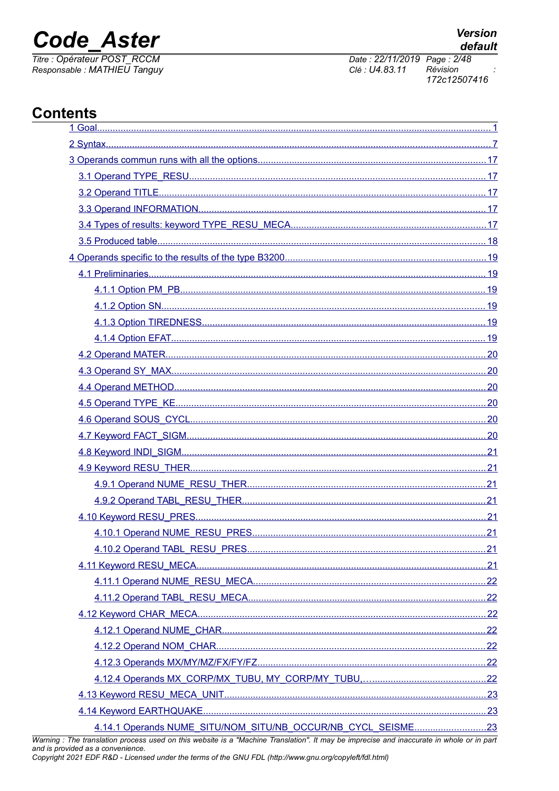# **Code Aster**

Titre : Opérateur POST\_RCCM Responsable : MATHIEU Tanguy

## **Contents**

| plotion processes used on this website is a "Mashine Translation", it may be improvise and insecurate in whole or in part |  |
|---------------------------------------------------------------------------------------------------------------------------|--|
|                                                                                                                           |  |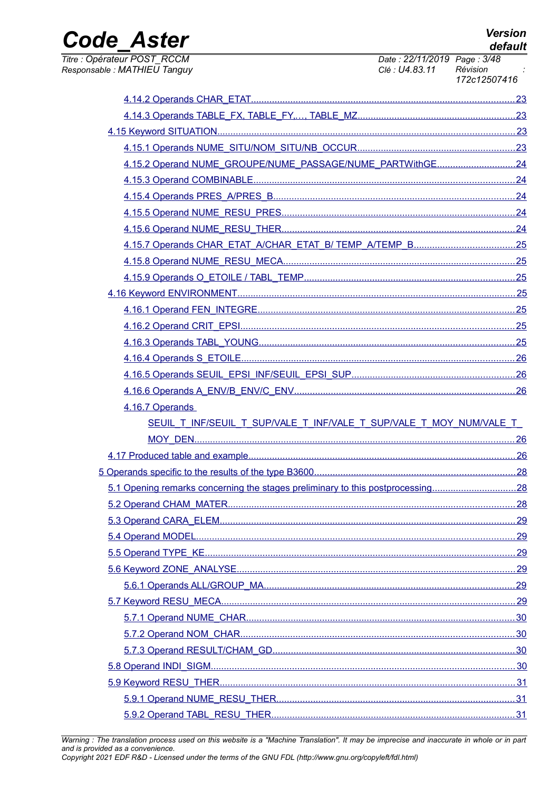**Version** default

## **Code Aster** Titre : Opérateur POST\_RCCM

Responsable : MATHIEU Tanguy

Date: 22/11/2019 Page: 3/48 Révision Clé : U4.83.11 172c12507416

| 4.15.2 Operand NUME_GROUPE/NUME_PASSAGE/NUME_PARTWithGE24                      |  |
|--------------------------------------------------------------------------------|--|
|                                                                                |  |
|                                                                                |  |
|                                                                                |  |
|                                                                                |  |
|                                                                                |  |
|                                                                                |  |
|                                                                                |  |
|                                                                                |  |
|                                                                                |  |
|                                                                                |  |
|                                                                                |  |
|                                                                                |  |
|                                                                                |  |
|                                                                                |  |
| 4.16.7 Operands                                                                |  |
| SEUIL T_INF/SEUIL T_SUP/VALE_T_INF/VALE_T_SUP/VALE_T_MOY_NUM/VALE_T_           |  |
|                                                                                |  |
|                                                                                |  |
|                                                                                |  |
| 5.1 Opening remarks concerning the stages preliminary to this postprocessing28 |  |
|                                                                                |  |
|                                                                                |  |
|                                                                                |  |
|                                                                                |  |
|                                                                                |  |
|                                                                                |  |
|                                                                                |  |
|                                                                                |  |
|                                                                                |  |
|                                                                                |  |
|                                                                                |  |
|                                                                                |  |
|                                                                                |  |
|                                                                                |  |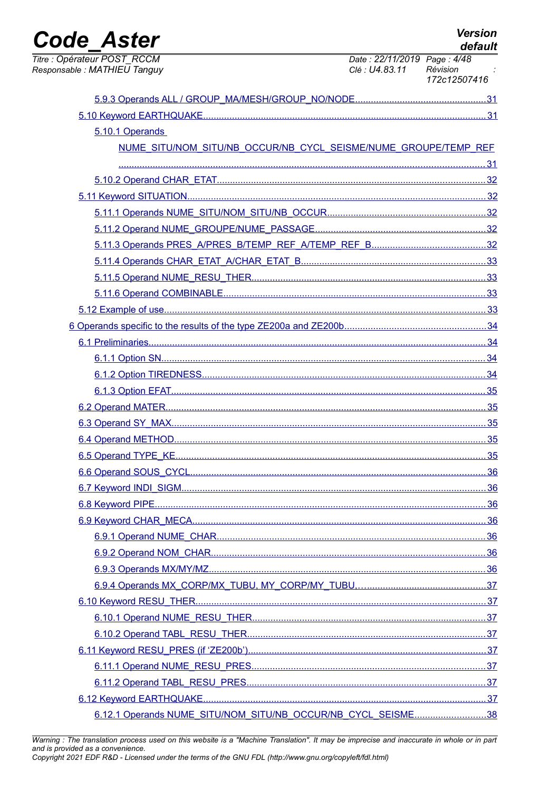| <b>Code Aster</b>                                           |                                                                 |                                               | <b>Version</b><br>default |
|-------------------------------------------------------------|-----------------------------------------------------------------|-----------------------------------------------|---------------------------|
| Titre : Opérateur POST_RCCM<br>Responsable : MATHIEU Tanguy |                                                                 | Date: 22/11/2019 Page: 4/48<br>Clé : U4.83.11 | Révision<br>172c12507416  |
|                                                             |                                                                 |                                               |                           |
|                                                             |                                                                 |                                               |                           |
|                                                             | 5.10.1 Operands                                                 |                                               |                           |
|                                                             | NUME SITU/NOM SITU/NB OCCUR/NB CYCL SEISME/NUME GROUPE/TEMP REF |                                               |                           |
|                                                             |                                                                 |                                               |                           |
|                                                             |                                                                 |                                               |                           |
|                                                             |                                                                 |                                               |                           |
|                                                             |                                                                 |                                               |                           |
|                                                             |                                                                 |                                               |                           |
|                                                             |                                                                 |                                               |                           |
|                                                             |                                                                 |                                               |                           |
|                                                             |                                                                 |                                               |                           |
|                                                             |                                                                 |                                               |                           |
|                                                             |                                                                 |                                               |                           |
|                                                             |                                                                 |                                               |                           |
|                                                             |                                                                 |                                               |                           |
|                                                             |                                                                 |                                               |                           |
|                                                             |                                                                 |                                               |                           |
|                                                             |                                                                 |                                               |                           |
|                                                             |                                                                 |                                               |                           |
|                                                             |                                                                 |                                               |                           |
|                                                             |                                                                 |                                               |                           |
|                                                             |                                                                 |                                               |                           |
|                                                             |                                                                 |                                               |                           |
|                                                             |                                                                 |                                               |                           |
|                                                             |                                                                 |                                               |                           |
|                                                             |                                                                 |                                               |                           |
|                                                             |                                                                 |                                               |                           |
|                                                             |                                                                 |                                               |                           |
|                                                             |                                                                 |                                               |                           |
|                                                             |                                                                 |                                               |                           |
|                                                             |                                                                 |                                               |                           |
|                                                             |                                                                 |                                               |                           |
|                                                             |                                                                 |                                               |                           |
|                                                             |                                                                 |                                               |                           |
|                                                             |                                                                 |                                               |                           |
|                                                             |                                                                 |                                               |                           |
|                                                             |                                                                 |                                               |                           |
|                                                             | 6.12.1 Operands NUME_SITU/NOM_SITU/NB_OCCUR/NB_CYCL_SEISME38    |                                               |                           |

Warning : The translation process used on this website is a "Machine Translation". It may be imprecise and inaccurate in whole or in part and is provided as a convenience.<br>Copyright 2021 EDF R&D - Licensed under the terms of the GNU FDL (http://www.gnu.org/copyleft/fdl.html)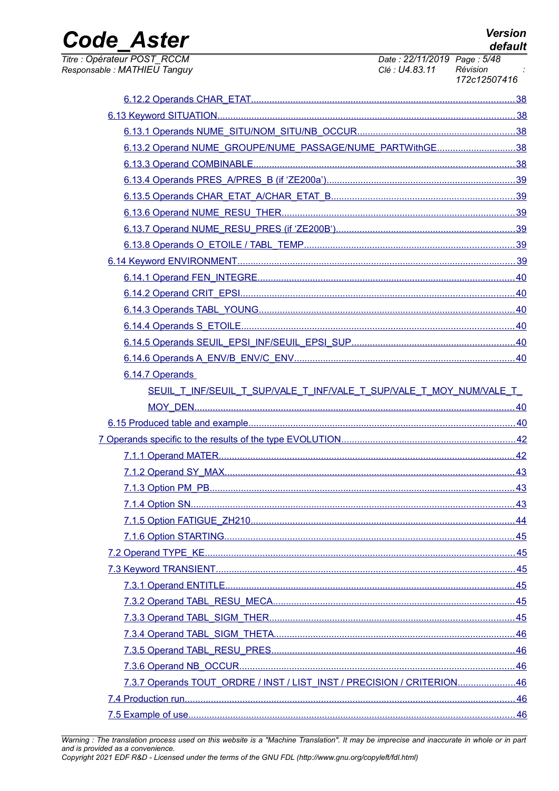**Version** default

Date: 22/11/2019 Page: 5/48

Révision

Clé : U4.83.11

## **Code Aster** Titre : Opérateur POST RCCM

Responsable: MATHIEU Tanguy

172c12507416 38 6.13.2 Operand NUME GROUPE/NUME PASSAGE/NUME PARTWithGF...... 38 .39 39 .39 .40  $.40$ .40 .40 6.14.6 Operands A ENV/B ENV/C ENV. 40 6.14.7 Operands SEUIL T INF/SEUIL T SUP/VALE T INF/VALE T SUP/VALE T MOY NUM/VALE T MOY DEN... .......40 7.1.1 Operand MATER.....  $.43$  $.43$ 7.1.4 Option SN...  $.44$  $.45$  $.45$ .. 45 7.3.7 Operands TOUT ORDRE / INST / LIST INST / PRECISION / CRITERION......................46 46  $.46$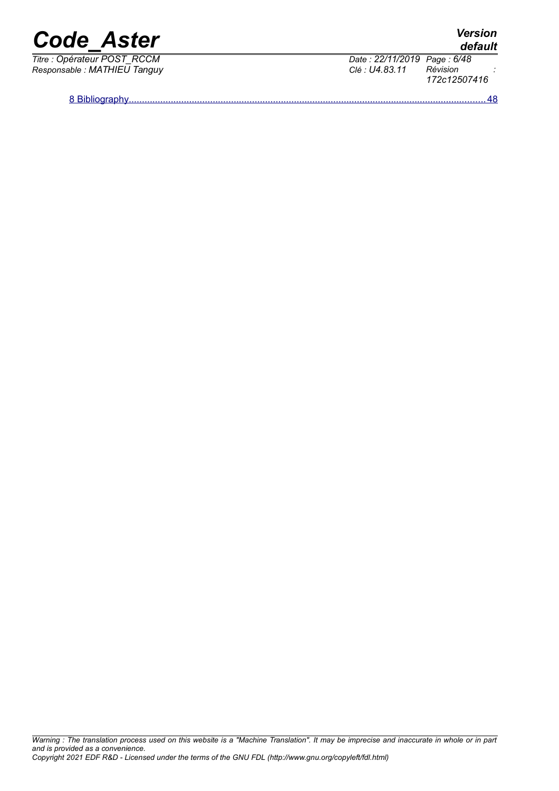| <b>Code Aster</b> | <b>Version</b><br>default |
|-------------------|---------------------------|
|                   |                           |

*Responsable : MATHIEU Tanguy Clé : U4.83.11 Révision :*

*Titre : Opérateur POST\_RCCM Date : 22/11/2019 Page : 6/48 172c12507416*

 [8 Bibliography ........................................................................................................................................48](#page-47-0)

*default*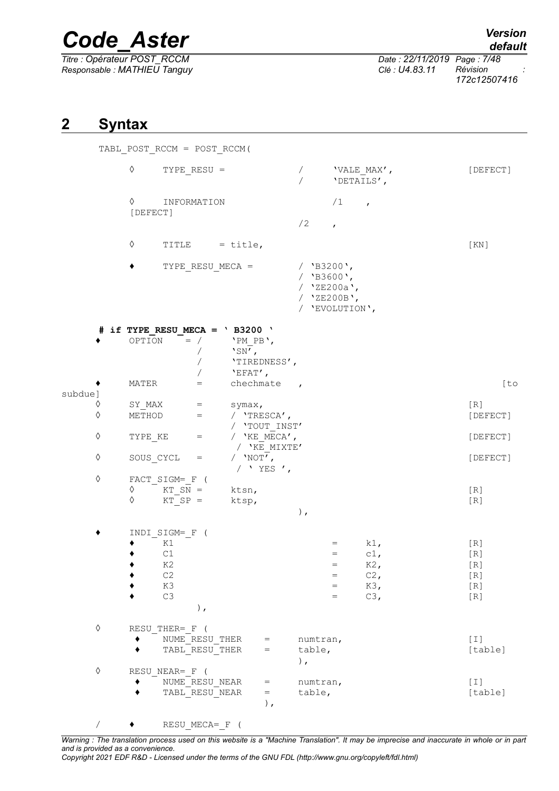*Titre : Opérateur POST\_RCCM Date : 22/11/2019 Page : 7/48 Responsable : MATHIEU Tanguy Clé : U4.83.11 Révision :*

*default*

*172c12507416*

## <span id="page-6-0"></span>**2 Syntax**

|                          |                                       | TABL POST RCCM = POST RCCM(                                   |                                                               |                                                                                        |                     |                                 |                                              |                                              |                                                |
|--------------------------|---------------------------------------|---------------------------------------------------------------|---------------------------------------------------------------|----------------------------------------------------------------------------------------|---------------------|---------------------------------|----------------------------------------------|----------------------------------------------|------------------------------------------------|
|                          | $\Diamond$                            |                                                               | $TYPE\_RESU =$                                                |                                                                                        |                     |                                 | 'DETAILS',                                   | 'VALE_MAX',                                  | [DEFECT]                                       |
|                          | $\Diamond$ and $\Diamond$<br>[DEFECT] |                                                               | INFORMATION                                                   |                                                                                        |                     | /2                              | $/1$ ,<br>$\mathbf{r}$                       |                                              |                                                |
|                          | ♦                                     |                                                               |                                                               | TITLE $=$ title,                                                                       |                     |                                 |                                              |                                              | [KN]                                           |
|                          |                                       |                                                               | $TYPE\_RESU_MECA =$                                           |                                                                                        |                     | / $'BB200'$ ,<br>/ $'BB3600'$ , | / 'ZE200a',<br>/ 'ZE200B',<br>/ 'EVOLUTION', |                                              |                                                |
|                          | OPTION                                | $=$ /                                                         | $\sqrt{2}$                                                    | # if TYPE RESU MECA = $'$ B3200 $'$<br>'PM PB',<br>'sN',<br>'TIREDNESS',<br>$'EFAT'$ , |                     |                                 |                                              |                                              |                                                |
| subdue]                  | MATER                                 |                                                               | $=$                                                           | chechmate,                                                                             |                     |                                 |                                              |                                              | [to                                            |
| $\Diamond$<br>$\Diamond$ | SY_MAX<br>METHOD                      |                                                               | $\alpha_{\rm c} = 0.000$ and $\alpha_{\rm c}$<br>$\epsilon =$ | symax,<br>/ $'$ TRESCA',                                                               |                     |                                 |                                              |                                              | [R]<br>[DEFECT]                                |
| ♦                        | TYPE KE                               | $\alpha_{\rm{max}}=0.01$                                      |                                                               | / 'TOUT_INST'<br>/ $'KE$ MECA $'$ ,                                                    |                     |                                 |                                              |                                              | [DEFECT]                                       |
| ♦                        | SOUS CYCL                             |                                                               | $=$                                                           | / 'KE MIXTE'<br>/ $'NOT'$ ,<br>/ $YES$ $\prime$ ,                                      |                     |                                 |                                              |                                              | [DEFECT]                                       |
| $\Diamond$               | ♦                                     | $FACT\_SIGM = _F$ (<br>$\Diamond$ KT SN =<br>$KT$ $SP =$      |                                                               | ktsn,<br>ktsp,                                                                         |                     | $)$ ,                           |                                              |                                              | $[R]$<br>[R]                                   |
|                          |                                       | INDI SIGM= F (<br>K1<br>C1<br>K2<br>$\mathbb{C}2$<br>K3<br>C3 | $)$ ,                                                         |                                                                                        |                     |                                 | $=$<br>$=$<br>$=$<br>$=$<br>$=$<br>$=$       | $k1$ ,<br>$c1$ ,<br>K2,<br>C2,<br>K3,<br>C3, | [R]<br>[R]<br>$[ R ]$<br>[R]<br>$[ R ]$<br>[R] |
| $\Diamond$               |                                       | RESU THER= F (                                                | NUME RESU THER<br>TABL RESU THER                              |                                                                                        | $=$<br>$=$          | numtran,<br>table,<br>$\,$ ,    |                                              |                                              | $[1]$<br>[table]                               |
| $\Diamond$               |                                       | RESU NEAR= F (                                                | NUME RESU NEAR<br>TABL RESU NEAR                              |                                                                                        | $=$<br>$=$<br>$)$ , | numtran,<br>table,              |                                              |                                              | $[1]$<br>[table]                               |

 $/$   $\qquad$  RESU MECA= F (

*Warning : The translation process used on this website is a "Machine Translation". It may be imprecise and inaccurate in whole or in part and is provided as a convenience.*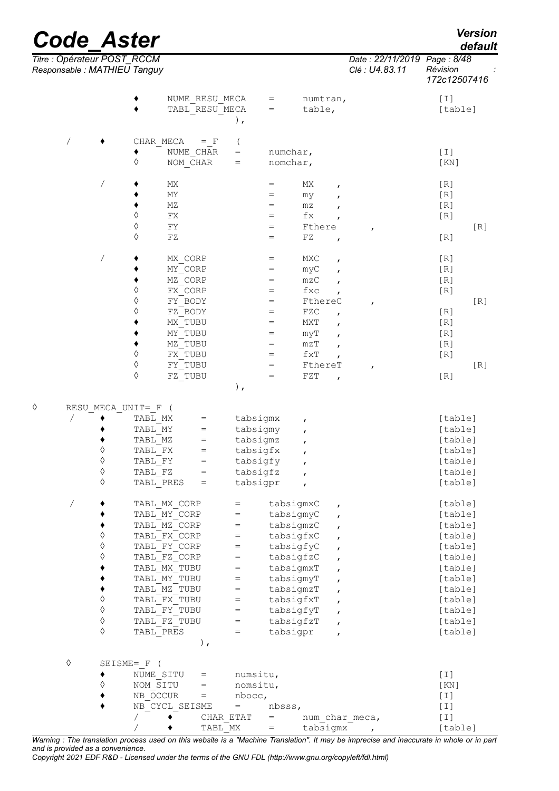|   |            |                 | Titre : Opérateur POST_RCCM<br>Responsable : MATHIEU Tanguy |                              |                                                                        |          |                        |                               |              | Date: 22/11/2019<br>Clé : U4.83.11 | Page: 8/48<br>Révision<br>172c12507416                                                                                                                                                                                                                                                        |     |
|---|------------|-----------------|-------------------------------------------------------------|------------------------------|------------------------------------------------------------------------|----------|------------------------|-------------------------------|--------------|------------------------------------|-----------------------------------------------------------------------------------------------------------------------------------------------------------------------------------------------------------------------------------------------------------------------------------------------|-----|
|   |            |                 |                                                             |                              | NUME RESU MECA                                                         |          | $=$                    | numtran,                      |              |                                    | $[1]$                                                                                                                                                                                                                                                                                         |     |
|   |            |                 |                                                             |                              | TABL RESU MECA                                                         |          | $=$                    | table,                        |              |                                    | [table]                                                                                                                                                                                                                                                                                       |     |
|   |            |                 |                                                             |                              | $\,$ ,                                                                 |          |                        |                               |              |                                    |                                                                                                                                                                                                                                                                                               |     |
|   |            |                 |                                                             | CHAR MECA                    | $=$ F<br>$\overline{ }$                                                |          |                        |                               |              |                                    |                                                                                                                                                                                                                                                                                               |     |
|   |            |                 | ٠                                                           | NUME CHAR                    | $\hspace{1.6cm} = \hspace{1.6cm}$                                      |          | numchar,               |                               |              |                                    | $[1]$                                                                                                                                                                                                                                                                                         |     |
|   |            |                 | ♦                                                           | NOM CHAR                     | $\hspace{1.6cm} = \hspace{1.6cm}$                                      |          | nomchar,               |                               |              |                                    | [KN]                                                                                                                                                                                                                                                                                          |     |
|   |            |                 |                                                             | МX                           |                                                                        |          | $=$                    | МX                            | $\pmb{r}$    |                                    | [R]                                                                                                                                                                                                                                                                                           |     |
|   |            |                 |                                                             | MΥ                           |                                                                        |          | $=$                    | my                            | $\pmb{r}$    |                                    | [R]                                                                                                                                                                                                                                                                                           |     |
|   |            |                 |                                                             | ΜZ                           |                                                                        |          | $=$                    | mz                            |              |                                    | [R]                                                                                                                                                                                                                                                                                           |     |
|   |            |                 | $\Diamond$                                                  | FX                           |                                                                        |          | $=$                    | $\operatorname{\mathsf{f}} x$ |              |                                    | [R]                                                                                                                                                                                                                                                                                           |     |
|   |            |                 | $\Diamond$<br>♦                                             | ${\rm FY}$                   |                                                                        |          | $=$                    | Fthere                        |              | ,                                  |                                                                                                                                                                                                                                                                                               | [R] |
|   |            |                 |                                                             | FZ                           |                                                                        |          | $=$                    | FZ                            | $\mathbf{r}$ |                                    | [R]                                                                                                                                                                                                                                                                                           |     |
|   |            | Τ               |                                                             | MX CORP                      |                                                                        |          | $=$                    | MXC                           | $\pmb{r}$    |                                    | [R]                                                                                                                                                                                                                                                                                           |     |
|   |            |                 |                                                             | MY CORP                      |                                                                        |          | $=$                    | myC                           | $\mathbf{r}$ |                                    | [R]                                                                                                                                                                                                                                                                                           |     |
|   |            |                 |                                                             | MZ CORP                      |                                                                        |          | $=$                    | mzC                           | $\mathbf{r}$ |                                    | [R]                                                                                                                                                                                                                                                                                           |     |
|   |            |                 | ♦                                                           | FX CORP                      |                                                                        |          | $=$                    | fxc                           | $\mathbf{r}$ |                                    | [R]                                                                                                                                                                                                                                                                                           |     |
|   |            |                 | ♦                                                           | FY BODY                      |                                                                        |          | $=$                    | FthereC                       |              | f                                  |                                                                                                                                                                                                                                                                                               | [R] |
|   |            |                 | ♦                                                           | FZ BODY                      |                                                                        |          | $=$                    | FZC                           |              |                                    | [R]                                                                                                                                                                                                                                                                                           |     |
|   |            |                 |                                                             | MX TUBU                      |                                                                        |          | $=$                    | MXT                           | $\pmb{r}$    |                                    | [R]                                                                                                                                                                                                                                                                                           |     |
|   |            |                 | ٠                                                           | MY TUBU                      |                                                                        |          | $=$                    | myT                           | $\mathbf{r}$ |                                    | [R]                                                                                                                                                                                                                                                                                           |     |
|   |            |                 | ٠                                                           | MZ TUBU                      |                                                                        |          | $=$                    | $m\,z\,T$                     | $\mathbf{r}$ |                                    | [R]                                                                                                                                                                                                                                                                                           |     |
|   |            |                 | ♦                                                           | FX TUBU                      |                                                                        |          | $=$                    | $\texttt{fxT}$                |              |                                    | [R]                                                                                                                                                                                                                                                                                           |     |
|   |            |                 | ♦                                                           | FY TUBU                      |                                                                        |          | $=$                    | FthereT                       |              | $\mathbf{r}$                       |                                                                                                                                                                                                                                                                                               | [R] |
|   |            |                 | ♦                                                           | FZ TUBU                      | $\,$ ,                                                                 |          | $=$                    | FZT                           | $\pmb{r}$    |                                    | [R]                                                                                                                                                                                                                                                                                           |     |
|   |            |                 |                                                             |                              |                                                                        |          |                        |                               |              |                                    |                                                                                                                                                                                                                                                                                               |     |
| ♦ |            |                 | RESU MECA UNIT= F                                           |                              |                                                                        |          |                        |                               |              |                                    |                                                                                                                                                                                                                                                                                               |     |
|   |            |                 | TABL MX                                                     |                              | $=$                                                                    | tabsigmx |                        | ,                             |              |                                    | [table]                                                                                                                                                                                                                                                                                       |     |
|   |            |                 | TABL MY                                                     |                              | $=$                                                                    | tabsigmy |                        |                               |              |                                    | [table]                                                                                                                                                                                                                                                                                       |     |
|   |            |                 | TABL MZ                                                     |                              | $=$                                                                    | tabsigmz |                        |                               |              |                                    | [table]                                                                                                                                                                                                                                                                                       |     |
|   |            | ♦<br>♦          | TABL FX                                                     |                              | $=$                                                                    | tabsigfx |                        |                               |              |                                    | [table]                                                                                                                                                                                                                                                                                       |     |
|   |            | ♦               | TABL FY                                                     |                              | $=$                                                                    | tabsigfy |                        | $\pmb{r}$                     |              |                                    | [table]                                                                                                                                                                                                                                                                                       |     |
|   |            | ♦               | TABL FZ                                                     |                              | $=$                                                                    | tabsigfz |                        |                               |              |                                    | [table]                                                                                                                                                                                                                                                                                       |     |
|   |            |                 |                                                             | TABL PRES                    | $=$                                                                    | tabsigpr |                        | $\mathbf{r}$                  |              |                                    | [table]                                                                                                                                                                                                                                                                                       |     |
|   | Τ          |                 |                                                             | TABL MX CORP                 | $=$                                                                    |          | tabsigmxC              |                               | $\pmb{r}$    |                                    | [table]                                                                                                                                                                                                                                                                                       |     |
|   |            |                 |                                                             | TABL MY CORP                 | $=$                                                                    |          | tabsigmyC              |                               | $\pmb{r}$    |                                    | [table]                                                                                                                                                                                                                                                                                       |     |
|   |            |                 |                                                             | TABL MZ CORP                 | $=$                                                                    |          | tabsigmzC              |                               | $\pmb{r}$    |                                    | [table]                                                                                                                                                                                                                                                                                       |     |
|   |            | $\Diamond$      |                                                             | TABL FX CORP                 | $\hspace{1.6cm} = \hspace{1.6cm}$                                      |          | tabsigfxC              |                               | $\mathbf{r}$ |                                    | [table]                                                                                                                                                                                                                                                                                       |     |
|   |            | $\Diamond$      |                                                             | TABL FY CORP                 | $=$                                                                    |          | tabsigfyC              |                               | $\pmb{r}$    |                                    | [table]                                                                                                                                                                                                                                                                                       |     |
|   |            | ♦               |                                                             | TABL FZ CORP                 | $=$                                                                    |          | tabsigfzC              |                               | $\mathbf{r}$ |                                    | [table]                                                                                                                                                                                                                                                                                       |     |
|   |            |                 |                                                             | TABL MX TUBU                 | $=$                                                                    |          | tabsigmxT              |                               | $\pmb{r}$    |                                    | [table]                                                                                                                                                                                                                                                                                       |     |
|   |            |                 |                                                             | TABL MY TUBU                 | $=$                                                                    |          | tabsigmyT              |                               | $\mathbf{r}$ |                                    | [table]                                                                                                                                                                                                                                                                                       |     |
|   |            | ٠<br>$\Diamond$ |                                                             | TABL MZ TUBU                 | $=$                                                                    |          | tabsigmzT              |                               | $\mathbf{r}$ |                                    | [table]                                                                                                                                                                                                                                                                                       |     |
|   |            | $\Diamond$      |                                                             | TABL FX TUBU                 | $=$                                                                    |          | tabsigfxT              |                               | $\mathbf{r}$ |                                    | [table]                                                                                                                                                                                                                                                                                       |     |
|   |            | $\Diamond$      |                                                             | TABL FY TUBU<br>TABL FZ TUBU | $\hspace{1.6cm} = \hspace{1.6cm}$<br>$\hspace{1.6cm} = \hspace{1.6cm}$ |          | tabsigfyT<br>tabsigfzT |                               | $\pmb{r}$    |                                    | [table]                                                                                                                                                                                                                                                                                       |     |
|   |            | ♦               |                                                             | TABL PRES                    | $=$                                                                    |          | tabsigpr               |                               | $\pmb{r}$    |                                    | [table]<br>[table]                                                                                                                                                                                                                                                                            |     |
|   |            |                 |                                                             |                              | ),                                                                     |          |                        |                               | $\pmb{r}$    |                                    |                                                                                                                                                                                                                                                                                               |     |
|   | $\Diamond$ |                 | SEISME= F (                                                 |                              |                                                                        |          |                        |                               |              |                                    |                                                                                                                                                                                                                                                                                               |     |
|   |            | ٠               | NUME SITU                                                   |                              | =                                                                      | numsitu, |                        |                               |              |                                    | $[1] % \centering \includegraphics[width=0.9\columnwidth]{figures/fig_10.pdf} \caption{The average of the number of times, and the average of the number of times, respectively. The average of the number of times, and the average of the number of times, respectively.} \label{fig:time}$ |     |
|   |            | ♦               | NOM SITU                                                    |                              | $=$                                                                    | nomsitu, |                        |                               |              |                                    | [KN]                                                                                                                                                                                                                                                                                          |     |
|   |            |                 | NB OCCUR                                                    |                              | $=$                                                                    | nbocc,   |                        |                               |              |                                    | $[1]$                                                                                                                                                                                                                                                                                         |     |
|   |            |                 |                                                             | NB CYCL SEISME               | $=$                                                                    |          | nbsss,                 |                               |              |                                    | $[1]$                                                                                                                                                                                                                                                                                         |     |
|   |            |                 |                                                             |                              | CHAR_ETAT                                                              |          | $=$                    |                               |              | num char meca,                     | $[\;1\;]$                                                                                                                                                                                                                                                                                     |     |
|   |            |                 |                                                             |                              | TABL MX                                                                |          | $=$                    | tabsigmx                      |              |                                    | [table]                                                                                                                                                                                                                                                                                       |     |

*Warning : The translation process used on this website is a "Machine Translation". It may be imprecise and inaccurate in whole or in part and is provided as a convenience.*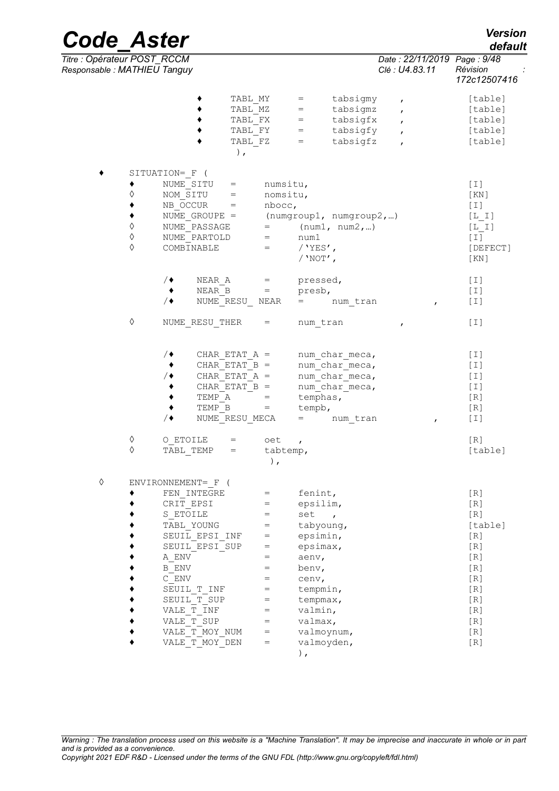*Code\_Aster Version Titre : Opérateur POST\_RCCM Date : 22/11/2019 Page : 9/48 Responsable : MATHIEU Tanguy Clé : U4.83.11 Révision :*

|   |                                                       | TABL MY<br>TABL MZ<br>TABL FX<br>TABL FY<br>TABL FZ<br>$\,$ ,                                                                                                                                                         |                                                                                              | tabsigmy<br>$=$<br>$\mathbf{r}$<br>tabsigmz<br>$=$<br>$\mathbf{r}$<br>tabsigfx<br>$=$<br>$\mathbf{r}$<br>tabsigfy<br>$=$<br>$\mathbf{r}$<br>tabsigfz<br>$=$<br>$\mathbf{r}$ | [table]<br>[table]<br>[table]<br>[table]<br>[table]                                                               |
|---|-------------------------------------------------------|-----------------------------------------------------------------------------------------------------------------------------------------------------------------------------------------------------------------------|----------------------------------------------------------------------------------------------|-----------------------------------------------------------------------------------------------------------------------------------------------------------------------------|-------------------------------------------------------------------------------------------------------------------|
|   | $\Diamond$<br>٠<br>٠<br>$\Diamond$<br>$\Diamond$<br>♦ | SITUATION= F (<br>NUME SITU<br>$=$<br>NOM SITU<br>$=$<br>NB OCCUR<br>$=$<br>NUME GROUPE $=$<br>NUME PASSAGE<br>NUME PARTOLD<br>COMBINABLE                                                                             | numsitu,<br>nomsitu,<br>nbccc,<br>$=$<br>$=$                                                 | (numgroup1, numgroup2,)<br>$=$ (num1, num2,)<br>num1<br>/ $YES'$ ,<br>/ $'NOT'$ ,                                                                                           | $[1]$<br>[KN]<br>$[1]$<br>$[L I]$<br>$[L I]$<br>$[1]$<br>[DEFECT]<br>[KN]                                         |
|   |                                                       | NEAR A<br>$\prime\bullet$<br>NEAR B<br>$\bullet$<br>$/$ $\bullet$<br>NUME RESU NEAR                                                                                                                                   | $=$<br>$\hspace{1.6cm} = \hspace{1.6cm}$                                                     | pressed,<br>presb,<br>$=$ $\sim$<br>num tran                                                                                                                                | $[1]$<br>$[1]$<br>$[1]$<br>$\mathbf{r}$                                                                           |
|   | ♦                                                     | NUME RESU THER                                                                                                                                                                                                        | $=$                                                                                          | num tran<br>$\mathbf{r}$                                                                                                                                                    | [I]                                                                                                               |
|   | ♦                                                     | CHAR ETAT $A =$<br>∕◆<br>CHAR ETAT $B =$<br>٠<br>CHAR ETAT $A =$<br>∕◆<br>CHAR ETAT $B =$<br>$\blacklozenge$<br>TEMP A<br>$\blacklozenge$<br>TEMP B<br>$/$ $\blacklozenge$<br>NUME RESU MECA<br>O ETOILE              | $=$<br>$=$<br>oet                                                                            | num char meca,<br>num char meca,<br>num char meca,<br>num char meca,<br>temphas,<br>tempb,<br>num tran<br>$=$<br>$\mathbf{r}$                                               | $[1]$<br>[I]<br>$[1]$<br>[I]<br>[R]<br>[R]<br>[T]<br>$\mathbf{r}$<br>[R]                                          |
|   | ♦                                                     | TABL TEMP<br>$=$                                                                                                                                                                                                      | tabtemp,<br>$)$ ,                                                                            |                                                                                                                                                                             | [table]                                                                                                           |
| ♦ |                                                       | ENVIRONNEMENT= F (                                                                                                                                                                                                    |                                                                                              |                                                                                                                                                                             |                                                                                                                   |
|   |                                                       | FEN INTEGRE<br>CRIT EPSI<br>S ETOILE<br>TABL YOUNG<br>SEUIL EPSI INF<br>SEUIL EPSI SUP<br>A ENV<br>$\, {\bf B} \,$ ENV<br>$\mathbb C$ ENV<br>SEUIL T INF<br>SEUIL T SUP<br>VALE T INF<br>VALE T SUP<br>VALE T MOY NUM | $=$<br>$=$<br>$=$<br>$=$<br>$=$<br>=<br>$=$<br>$=$<br>$=$<br>$=$<br>$=$<br>$=$<br>$=$<br>$=$ | fenint,<br>epsilim,<br>set<br>$\mathbf{r}$<br>tabyoung,<br>epsimin,<br>epsimax,<br>aenv,<br>benv,<br>cenv,<br>tempmin,<br>tempmax,<br>valmin,<br>valmax,<br>valmoynum,      | [R]<br>[R]<br>$[ R ]$<br>[table]<br>[R]<br>[R]<br>[R]<br>[R]<br>$[R]1$<br>[R]<br>$[ R ]$<br>[R]<br>$[ R ]$<br>[R] |
|   |                                                       | VALE T MOY DEN                                                                                                                                                                                                        | $=$                                                                                          | valmoyden,                                                                                                                                                                  | [R]                                                                                                               |

),

## *default*

*172c12507416*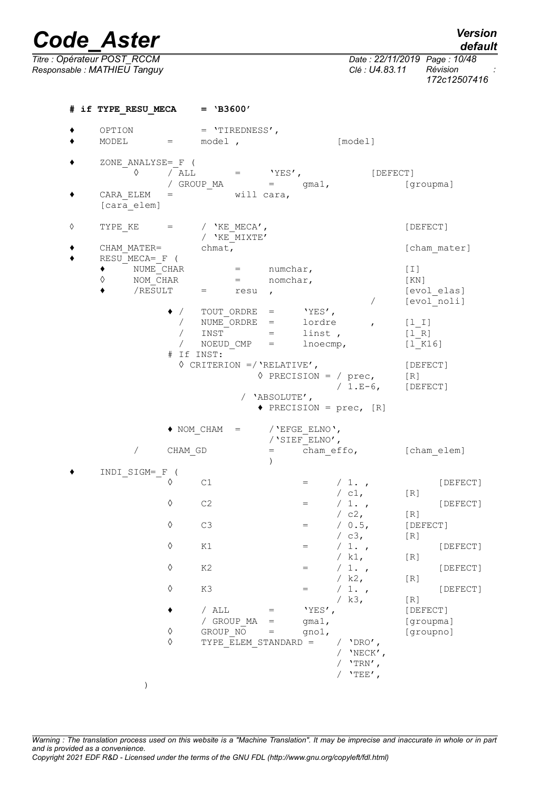*Code\_Aster Version Titre : Opérateur POST\_RCCM Date : 22/11/2019 Page : 10/48 Responsable : MATHIEU Tanguy Clé : U4.83.11 Révision : 172c12507416* **# if TYPE\_RESU\_MECA = 'B3600'** ♦ OPTION = 'TIREDNESS',  $\bullet$  MODEL = model ,  $[\text{model}]$  $\begin{array}{cc} \begin{matrix} \bullet \end{matrix} & \begin{matrix} \text{ZONE}\end{matrix} & \text{ANALYSE} = \begin{matrix} F \end{matrix} & (\begin{matrix} \bullet \end{matrix}) & \begin{matrix} \bullet \end{matrix} & \begin{matrix} \end{matrix} & \text{ALL} \end{array}$  $\Diamond$  / ALL = 'YES', [DEFECT] / GROUP\_MA = gma1, [groupma]  $\bullet$  CARA ELEM = will cara, [cara\_elem]  $\Diamond$  TYPE KE  $=$  / 'KE MECA',  $[DEFect]$ / 'KE\_MIXTE'<br>chmat, ◆ CHAM\_MATER= chmat, cham\_mater]  $\bullet$  RESU\_MECA=\_F ( ♦ NUME\_CHAR = numchar, [I]  $\Diamond$  NOM CHAR = nomchar, [KN]  $\blacklozenge$  /RESULT = resu , [evolelas] / [evol\_noli] ♦ / TOUT\_ORDRE = 'YES', / NUME<sup>\_</sup>ORDRE = lordre , [1\_I]<br>
/ INST = linst , [1\_R]  $INST$  = linst ,  $[1_R]$ <br>NOEUD CMP = lnoecmp,  $[1 K]$ / NOEUD CMP =  $\ln\left( \ln\right)$  [l\_K16] # If INST: ◊ CRITERION =/'RELATIVE', [DEFECT]  $\Diamond$  PRECISION = / prec, [R] / 1.E-6, [DEFECT] / 'ABSOLUTE', ♦ PRECISION = prec, [R]  $\triangle$  NOM CHAM = /'EFGE ELNO', /'SIEF\_ELNO', / CHAM\_GD = cham\_effo, [cham\_elem] ) ♦ INDI\_SIGM=\_F (  $\Diamond$  C1 = / 1., [DEFECT] / c1,  $[R]$ <br>/ 1.,  $\Diamond$  C2 = / 1. , [DEFECT]  $/$  c2, [R]<br>  $/$  0.5, [DE ◊ C3 = / 0.5, [DEFECT] / c3,  $[R]$ <br>/ 1.,  $\Diamond$  K1 = / 1., [DEFECT] / k1,  $[R]$ <br>/ 1.,  $\Diamond$  K2 = / 1., [DEFECT] / k2,  $[R]$ <br>/ 1.,  $\Diamond$  K3 = / 1., [DEFECT]  $\begin{array}{cc} \text{/ k3,} & \text{[R]} \\ \text{YES} \text{/} & \text{[DE]} \end{array}$  $\bullet$  / ALL = 'YES', [DEFECT] / GROUP MA = gma1, [groupma]  $\sqrt[6]{}$  GROUP\_NO = gno1, [groupno]<br>  $\sqrt[6]{}$  TYPE ELEM STANDARD = / 'DRO',  $TYPE$  ELEM STANDARD =  $\overline{V}$  'NECK',  $/$  'TRN',  $/$  'TEE',

*Warning : The translation process used on this website is a "Machine Translation". It may be imprecise and inaccurate in whole or in part and is provided as a convenience. Copyright 2021 EDF R&D - Licensed under the terms of the GNU FDL (http://www.gnu.org/copyleft/fdl.html)*

)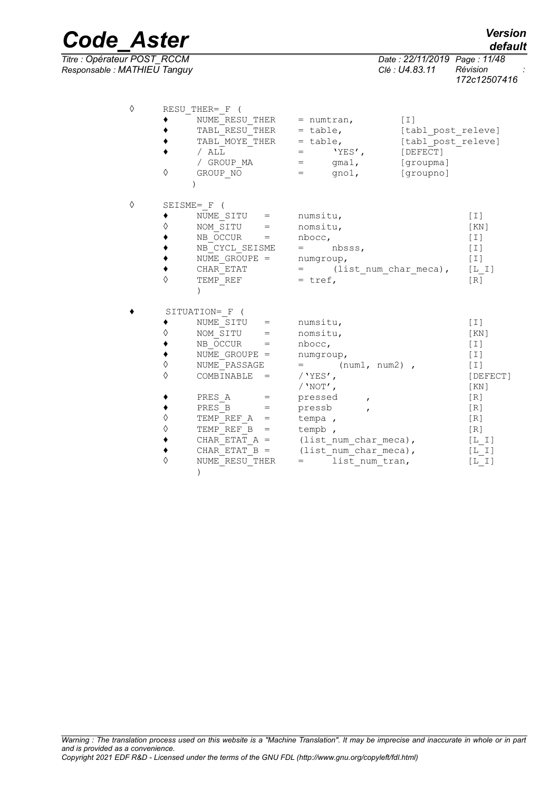| ♦ |            | RESU THER= F (              |                                       |                    |
|---|------------|-----------------------------|---------------------------------------|--------------------|
|   |            | NUME RESU THER $=$ numtran, |                                       | $[1]$              |
|   |            | TABL RESU THER = table,     |                                       | [tabl post releve] |
|   |            | TABL MOYE THER = table,     |                                       | [tabl post releve] |
|   |            | / ALL                       | $\equiv$ 1000 $\pm$<br>'YES',         | [DEFECT]           |
|   |            | / GROUP MA                  | $\gamma$ mal,<br>$=$                  | [groupma]          |
|   | ♦          | GROUP NO                    | gno $1$ ,<br>$=$ $\sim$ $\sim$        | [groupno]          |
|   |            |                             |                                       |                    |
| ♦ |            | SEISME= F (                 |                                       |                    |
|   |            | NUME SITU =                 | numsitu,                              | $[1]$              |
|   | ♦          | NOM SITU =                  | nomsitu,                              | [KN]               |
|   |            | $NB$ OCCUR $=$              | nbocc,                                | $[1]$              |
|   |            | NB CYCL SEISME              | $=$ nbsss,                            | $[1]$              |
|   |            | NUME GROUPE =               | numgroup,                             | $\lceil 1 \rceil$  |
|   |            | CHAR ETAT                   | $=$ (list num char meca),             | $[L I]$            |
|   | $\Diamond$ | TEMP REF                    | $=$ tref,                             | [R]                |
|   |            | $\lambda$                   |                                       |                    |
|   |            | SITUATION= F (              |                                       |                    |
|   |            | NUME SITU =                 | numsitu,                              | $[1]$              |
|   | ♦          | NOM SITU =                  | nomsitu,                              | [KN]               |
|   |            | NB OCCUR =                  | nbocc,                                | $[1]$              |
|   |            | NUME GROUPE =               | numgroup,                             | $[1]$              |
|   | $\Diamond$ | NUME PASSAGE                | $=$ (num1, num2),                     | $[1]$              |
|   | ♦          | COMBINABLE<br>$=$           | $/$ 'YES',                            | [DEFECT]           |
|   |            |                             | / $'$ NOT $'$ ,                       | [KN]               |
|   |            | PRES A<br>$=$               | pressed<br>$\mathbf{r}$               | [R]                |
|   |            | PRES B<br>$=$               | pressb<br>$\mathbf{r}$                | [R]                |
|   | ♦          | TEMP REF $A =$              | tempa,                                | [R]                |
|   | ♦          | TEMP REF $B =$              | tempb,                                | [R]                |
|   |            |                             | CHAR ETAT $A =$ (list num char meca), | [L I]              |
|   |            | CHAR ETAT $B =$             | (list num char meca),                 | $[L I]$            |
|   | ♦          | NUME RESU THER              | list num tran,<br>$=$ $\sim$ $\sim$   | [L I]              |

)

*default*

*Titre : Opérateur POST\_RCCM Date : 22/11/2019 Page : 11/48 Responsable : MATHIEU Tanguy Clé : U4.83.11 Révision : 172c12507416*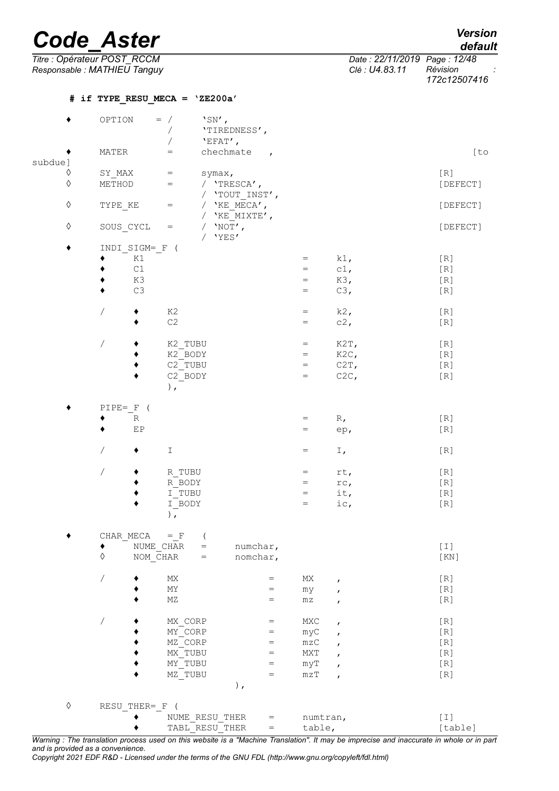| Version |
|---------|
| default |

*Date : 22/11/2019 Page : 12/48*<br>*Clé : U4.83.11 Prevision Responsable : MATHIEU Tanguy Clé : U4.83.11 Révision : 172c12507416*

|            |                          | # if TYPE RESU MECA = 'ZE200a'                     |                                             |              |          |
|------------|--------------------------|----------------------------------------------------|---------------------------------------------|--------------|----------|
|            | OPTION                   | $'SN'$ ,<br>$=$ /                                  |                                             |              |          |
|            |                          | 'TIREDNESS',<br>$\sqrt{2}$                         |                                             |              |          |
|            |                          | 'EFAT',                                            |                                             |              |          |
|            | MATER                    | chechmate<br>$\hspace{1.6cm} = \hspace{1.6cm}$     |                                             |              | [to      |
| subdue]    |                          |                                                    | $\overline{ }$                              |              |          |
| ♦          |                          |                                                    |                                             |              |          |
| $\Diamond$ | SY MAX                   | $=$<br>symax,<br>$\hspace{1.6cm} = \hspace{1.6cm}$ |                                             |              | $[ R ]$  |
|            | METHOD                   | / 'TRESCA',                                        |                                             |              | [DEFECT] |
|            |                          | / 'TOUT INST',                                     |                                             |              |          |
| $\Diamond$ | TYPE KE                  | / $'KE$ MECA',<br>$=$                              |                                             |              | [DEFECT] |
|            |                          | / $'KE$ MIXTE',                                    |                                             |              |          |
| $\Diamond$ | SOUS CYCL                | / $'NOT'$ ,<br>$\hspace{1.6cm} = \hspace{1.6cm}$   |                                             |              | [DEFECT] |
|            |                          | / $'YES'$                                          |                                             |              |          |
|            | INDI SIGM= F (           |                                                    |                                             |              |          |
|            | K1                       |                                                    | $=$                                         | $k1$ ,       | [R]      |
|            | $\mathtt{C1}$            |                                                    | $=$                                         | $c1$ ,       | [R]      |
|            | K3                       |                                                    | $=$                                         | K3,          | [R]      |
|            | C3                       |                                                    | $=$                                         | C3,          | [R]      |
|            |                          |                                                    |                                             |              |          |
|            | $\overline{\phantom{a}}$ | K2                                                 | $=$                                         | $k2$ ,       | [R]      |
|            |                          | C2                                                 | $=$                                         | c2,          | $[R]$    |
|            |                          |                                                    |                                             |              |          |
|            | $\overline{\phantom{a}}$ | K2 TUBU                                            | $=$                                         | K2T,         | $[R]1$   |
|            |                          | K2 BODY                                            | $=$                                         | $K2C$ ,      | [R]      |
|            |                          | C2 TUBU                                            | $=$                                         | C2T,         | [R]      |
|            |                          | C2 BODY                                            | $=$                                         | C2C,         | [R]      |
|            |                          | $\rightarrow$                                      |                                             |              |          |
|            |                          |                                                    |                                             |              |          |
|            | PIPE= F (                |                                                    |                                             |              |          |
|            | $\mathbb R$              |                                                    | $=$                                         | $R_{\ell}$   | $[R]1$   |
|            | EP                       |                                                    | $=$                                         | ep,          | [R]      |
|            |                          |                                                    |                                             |              |          |
|            | Γ                        | $\mathbbm{I}$                                      | $=$                                         | $I$ ,        | [R]      |
|            |                          |                                                    |                                             |              |          |
|            | $\sqrt{2}$               | R TUBU                                             | $=$                                         | rt,          | [R]      |
|            |                          | R BODY                                             | $=$                                         | rc,          | [R]      |
|            |                          | I TUBU                                             | $=$                                         | it,          | $[ R ]$  |
|            |                          | I BODY                                             | $=$                                         | ic,          | [R]      |
|            |                          | ),                                                 |                                             |              |          |
|            |                          |                                                    |                                             |              |          |
|            | CHAR MECA                | $=$ $\,$ $\rm F$                                   |                                             |              |          |
|            | ٠                        | NUME CHAR<br>numchar,<br>$=$                       |                                             |              | $[1]$    |
|            | $\Diamond$               | NOM CHAR<br>$=$                                    | nomchar,                                    |              | [KN]     |
|            |                          |                                                    |                                             |              |          |
|            |                          |                                                    |                                             |              |          |
|            | $\sqrt{2}$               | МX                                                 | МX<br>$=$                                   | ,            | [R]      |
|            |                          | ΜY                                                 | $=$<br>my                                   | ,            | $[ R ]$  |
|            |                          | $\rm MZ$                                           | $\mathtt{m}\mathtt{z}$<br>$=$               | $\pmb{r}$    | $[R]$    |
|            |                          |                                                    |                                             |              |          |
|            | $\overline{\phantom{a}}$ | MX CORP                                            | MXC<br>$=$                                  | $\pmb{r}$    | $[ R ]$  |
|            |                          | MY CORP                                            | myC<br>$=$                                  |              | [R]      |
|            |                          | MZ CORP                                            | $\mathtt{m}\mathtt{z}\mathtt{C}$<br>$=$     |              | [R]      |
|            |                          | MX TUBU                                            | ${\tt MXT}$<br>$=$                          |              | [R]      |
|            |                          | MY TUBU                                            | myT<br>$=$                                  |              | [R]      |
|            |                          | MZ TUBU                                            | mZT<br>$\hspace*{0.4em} = \hspace*{0.4em}$  | $\mathbf{r}$ | [R]      |
|            |                          | $\,$ ,                                             |                                             |              |          |
|            |                          |                                                    |                                             |              |          |
| $\Diamond$ | RESU THER= F             | $\left($                                           |                                             |              |          |
|            |                          | NUME RESU THER                                     | $=$                                         | numtran,     | $[1]$    |
|            |                          | TABL RESU THER                                     | table,<br>$\hspace{1.6cm} = \hspace{1.6cm}$ |              | [table]  |
|            |                          |                                                    |                                             |              |          |

*Warning : The translation process used on this website is a "Machine Translation". It may be imprecise and inaccurate in whole or in part and is provided as a convenience.*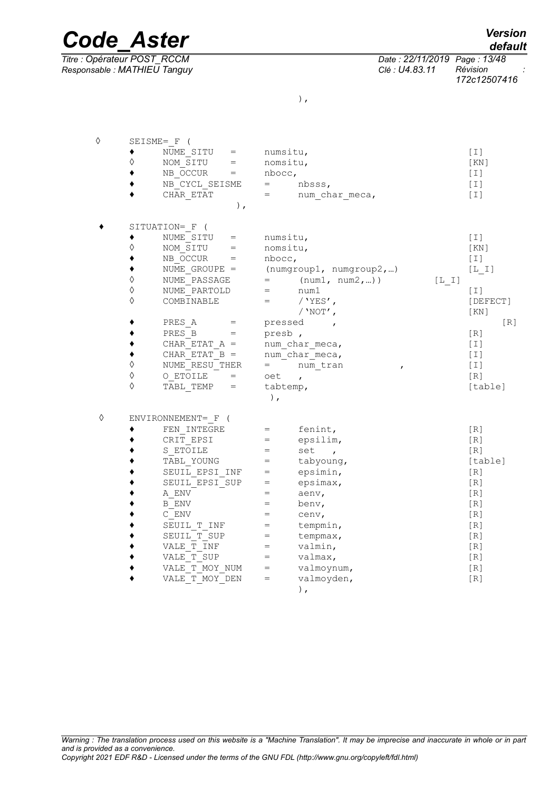*Responsable : MATHIEU Tanguy Clé : U4.83.11 Révision :*

◊ SEISME=\_F (

| ۰. |  |
|----|--|

| $)$ ,<br>SITUATION= F (<br>NUME SITU =<br>numsitu,<br>$[1]$<br>♦<br>NOM SITU =<br>nomsitu,<br>[KN]<br>$NB$ OCCUR $=$<br>nbocc,<br>[T]<br>NUME GROUPE = $(numgroup1, numgroup2, )$<br>$[L_1]$<br>$\Diamond$<br>NUME PASSAGE<br>$=$ (num1, num2,))<br>$[L \quad I]$<br>$\Diamond$<br>NUME PARTOLD<br>$=$ $num1$<br>[1]<br>♦<br>COMBINABLE<br>$=$ / 'YES',<br>[DEFECT]<br>/ $'$ NOT $'$ ,<br>KN<br>PRES A<br>[R]<br>pressed,<br>$=$<br>PRES B<br>presb,<br>[R]<br>$=$<br>CHAR ETAT $A =$<br>num char meca,<br>$[1]$<br>CHAR ETAT $B =$<br>num char meca,<br>$[1]$<br>$\Diamond$<br>NUME RESU THER<br>$=$ num tran<br>$[1]$<br>$\boldsymbol{r}$<br>♦<br>$O$ ETOILE $=$<br>$\lceil R \rceil$<br>oet<br>$\mathbf{r}$<br>♦<br>TABL TEMP =<br>tabtemp,<br>[table]<br>$\,$ ,<br>♦<br>ENVIRONNEMENT= F (<br>FEN INTEGRE<br>[R]<br>fenint,<br>$=$ $-$<br>CRIT EPSI<br>epsilim,<br>[R]<br>$=$<br>S ETOILE<br>set,<br>[R]<br>$=$<br>TABL YOUNG<br>tabyoung,<br>[table]<br>$=$<br>SEUIL EPSI INF<br>epsimin,<br>[R]<br>$=$<br>SEUIL EPSI SUP<br>epsimax,<br>[R]<br>$=$ | ◊ | NUME SITU<br>NOM SITU =<br>$NB$ OCCUR $=$<br>NB CYCL_SEISME<br>CHAR ETAT | numsitu,<br>nomsitu,<br>nbocc,<br>$=$<br>$=$ $\sim$ | nbsss,<br>num char meca, | $[1]$<br>[KN]<br>$[1]$<br>$[1]$<br>$[1]$ |  |
|----------------------------------------------------------------------------------------------------------------------------------------------------------------------------------------------------------------------------------------------------------------------------------------------------------------------------------------------------------------------------------------------------------------------------------------------------------------------------------------------------------------------------------------------------------------------------------------------------------------------------------------------------------------------------------------------------------------------------------------------------------------------------------------------------------------------------------------------------------------------------------------------------------------------------------------------------------------------------------------------------------------------------------------------------------|---|--------------------------------------------------------------------------|-----------------------------------------------------|--------------------------|------------------------------------------|--|
|                                                                                                                                                                                                                                                                                                                                                                                                                                                                                                                                                                                                                                                                                                                                                                                                                                                                                                                                                                                                                                                          |   |                                                                          |                                                     |                          |                                          |  |
|                                                                                                                                                                                                                                                                                                                                                                                                                                                                                                                                                                                                                                                                                                                                                                                                                                                                                                                                                                                                                                                          |   |                                                                          |                                                     |                          |                                          |  |
|                                                                                                                                                                                                                                                                                                                                                                                                                                                                                                                                                                                                                                                                                                                                                                                                                                                                                                                                                                                                                                                          |   |                                                                          |                                                     |                          |                                          |  |
|                                                                                                                                                                                                                                                                                                                                                                                                                                                                                                                                                                                                                                                                                                                                                                                                                                                                                                                                                                                                                                                          |   |                                                                          |                                                     |                          |                                          |  |
|                                                                                                                                                                                                                                                                                                                                                                                                                                                                                                                                                                                                                                                                                                                                                                                                                                                                                                                                                                                                                                                          |   |                                                                          |                                                     |                          |                                          |  |
|                                                                                                                                                                                                                                                                                                                                                                                                                                                                                                                                                                                                                                                                                                                                                                                                                                                                                                                                                                                                                                                          |   |                                                                          |                                                     |                          |                                          |  |
|                                                                                                                                                                                                                                                                                                                                                                                                                                                                                                                                                                                                                                                                                                                                                                                                                                                                                                                                                                                                                                                          |   |                                                                          |                                                     |                          |                                          |  |
|                                                                                                                                                                                                                                                                                                                                                                                                                                                                                                                                                                                                                                                                                                                                                                                                                                                                                                                                                                                                                                                          |   |                                                                          |                                                     |                          |                                          |  |
|                                                                                                                                                                                                                                                                                                                                                                                                                                                                                                                                                                                                                                                                                                                                                                                                                                                                                                                                                                                                                                                          |   |                                                                          |                                                     |                          |                                          |  |
|                                                                                                                                                                                                                                                                                                                                                                                                                                                                                                                                                                                                                                                                                                                                                                                                                                                                                                                                                                                                                                                          |   |                                                                          |                                                     |                          |                                          |  |
|                                                                                                                                                                                                                                                                                                                                                                                                                                                                                                                                                                                                                                                                                                                                                                                                                                                                                                                                                                                                                                                          |   |                                                                          |                                                     |                          |                                          |  |
|                                                                                                                                                                                                                                                                                                                                                                                                                                                                                                                                                                                                                                                                                                                                                                                                                                                                                                                                                                                                                                                          |   |                                                                          |                                                     |                          |                                          |  |
|                                                                                                                                                                                                                                                                                                                                                                                                                                                                                                                                                                                                                                                                                                                                                                                                                                                                                                                                                                                                                                                          |   |                                                                          |                                                     |                          |                                          |  |
|                                                                                                                                                                                                                                                                                                                                                                                                                                                                                                                                                                                                                                                                                                                                                                                                                                                                                                                                                                                                                                                          |   |                                                                          |                                                     |                          |                                          |  |
|                                                                                                                                                                                                                                                                                                                                                                                                                                                                                                                                                                                                                                                                                                                                                                                                                                                                                                                                                                                                                                                          |   |                                                                          |                                                     |                          |                                          |  |
|                                                                                                                                                                                                                                                                                                                                                                                                                                                                                                                                                                                                                                                                                                                                                                                                                                                                                                                                                                                                                                                          |   |                                                                          |                                                     |                          |                                          |  |
|                                                                                                                                                                                                                                                                                                                                                                                                                                                                                                                                                                                                                                                                                                                                                                                                                                                                                                                                                                                                                                                          |   |                                                                          |                                                     |                          |                                          |  |
|                                                                                                                                                                                                                                                                                                                                                                                                                                                                                                                                                                                                                                                                                                                                                                                                                                                                                                                                                                                                                                                          |   |                                                                          |                                                     |                          |                                          |  |
|                                                                                                                                                                                                                                                                                                                                                                                                                                                                                                                                                                                                                                                                                                                                                                                                                                                                                                                                                                                                                                                          |   |                                                                          |                                                     |                          |                                          |  |
|                                                                                                                                                                                                                                                                                                                                                                                                                                                                                                                                                                                                                                                                                                                                                                                                                                                                                                                                                                                                                                                          |   |                                                                          |                                                     |                          |                                          |  |
|                                                                                                                                                                                                                                                                                                                                                                                                                                                                                                                                                                                                                                                                                                                                                                                                                                                                                                                                                                                                                                                          |   |                                                                          |                                                     |                          |                                          |  |
|                                                                                                                                                                                                                                                                                                                                                                                                                                                                                                                                                                                                                                                                                                                                                                                                                                                                                                                                                                                                                                                          |   |                                                                          |                                                     |                          |                                          |  |
|                                                                                                                                                                                                                                                                                                                                                                                                                                                                                                                                                                                                                                                                                                                                                                                                                                                                                                                                                                                                                                                          |   |                                                                          |                                                     |                          |                                          |  |
|                                                                                                                                                                                                                                                                                                                                                                                                                                                                                                                                                                                                                                                                                                                                                                                                                                                                                                                                                                                                                                                          |   |                                                                          |                                                     |                          |                                          |  |
|                                                                                                                                                                                                                                                                                                                                                                                                                                                                                                                                                                                                                                                                                                                                                                                                                                                                                                                                                                                                                                                          |   |                                                                          |                                                     |                          |                                          |  |

 $\bullet$  A\_ENV = aenv, [R]  $\bullet$  B ENV = benv, [R]  $\bullet$  C\_ENV = cenv, [R] ◆ SEUIL\_T\_INF = tempmin,<br>◆ SEUIL\_T\_SUP = tempmax, [R] ◆ SEUIL\_T\_SUP = tempmax, [R]<br>◆ VALE\_T\_INF = valmin, [R]  $\begin{array}{cccc} \bullet \quad & \text{VALE} \begin{array}{ccc} \overline{\text{T}} \ \text{INF} \end{array} & = & \text{valmin,} \ \bullet \quad & \text{VALE} \begin{array}{ccc} \overline{\text{T}} \ \text{SUP} \end{array} & = & \text{valmax,} \ \end{array} \tag{R}$  $VALE^T$  SUP = valmax,  $[R]$ 

 $\begin{array}{lllll} \bullet & & \text{VALE}^- \text{T}^- \text{MOY} \text{ NUM} & = & \text{valmoynum,} \ \bullet & & \text{VALE}^- \text{T}^- \text{MOY} \text{ DEN} & = & \text{valmoyden,} \end{array} \tag{R}$  $\bullet$  VALE T MOY DEN = valmoyden,  $[R]$ ),

*and is provided as a convenience.*

*Titre : Opérateur POST\_RCCM Date : 22/11/2019 Page : 13/48 172c12507416*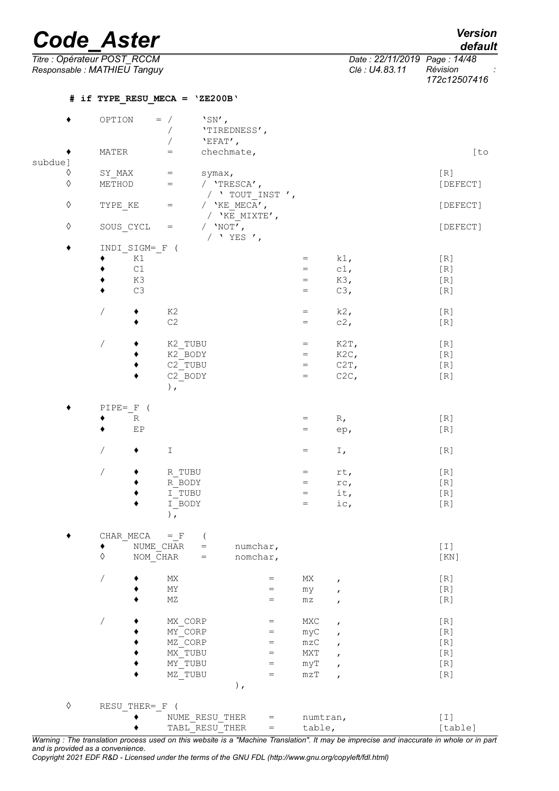# *Code Aster*

| Version |  |
|---------|--|
| default |  |

*Titre : Opérateur POST\_RCCM Date : 22/11/2019 Page : 14/48 Responsable : MATHIEU Tanguy Clé : U4.83.11 Révision : 172c12507416*

|            |                          | # if TYPE RESU MECA = $YZE200B'$                      |                                                                 |              |          |
|------------|--------------------------|-------------------------------------------------------|-----------------------------------------------------------------|--------------|----------|
|            | OPTION                   | $\text{``SN'}$ ,<br>$=$ /                             |                                                                 |              |          |
|            |                          | 'TIREDNESS',<br>$\sqrt{2}$                            |                                                                 |              |          |
|            |                          | $'EFAT'$ ,                                            |                                                                 |              |          |
|            | MATER                    | chechmate,<br>$=$                                     |                                                                 |              | [to      |
| subdue]    |                          |                                                       |                                                                 |              |          |
| $\Diamond$ | SY MAX                   | $=$<br>symax,                                         |                                                                 |              | [R]      |
| $\Diamond$ | METHOD                   | $=$<br>/ 'TRESCA',                                    |                                                                 |              | [DEFECT] |
|            |                          | / $'$ TOUT INST $',$                                  |                                                                 |              |          |
| $\Diamond$ | TYPE KE                  | / $'KE$ MECA',<br>$=$                                 |                                                                 |              | [DEFECT] |
|            |                          | / $'$ KE MIXTE',                                      |                                                                 |              |          |
| $\Diamond$ | SOUS CYCL                | / $'NOT'$ ,<br>$=$                                    |                                                                 |              | [DEFECT] |
|            |                          | / $YES$ $',$                                          |                                                                 |              |          |
|            | INDI SIGM= F (           |                                                       |                                                                 |              |          |
|            | K1                       |                                                       | $=$                                                             | $k1$ ,       | [R]      |
|            | $\mathtt{C1}$            |                                                       | $=$                                                             | $c1$ ,       | $[ R ]$  |
|            | K3                       |                                                       | $=$                                                             | K3,          | $[ R ]$  |
|            | $C3$                     |                                                       | $=$                                                             | C3,          | $[R]1$   |
|            |                          |                                                       |                                                                 |              |          |
|            | $\overline{1}$           | K2                                                    | $=$                                                             | $k2$ ,       |          |
|            |                          | $\mathbb{C}2$                                         | $=$                                                             | $c2$ ,       | [R]      |
|            |                          |                                                       |                                                                 |              | [R]      |
|            |                          |                                                       |                                                                 |              |          |
|            | $\sqrt{ }$               | K2 TUBU                                               | $=$                                                             | K2T,         | $[ R ]$  |
|            |                          | K2 BODY                                               | $=$                                                             | $K2C$ ,      | $[ R ]$  |
|            |                          | C2 TUBU                                               | $=$                                                             | $C2T$ ,      | $[R]$    |
|            |                          | C <sub>2</sub> BODY                                   | $=$                                                             | C2C,         | $[R]1$   |
|            |                          | ),                                                    |                                                                 |              |          |
|            |                          |                                                       |                                                                 |              |          |
|            | $PIPE = F$ (             |                                                       |                                                                 |              |          |
|            | $\mathbb R$              |                                                       | $=$                                                             | $R_{\ell}$   | [R]      |
|            | EP                       |                                                       | $\hspace{1.6cm} = \hspace{1.6cm}$                               | ep,          | $[R]1$   |
|            |                          |                                                       |                                                                 |              |          |
|            | Γ                        | Ι                                                     | $=$                                                             | I,           | [R]      |
|            |                          |                                                       |                                                                 |              |          |
|            | $\overline{\phantom{a}}$ | R TUBU                                                | $=$                                                             | rt,          | [R]      |
|            |                          | R BODY                                                | $=$                                                             | rc,          | $[R]1$   |
|            |                          | I TUBU                                                | $=$                                                             | it,          | [R]      |
|            |                          | I BODY                                                | $=$                                                             | ic,          | [R]      |
|            |                          | ),                                                    |                                                                 |              |          |
|            |                          |                                                       |                                                                 |              |          |
|            | CHAR MECA                | $=$ F                                                 |                                                                 |              |          |
|            |                          | NUME CHAR<br>numchar,<br>$=$                          |                                                                 |              | $[1]$    |
|            | $\Diamond$               | $NOM$ <sup><math>CHAR</math></sup><br>nomchar,<br>$=$ |                                                                 |              | [KN]     |
|            |                          |                                                       |                                                                 |              |          |
|            | $\overline{\phantom{a}}$ | MX                                                    | $\mathop{\rm MX}\nolimits$<br>$\hspace{1.6cm} = \hspace{1.6cm}$ |              | $[ R ]$  |
|            |                          | ΜY                                                    | =                                                               | $\mathbf{r}$ | $[ R ]$  |
|            |                          | $\rm MZ$                                              | my<br>$=$                                                       | $\mathbf{r}$ | $[ R ]$  |
|            |                          |                                                       | $\mathtt{m}\mathtt{z}$                                          | $\pmb{r}$    |          |
|            | $\sqrt{2}$               |                                                       |                                                                 |              |          |
|            |                          | MX CORP                                               | MXC<br>$=$                                                      | $\pmb{r}$    | $[R]1$   |
|            |                          | MY CORP                                               | myC<br>$=$                                                      | $\mathbf{r}$ | [R]      |
|            |                          | MZ CORP                                               | $\mathtt{mzC}$<br>$=$                                           | $\pmb{r}$    | $[ R ]$  |
|            |                          | MX TUBU                                               | MXT<br>$=$                                                      | $\pmb{r}$    | $[ R ]$  |
|            |                          | MY TUBU                                               | $=$<br>myT                                                      |              | [R]      |
|            |                          | MZ TUBU                                               | $\hspace{1.6cm} = \hspace{1.6cm}$<br>$m\,z\,T$                  | $\mathbf{r}$ | [R]      |
|            |                          | $\,$ ,                                                |                                                                 |              |          |
|            |                          |                                                       |                                                                 |              |          |
| $\Diamond$ | RESU THER= F             | $\overline{ }$                                        |                                                                 |              |          |
|            |                          | NUME RESU THER                                        | numtran,<br>$=$                                                 |              | $[1]$    |
|            |                          | TABL RESU THER                                        | table,<br>$=$                                                   |              | [table]  |

*Warning : The translation process used on this website is a "Machine Translation". It may be imprecise and inaccurate in whole or in part and is provided as a convenience.*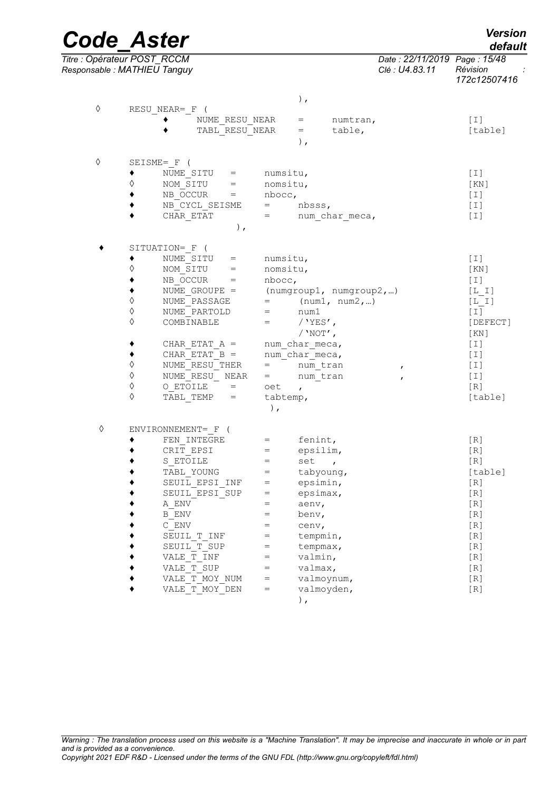| <b>Code Aster</b>                                           |                |                |                |          |           |                |                                    | <b>Version</b><br>default               |
|-------------------------------------------------------------|----------------|----------------|----------------|----------|-----------|----------------|------------------------------------|-----------------------------------------|
| Titre : Opérateur POST RCCM<br>Responsable : MATHIEU Tanguy |                |                |                |          |           |                | Date: 22/11/2019<br>Clé : U4.83.11 | Page: 15/48<br>Révision<br>172c12507416 |
| ♦                                                           | RESU NEAR= F ( |                |                |          | $\lambda$ |                |                                    |                                         |
|                                                             |                |                | NUME RESU NEAR |          | $=$       | numtran,       |                                    | [I]                                     |
|                                                             |                |                | TABL RESU NEAR |          | $=$       | table,         |                                    | [table]                                 |
|                                                             |                |                |                |          | λ,        |                |                                    |                                         |
| ♦                                                           | SEISME= F      |                |                |          |           |                |                                    |                                         |
|                                                             |                | NUME SITU      |                | numsitu, |           |                |                                    | $\lceil 1 \rceil$                       |
|                                                             | ♦              | NOM SITU       | $=$            | nomsitu, |           |                |                                    | $\lceil KN \rceil$                      |
|                                                             |                | NB OCCUR       | $=$            | nbocc,   |           |                |                                    | $[1]$                                   |
|                                                             |                | NB CYCL SEISME |                | $=$      | nbsss,    |                |                                    | $[1]$                                   |
|                                                             |                | CHAR ETAT      |                | $=$      |           | num char meca, |                                    | [I]                                     |
|                                                             |                |                | $^{\prime}$    |          |           |                |                                    |                                         |

|   |            | SITUATION= F (     |          |                          |          |
|---|------------|--------------------|----------|--------------------------|----------|
|   |            | NUME SITU<br>$=$   | numsitu, |                          | $[1]$    |
|   | ♦          | NOM SITU<br>$=$    | nomsitu, |                          | [KN]     |
|   |            | NB OCCUR<br>$=$    | nbocc,   |                          | $[1]$    |
|   |            | NUME GROUPE =      |          | (numgroup1, numgroup2, ) | $[L I]$  |
|   | $\Diamond$ | NUME PASSAGE       |          | (num1, num2, )           | $[L I]$  |
|   | $\Diamond$ | NUME PARTOLD       | $=$      | num1                     | $[1]$    |
|   | ♦          | COMBINABLE         | $=$      | / $YES'$ ,               | [DEFECT] |
|   |            |                    |          | / $'NOT'$ ,              | KN       |
|   |            | CHAR ETAT $A =$    |          | num char meca,           | $[1]$    |
|   |            | CHAR ETAT $B =$    |          | num char meca,           | $[1]$    |
|   | $\Diamond$ | NUME RESU THER     | $=$      | num tran<br>$\mathbf{r}$ | [T]      |
|   | $\Diamond$ | NUME RESU NEAR     | $=$      | num tran<br>$\mathbf{r}$ | $[1]$    |
|   | $\Diamond$ | $O$ ETOILE $=$     | oet      | $\mathbf{r}$             | $[R]1$   |
|   | ♦          | TABL TEMP<br>$=$   | tabtemp, |                          | [table]  |
|   |            |                    | ),       |                          |          |
| ♦ |            | ENVIRONNEMENT= F ( |          |                          |          |
|   |            | FEN INTEGRE        | $=$      | fenint,                  | $[ R ]$  |
|   |            | CRIT EPSI          | $=$      | epsilim,                 | $[R]1$   |
|   |            | S ETOILE           | $=$      | set<br>$\overline{ }$    | [R]      |
|   |            | TABL YOUNG         | $=$      | tabyoung,                | [table]  |
|   |            | SEUIL EPSI INF     | $=$      | epsimin,                 | [R]      |
|   |            | SEUIL EPSI SUP     | $=$      | epsimax,                 | [R]      |
|   |            | A ENV              | $=$      | aenv,                    | [R]      |
|   |            | B ENV              | $=$      | benv,                    | [R]      |
|   |            | C ENV              | $=$      | cenv,                    | [R]      |
|   |            | SEUIL T INF        | $=$      | tempmin,                 | [R]      |
|   |            | SEUIL T SUP        | $=$      | tempmax,                 | [R]      |
|   |            | VALE T INF         | $=$      | valmin,                  | [R]      |
|   |            | VALE T SUP         | $=$      | valmax,                  | $[R]1$   |
|   |            | VALE T MOY NUM     | $=$      | valmoynum,               | [R]      |
|   |            | VALE T MOY DEN     | $=$      | valmoyden,               | [R]      |
|   |            |                    |          | ),                       |          |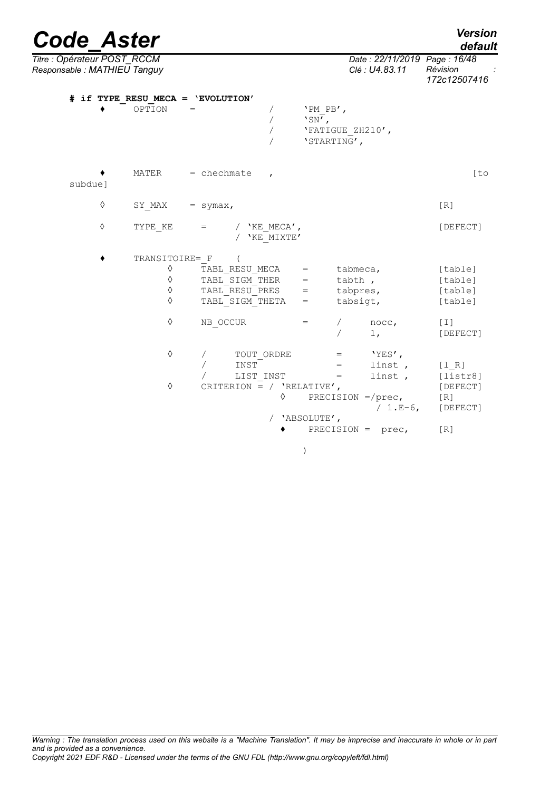| <b>Code Aster</b>                                          |   |                                                  |                                                                                   |                               |                                     |                                                                         | <b>Version</b><br>default                             |
|------------------------------------------------------------|---|--------------------------------------------------|-----------------------------------------------------------------------------------|-------------------------------|-------------------------------------|-------------------------------------------------------------------------|-------------------------------------------------------|
| Titre : Opérateur POST RCCM<br>Responsable: MATHIEU Tanguy |   |                                                  |                                                                                   |                               |                                     | Date: 22/11/2019 Page: 16/48<br>Clé : U4.83.11                          | Révision<br>172c12507416                              |
|                                                            |   | OPTION                                           | # if TYPE RESU MECA = 'EVOLUTION'<br>$=$                                          | Τ<br>$\overline{\phantom{a}}$ | 'PM PB',<br>$'SN'$ ,<br>'STARTING', | 'FATIGUE ZH210',                                                        |                                                       |
| subdue]                                                    |   | MATER                                            | $=$ chechmate                                                                     | $\mathbf{r}$                  |                                     |                                                                         | [t]                                                   |
|                                                            | ♦ | SY MAX                                           | $=$ symax,                                                                        |                               |                                     |                                                                         | [R]                                                   |
|                                                            | ♦ | TYPE KE                                          | $=$                                                                               | / $'KE$ MECA',<br>'KE MIXTE'  |                                     |                                                                         | [DEFECT]                                              |
|                                                            |   | TRANSITOIRE= F<br>♦<br>$\Diamond$<br>♦<br>♦<br>♦ | TABL RESU MECA<br>TABL SIGM THER<br>TABL RESU PRES<br>TABL SIGM THETA<br>NB OCCUR |                               | $=$<br>$=$<br>$=$<br>$=$<br>$=$     | tabmeca,<br>tabth,<br>tabpres,<br>tabsigt,<br>nocc,                     | [table]<br>[table]<br>[table]<br>[table]<br>$[1]$     |
|                                                            |   | ♦<br>♦                                           | TOUT ORDRE<br>INST<br>LIST INST<br>CRITERION = / $'RELATIVE',$                    | ♦                             | $=$<br>$=$<br>$=$                   | 1 <sub>1</sub><br>$'YES'$ ,<br>linst,<br>linst,<br>PRECISION $=$ /prec, | [DEFECT]<br>[1 R]<br>[liststr8]<br>[DEFECT]<br>$[R]1$ |
|                                                            |   |                                                  |                                                                                   |                               | 'ABSOLUTE',                         | / $1.E-6$ ,<br>PRECISION = $prec,$                                      | [DEFECT]<br>[R]                                       |

)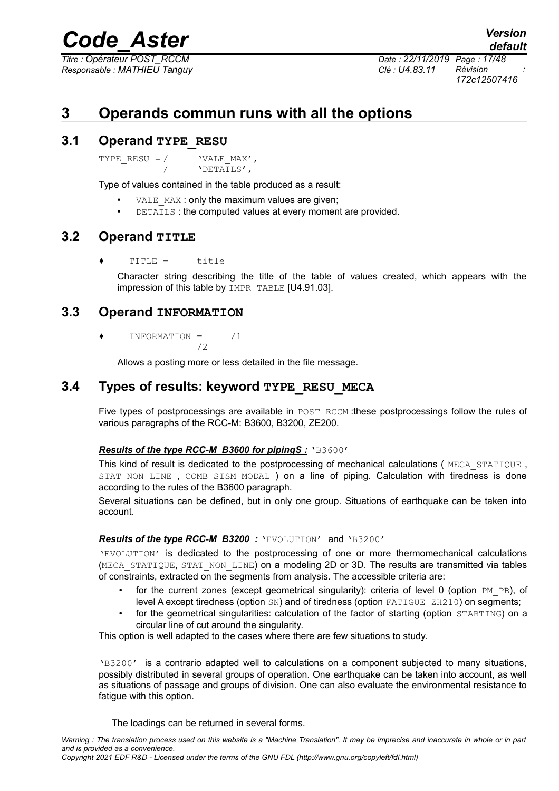*Responsable : MATHIEU Tanguy Clé : U4.83.11 Révision :*

*Titre : Opérateur POST\_RCCM Date : 22/11/2019 Page : 17/48 172c12507416*

## <span id="page-16-4"></span>**3 Operands commun runs with all the options**

## **3.1 Operand TYPE\_RESU**

<span id="page-16-3"></span>TYPE RESU =  $/$  'VALE MAX', / 'DETAILS',

Type of values contained in the table produced as a result:

- VALE MAX : only the maximum values are given;
- DETAILS : the computed values at every moment are provided.

## **3.2 Operand TITLE**

<span id="page-16-2"></span>TITLE = title

Character string describing the title of the table of values created, which appears with the impression of this table by IMPR\_TABLE [U4.91.03].

## **3.3 Operand INFORMATION**

<span id="page-16-1"></span>♦ INFORMATION = /1 /2

Allows a posting more or less detailed in the file message.

## **3.4 Types of results: keyword TYPE\_RESU\_MECA**

<span id="page-16-0"></span>Five types of postprocessings are available in POST\_RCCM :these postprocessings follow the rules of various paragraphs of the RCC-M: B3600, B3200, ZE200.

### *Results of the type RCC-M B3600 for pipingS :* 'B3600'

This kind of result is dedicated to the postprocessing of mechanical calculations (MECA STATIQUE, STAT NON LINE, COMB SISM MODAL ) on a line of piping. Calculation with tiredness is done according to the rules of the B3600 paragraph.

Several situations can be defined, but in only one group. Situations of earthquake can be taken into account.

### *Results of the type RCC-M B3200 :* 'EVOLUTION' and 'B3200'

'EVOLUTION' is dedicated to the postprocessing of one or more thermomechanical calculations (MECA\_STATIQUE, STAT\_NON\_LINE) on a modeling 2D or 3D. The results are transmitted via tables of constraints, extracted on the segments from analysis. The accessible criteria are:

- for the current zones (except geometrical singularity): criteria of level 0 (option  $PM$   $PB$ ), of level A except tiredness (option SN) and of tiredness (option FATIGUE ZH210) on segments;
- for the geometrical singularities: calculation of the factor of starting (option STARTING) on a circular line of cut around the singularity.

This option is well adapted to the cases where there are few situations to study.

'B3200' is a contrario adapted well to calculations on a component subjected to many situations, possibly distributed in several groups of operation. One earthquake can be taken into account, as well as situations of passage and groups of division. One can also evaluate the environmental resistance to fatigue with this option.

The loadings can be returned in several forms.

*default*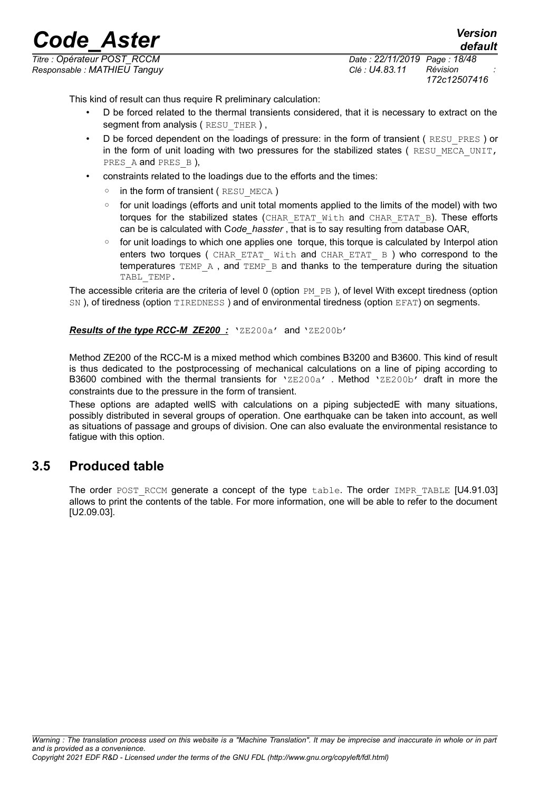*Responsable : MATHIEU Tanguy Clé : U4.83.11 Révision :*

*Titre : Opérateur POST\_RCCM Date : 22/11/2019 Page : 18/48 172c12507416*

*default*

This kind of result can thus require R preliminary calculation:

- D be forced related to the thermal transients considered, that it is necessary to extract on the segment from analysis (RESU THER ),
- D be forced dependent on the loadings of pressure: in the form of transient (RESU\_PRES) or in the form of unit loading with two pressures for the stabilized states (RESU\_MECA\_UNIT, PRES A and PRES B),
- constraints related to the loadings due to the efforts and the times:
	- in the form of transient ( RESU\_MECA )
	- for unit loadings (efforts and unit total moments applied to the limits of the model) with two torques for the stabilized states (CHAR\_ETAT\_With and CHAR\_ETAT\_B). These efforts can be is calculated with C*ode\_hasster* , that is to say resulting from database OAR,
	- for unit loadings to which one applies one torque, this torque is calculated by Interpol ation enters two torques ( CHAR ETAT With and CHAR ETAT B ) who correspond to the temperatures TEMP<sub>A</sub>, and TEMP<sub>B</sub> and thanks to the temperature during the situation TABL TEMP.

The accessible criteria are the criteria of level 0 (option  $PM$   $PB$  ), of level With except tiredness (option SN), of tiredness (option TIREDNESS) and of environmental tiredness (option EFAT) on segments.

#### *Results of the type RCC-M ZE200 :* 'ZE200a' and 'ZE200b'

Method ZE200 of the RCC-M is a mixed method which combines B3200 and B3600. This kind of result is thus dedicated to the postprocessing of mechanical calculations on a line of piping according to B3600 combined with the thermal transients for  $'ZE200a'$ . Method  $'ZE200b'$  draft in more the constraints due to the pressure in the form of transient.

These options are adapted wellS with calculations on a piping subjectedE with many situations, possibly distributed in several groups of operation. One earthquake can be taken into account, as well as situations of passage and groups of division. One can also evaluate the environmental resistance to fatigue with this option.

## **3.5 Produced table**

<span id="page-17-0"></span>The order POST RCCM generate a concept of the type table. The order IMPR TABLE [U4.91.03] allows to print the contents of the table. For more information, one will be able to refer to the document [U2.09.03].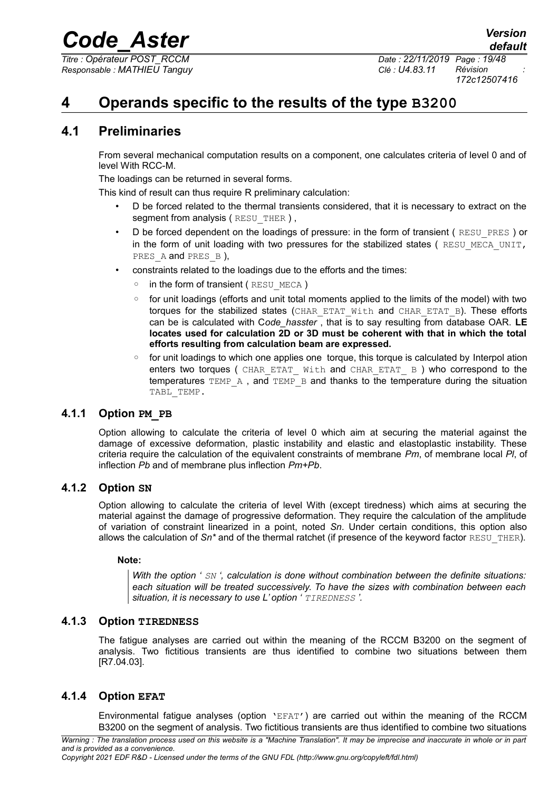*Titre : Opérateur POST\_RCCM Date : 22/11/2019 Page : 19/48 Responsable : MATHIEU Tanguy Clé : U4.83.11 Révision :*

*172c12507416*

## <span id="page-18-5"></span>**4 Operands specific to the results of the type B3200**

## **4.1 Preliminaries**

<span id="page-18-4"></span>From several mechanical computation results on a component, one calculates criteria of level 0 and of level With RCC-M.

The loadings can be returned in several forms.

This kind of result can thus require R preliminary calculation:

- D be forced related to the thermal transients considered, that it is necessary to extract on the segment from analysis (RESU THER ),
- D be forced dependent on the loadings of pressure: in the form of transient (RESU\_PRES) or in the form of unit loading with two pressures for the stabilized states ( $RESUMECAUNIT$ , PRES A and PRES B),
- constraints related to the loadings due to the efforts and the times:
	- in the form of transient (RESU\_MECA)
	- for unit loadings (efforts and unit total moments applied to the limits of the model) with two torques for the stabilized states (CHAR\_ETAT\_With and CHAR\_ETAT\_B). These efforts can be is calculated with C*ode\_hasster* , that is to say resulting from database OAR. **LE locates used for calculation 2D or 3D must be coherent with that in which the total efforts resulting from calculation beam are expressed.**
	- for unit loadings to which one applies one torque, this torque is calculated by Interpol ation enters two torques ( CHAR\_ETAT\_ With and CHAR\_ETAT\_ B ) who correspond to the temperatures  $TEMP^A$ , and  $TEMP^-B$  and thanks to the temperature during the situation TABL TEMP.

## **4.1.1 Option PM\_PB**

<span id="page-18-3"></span>Option allowing to calculate the criteria of level 0 which aim at securing the material against the damage of excessive deformation, plastic instability and elastic and elastoplastic instability. These criteria require the calculation of the equivalent constraints of membrane *Pm*, of membrane local *Pl*, of inflection *Pb* and of membrane plus inflection *Pm+Pb*.

### **4.1.2 Option SN**

<span id="page-18-2"></span>Option allowing to calculate the criteria of level With (except tiredness) which aims at securing the material against the damage of progressive deformation. They require the calculation of the amplitude of variation of constraint linearized in a point, noted *Sn*. Under certain conditions, this option also allows the calculation of  $Sn*$  and of the thermal ratchet (if presence of the keyword factor RESU THER).

### **Note:**

*With the option ' SN ', calculation is done without combination between the definite situations: each situation will be treated successively. To have the sizes with combination between each situation, it is necessary to use L' option ' TIREDNESS '.*

### **4.1.3 Option TIREDNESS**

<span id="page-18-1"></span>The fatigue analyses are carried out within the meaning of the RCCM B3200 on the segment of analysis. Two fictitious transients are thus identified to combine two situations between them [R7.04.03].

## **4.1.4 Option EFAT**

<span id="page-18-0"></span>Environmental fatigue analyses (option 'EFAT') are carried out within the meaning of the RCCM B3200 on the segment of analysis. Two fictitious transients are thus identified to combine two situations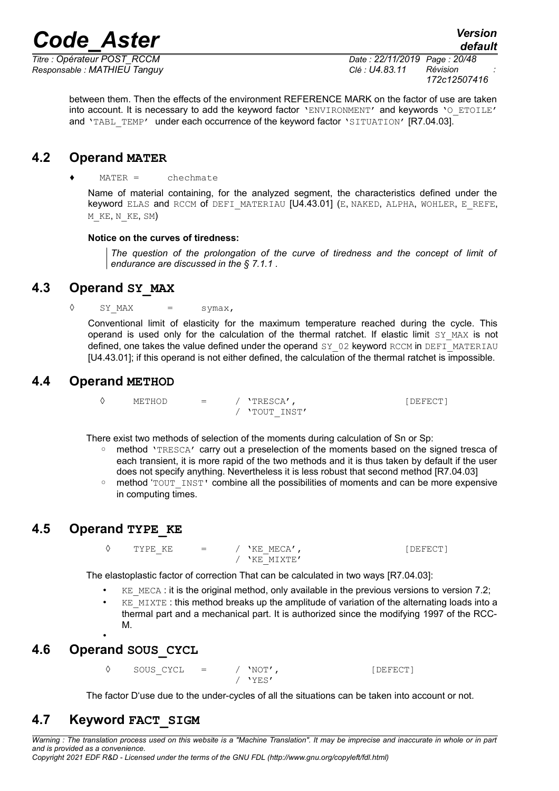*Responsable : MATHIEU Tanguy Clé : U4.83.11 Révision :*

*Titre : Opérateur POST\_RCCM Date : 22/11/2019 Page : 20/48 172c12507416*

between them. Then the effects of the environment REFERENCE MARK on the factor of use are taken into account. It is necessary to add the keyword factor 'ENVIRONMENT' and keywords 'O ETOILE' and 'TABL TEMP' under each occurrence of the keyword factor 'SITUATION' [R7.04.03].

## **4.2 Operand MATER**

#### <span id="page-19-5"></span>♦ MATER = chechmate

Name of material containing, for the analyzed segment, the characteristics defined under the keyword ELAS and RCCM of DEFI\_MATERIAU [U4.43.01] (E, NAKED, ALPHA, WOHLER, E\_REFE, M\_KE, N\_KE, SM)

#### **Notice on the curves of tiredness:**

*The question of the prolongation of the curve of tiredness and the concept of limit of endurance are discussed in the § [7.1.1](#page-41-0) .*

## **4.3 Operand SY\_MAX**

<span id="page-19-4"></span> $\Diamond$  SY\_MAX = symax,

Conventional limit of elasticity for the maximum temperature reached during the cycle. This operand is used only for the calculation of the thermal ratchet. If elastic limit  $SY$  MAX is not defined, one takes the value defined under the operand SY\_02 keyword RCCM in DEFI\_MATERIAU [U4.43.01]; if this operand is not either defined, the calculation of the thermal ratchet is impossible.

## **4.4 Operand METHOD**

<span id="page-19-3"></span>◊ METHOD = / 'TRESCA', [DEFECT] / 'TOUT\_INST'

There exist two methods of selection of the moments during calculation of Sn or Sp:

- method 'TRESCA' carry out a preselection of the moments based on the signed tresca of each transient, it is more rapid of the two methods and it is thus taken by default if the user does not specify anything. Nevertheless it is less robust that second method [R7.04.03]
- method 'TOUT INST' combine all the possibilities of moments and can be more expensive in computing times.

## <span id="page-19-2"></span>**4.5 Operand TYPE\_KE**

 $\Diamond$  TYPE KE = / 'KE MECA', / 'KE\_MIXTE'

The elastoplastic factor of correction That can be calculated in two ways [R7.04.03]:

- $KE$  MECA : it is the original method, only available in the previous versions to version 7.2;
- $KE$  MIXTE : this method breaks up the amplitude of variation of the alternating loads into a thermal part and a mechanical part. It is authorized since the modifying 1997 of the RCC-M.

## **4.6 Operand SOUS\_CYCL**

<span id="page-19-1"></span>•

◊ SOUS\_CYCL = / 'NOT', [DEFECT] / 'YES'

<span id="page-19-0"></span>The factor D'use due to the under-cycles of all the situations can be taken into account or not.

## **4.7 Keyword FACT\_SIGM**

*Warning : The translation process used on this website is a "Machine Translation". It may be imprecise and inaccurate in whole or in part and is provided as a convenience. Copyright 2021 EDF R&D - Licensed under the terms of the GNU FDL (http://www.gnu.org/copyleft/fdl.html)*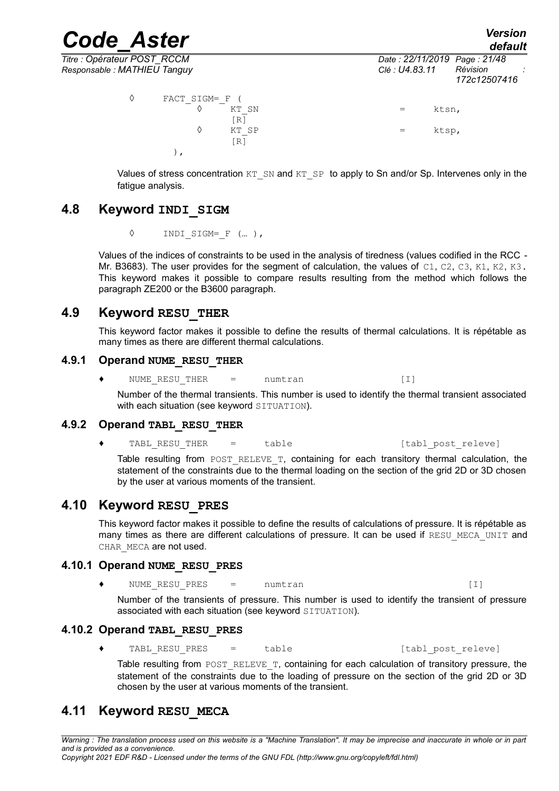*Code\_Aster Version default Titre : Opérateur POST\_RCCM Date : 22/11/2019 Page : 21/48 Responsable : MATHIEU Tanguy Clé : U4.83.11 Révision : 172c12507416*  $\sqrt[3]{}$  FACT\_SIGM=\_F ( $\sqrt[3]{}$  KT SN ◊ KT\_SN = ktsn, [R]<br>KT SP  $\Diamond$  KT SP  $=$  ktsp,

 $[R]$ 

Values of stress concentration  $KT\_SN$  and  $KT\_SP$  to apply to Sn and/or Sp. Intervenes only in the fatigue analysis.

## <span id="page-20-7"></span>**4.8 Keyword INDI\_SIGM**

◊ INDI\_SIGM=\_F (… ),

),

Values of the indices of constraints to be used in the analysis of tiredness (values codified in the RCC - Mr. B3683). The user provides for the segment of calculation, the values of  $C1$ ,  $C2$ ,  $C3$ ,  $K1$ ,  $K2$ ,  $K3$ . This keyword makes it possible to compare results resulting from the method which follows the paragraph ZE200 or the B3600 paragraph.

## **4.9 Keyword RESU\_THER**

<span id="page-20-6"></span>This keyword factor makes it possible to define the results of thermal calculations. It is répétable as many times as there are different thermal calculations.

#### **4.9.1 Operand NUME\_RESU\_THER**

<span id="page-20-5"></span>◆ NUME\_RESU\_THER = numtran (I)

Number of the thermal transients. This number is used to identify the thermal transient associated with each situation (see keyword SITUATION).

### **4.9.2 Operand TABL\_RESU\_THER**

<span id="page-20-4"></span>◆ TABL RESU THER = table (tabl post releve)

Table resulting from POST RELEVE  $T$ , containing for each transitory thermal calculation, the statement of the constraints due to the thermal loading on the section of the grid 2D or 3D chosen by the user at various moments of the transient.

## **4.10 Keyword RESU\_PRES**

<span id="page-20-3"></span>This keyword factor makes it possible to define the results of calculations of pressure. It is répétable as many times as there are different calculations of pressure. It can be used if RESU MECA UNIT and CHAR MECA are not used.

### **4.10.1 Operand NUME\_RESU\_PRES**

<span id="page-20-2"></span>◆ NUME\_RESU\_PRES = numtran (I)

Number of the transients of pressure. This number is used to identify the transient of pressure associated with each situation (see keyword SITUATION).

### **4.10.2 Operand TABL\_RESU\_PRES**

<span id="page-20-1"></span>◆ TABL RESU PRES = table [tabl\_post\_releve]

Table resulting from POST\_RELEVE\_T, containing for each calculation of transitory pressure, the statement of the constraints due to the loading of pressure on the section of the grid 2D or 3D chosen by the user at various moments of the transient.

## <span id="page-20-0"></span>**4.11 Keyword RESU\_MECA**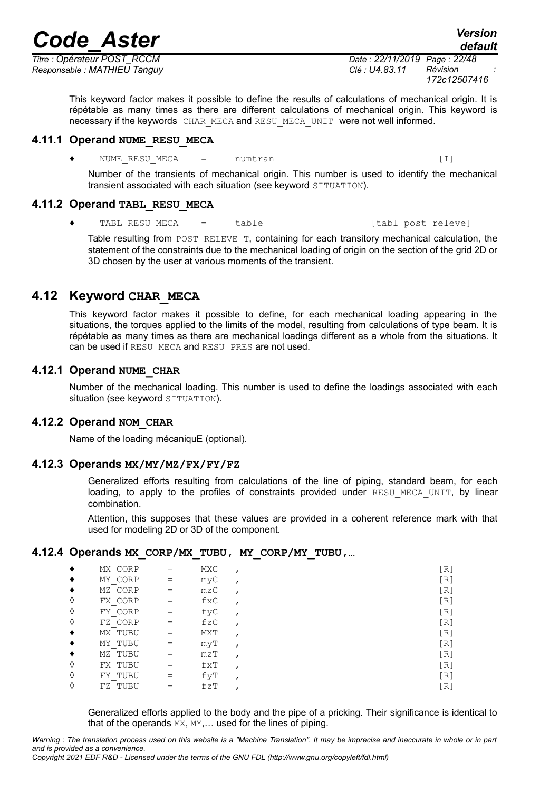*Titre : Opérateur POST\_RCCM Date : 22/11/2019 Page : 22/48 Responsable : MATHIEU Tanguy Clé : U4.83.11 Révision :*

This keyword factor makes it possible to define the results of calculations of mechanical origin. It is répétable as many times as there are different calculations of mechanical origin. This keyword is necessary if the keywords CHAR\_MECA and RESU\_MECA\_UNIT were not well informed.

#### **4.11.1 Operand NUME\_RESU\_MECA**

<span id="page-21-6"></span>NUME RESU MECA  $=$  numtran  $[1]$ 

Number of the transients of mechanical origin. This number is used to identify the mechanical transient associated with each situation (see keyword SITUATION).

### **4.11.2 Operand TABL\_RESU\_MECA**

<span id="page-21-5"></span>◆ TABL RESU MECA = table in the [tabl post releve]

Table resulting from POST\_RELEVE\_T, containing for each transitory mechanical calculation, the statement of the constraints due to the mechanical loading of origin on the section of the grid 2D or 3D chosen by the user at various moments of the transient.

## **4.12 Keyword CHAR\_MECA**

<span id="page-21-4"></span>This keyword factor makes it possible to define, for each mechanical loading appearing in the situations, the torques applied to the limits of the model, resulting from calculations of type beam. It is répétable as many times as there are mechanical loadings different as a whole from the situations. It can be used if RESU\_MECA and RESU\_PRES are not used.

## **4.12.1 Operand NUME\_CHAR**

<span id="page-21-3"></span>Number of the mechanical loading. This number is used to define the loadings associated with each situation (see keyword SITUATION).

### **4.12.2 Operand NOM\_CHAR**

<span id="page-21-2"></span><span id="page-21-1"></span>Name of the loading mécaniquE (optional).

### **4.12.3 Operands MX/MY/MZ/FX/FY/FZ**

Generalized efforts resulting from calculations of the line of piping, standard beam, for each loading, to apply to the profiles of constraints provided under RESU MECA UNIT, by linear combination.

Attention, this supposes that these values are provided in a coherent reference mark with that used for modeling 2D or 3D of the component.

### **4.12.4 Operands MX\_CORP/MX\_TUBU, MY\_CORP/MY\_TUBU,…**

<span id="page-21-0"></span>

|   | MX CORP |     | MXC | [R] |
|---|---------|-----|-----|-----|
|   | MY CORP |     | myC | [R] |
|   | MZ CORP |     | mzC | [R] |
| ♦ | FX CORP |     | fxC | [R] |
| ♦ | FY CORP | $=$ | fyC | [R] |
| ♦ | FZ CORP | $=$ | fzC | [R] |
|   | MX TUBU | $=$ | MXT | [R] |
|   | MY TUBU |     | myT | [R] |
|   | MZ TUBU | $=$ | mzT | [R] |
| ♦ | FX TUBU | $=$ | fXT | [R] |
| ♦ | FY TUBU | $=$ | fуT | [R] |
|   | FZ TUBU |     | fZT | [R] |

Generalized efforts applied to the body and the pipe of a pricking. Their significance is identical to that of the operands MX, MY,... used for the lines of piping.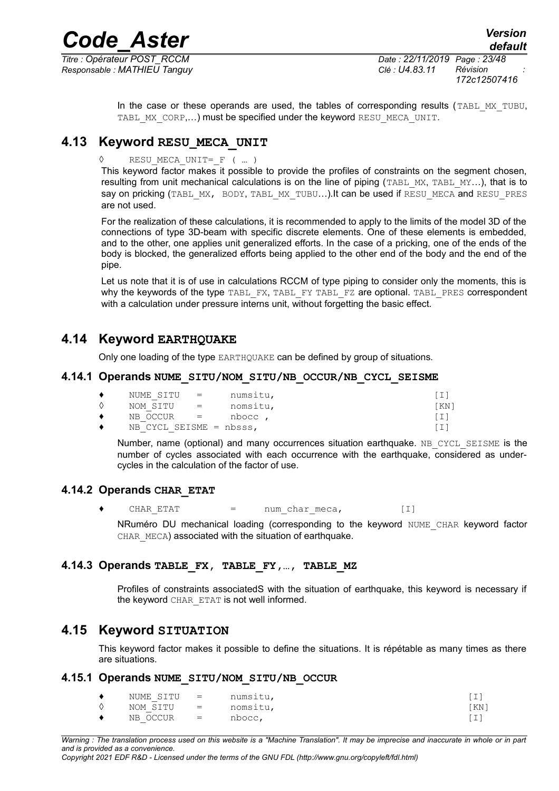*Responsable : MATHIEU Tanguy Clé : U4.83.11 Révision :*

*Titre : Opérateur POST\_RCCM Date : 22/11/2019 Page : 23/48 172c12507416*

> In the case or these operands are used, the tables of corresponding results (TABL MX TUBU, TABL MX CORP,...) must be specified under the keyword RESU MECA UNIT.

## **4.13 Keyword RESU\_MECA\_UNIT**

<span id="page-22-2"></span>RESU MECA UNIT=  $F$  ( ... )

This keyword factor makes it possible to provide the profiles of constraints on the segment chosen, resulting from unit mechanical calculations is on the line of piping (TABL\_MX, TABL\_MY...), that is to say on pricking (TABL\_MX, BODY, TABL\_MX\_TUBU...).It can be used if RESU\_MECA and RESU\_PRES are not used.

For the realization of these calculations, it is recommended to apply to the limits of the model 3D of the connections of type 3D-beam with specific discrete elements. One of these elements is embedded, and to the other, one applies unit generalized efforts. In the case of a pricking, one of the ends of the body is blocked, the generalized efforts being applied to the other end of the body and the end of the pipe.

Let us note that it is of use in calculations RCCM of type piping to consider only the moments, this is why the keywords of the type TABL\_FX, TABL\_FY TABL\_FZ are optional. TABL\_PRES correspondent with a calculation under pressure interns unit, without forgetting the basic effect.

## **4.14 Keyword EARTHQUAKE**

<span id="page-22-1"></span><span id="page-22-0"></span>Only one loading of the type EARTHQUAKE can be defined by group of situations.

#### **4.14.1 Operands NUME\_SITU/NOM\_SITU/NB\_OCCUR/NB\_CYCL\_SEISME**

| ٠ | NUME SITU =                |                           | numsitu, |      |
|---|----------------------------|---------------------------|----------|------|
|   | NOM SITU                   | $\mathbf{r} = \mathbf{r}$ | nomsitu, | [KN] |
| ٠ | $NB$ OCCUR $=$             |                           | nbocc,   |      |
|   | NB CYCL SEISME = $nbsss$ , |                           |          |      |

Number, name (optional) and many occurrences situation earthquake. NB CYCL SEISME is the number of cycles associated with each occurrence with the earthquake, considered as undercycles in the calculation of the factor of use.

### **4.14.2 Operands CHAR\_ETAT**

<span id="page-22-6"></span>CHAR ETAT  $=$  num char meca,  $[1]$ 

NRuméro DU mechanical loading (corresponding to the keyword NUME\_CHAR keyword factor CHAR MECA) associated with the situation of earthquake.

### **4.14.3 Operands TABLE\_FX, TABLE\_FY,…, TABLE\_MZ**

<span id="page-22-5"></span>Profiles of constraints associatedS with the situation of earthquake, this keyword is necessary if the keyword CHAR\_ETAT is not well informed.

## **4.15 Keyword SITUATION**

<span id="page-22-4"></span>This keyword factor makes it possible to define the situations. It is répétable as many times as there are situations.

#### **4.15.1 Operands NUME\_SITU/NOM\_SITU/NB\_OCCUR**

<span id="page-22-3"></span>

| NUME SITU = |                                                                                           | numsitu, |       |
|-------------|-------------------------------------------------------------------------------------------|----------|-------|
| NOM SITU    | $\mathbf{r} = \mathbf{r} \cdot \mathbf{r}$ and $\mathbf{r} = \mathbf{r} \cdot \mathbf{r}$ | nomsitu, | 'KN 1 |
| NB OCCUR    | $\sim$ $\sim$ $\sim$ $\sim$                                                               | nbocc,   |       |

*Warning : The translation process used on this website is a "Machine Translation". It may be imprecise and inaccurate in whole or in part and is provided as a convenience. Copyright 2021 EDF R&D - Licensed under the terms of the GNU FDL (http://www.gnu.org/copyleft/fdl.html)*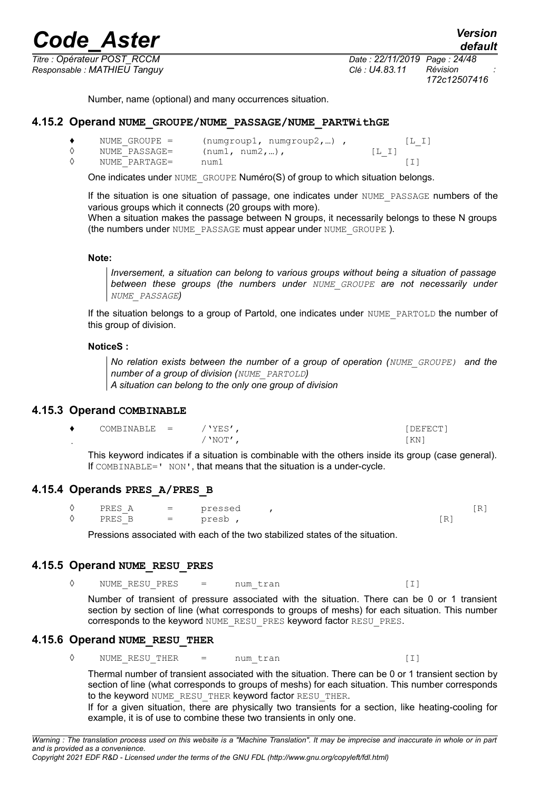*Titre : Opérateur POST\_RCCM Date : 22/11/2019 Page : 24/48 Responsable : MATHIEU Tanguy Clé : U4.83.11 Révision :*

Number, name (optional) and many occurrences situation.

#### **4.15.2 Operand NUME\_GROUPE/NUME\_PASSAGE/NUME\_PARTWithGE**

<span id="page-23-4"></span>

| NUME GROUPE = | (numqroup1, numqroup2, ) |      |
|---------------|--------------------------|------|
| NUME PASSAGE= | $(num1, num2, )$ ,       | IL I |
| NUME PARTAGE= | num1                     |      |

One indicates under NUME GROUPE Numéro(S) of group to which situation belongs.

If the situation is one situation of passage, one indicates under NUME\_PASSAGE numbers of the various groups which it connects (20 groups with more).

When a situation makes the passage between N groups, it necessarily belongs to these N groups (the numbers under NUME PASSAGE must appear under NUME GROUPE).

#### **Note:**

*Inversement, a situation can belong to various groups without being a situation of passage between these groups (the numbers under NUME\_GROUPE are not necessarily under NUME\_PASSAGE)*

If the situation belongs to a group of Partold, one indicates under NUME\_PARTOLD the number of this group of division.

#### **NoticeS :**

*No relation exists between the number of a group of operation (NUME\_GROUPE) and the number of a group of division (NUME\_PARTOLD)*

*A situation can belong to the only one group of division*

#### **4.15.3 Operand COMBINABLE**

<span id="page-23-3"></span>

| COMBINABLE = | 'YES  | DEFECT' |
|--------------|-------|---------|
|              | 'NOT' | 'KN ʻ   |

This keyword indicates if a situation is combinable with the others inside its group (case general). If COMBINABLE=' NON', that means that the situation is a under-cycle.

#### **4.15.4 Operands PRES\_A/PRES\_B**

<span id="page-23-2"></span>

|   | PRES               | $=$ | pressed |          | . . |
|---|--------------------|-----|---------|----------|-----|
| ♦ | PRES<br>↵<br>----- | $=$ | presb   | -<br>. . |     |

Pressions associated with each of the two stabilized states of the situation.

#### **4.15.5 Operand NUME\_RESU\_PRES**

<span id="page-23-1"></span>◊ NUME\_RESU\_PRES = num\_tran [I]

Number of transient of pressure associated with the situation. There can be 0 or 1 transient section by section of line (what corresponds to groups of meshs) for each situation. This number corresponds to the keyword NUME\_RESU\_PRES keyword factor RESU\_PRES.

#### **4.15.6 Operand NUME\_RESU\_THER**

<span id="page-23-0"></span>◊ NUME\_RESU\_THER = num\_tran [I]

Thermal number of transient associated with the situation. There can be 0 or 1 transient section by section of line (what corresponds to groups of meshs) for each situation. This number corresponds to the keyword NUME\_RESU\_THER keyword factor RESU\_THER.

If for a given situation, there are physically two transients for a section, like heating-cooling for example, it is of use to combine these two transients in only one.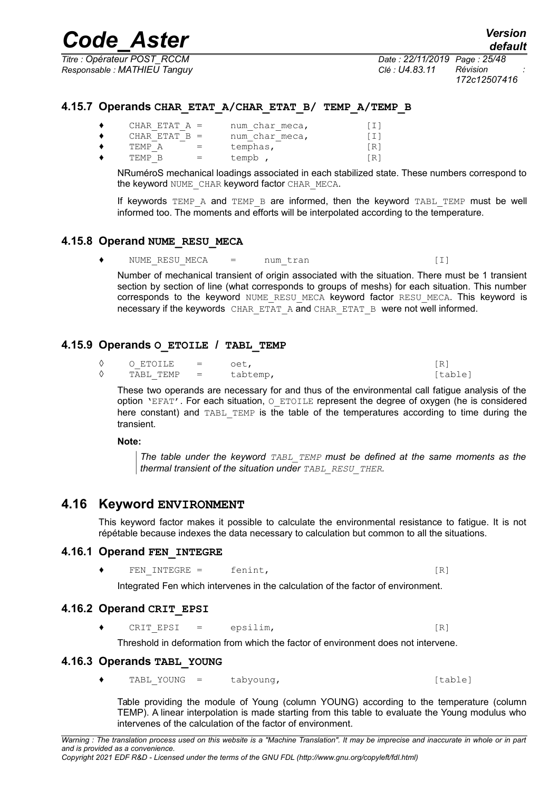*Titre : Opérateur POST\_RCCM Date : 22/11/2019 Page : 25/48 Responsable : MATHIEU Tanguy Clé : U4.83.11 Révision :*

*172c12507416*

### **4.15.7 Operands CHAR\_ETAT\_A/CHAR\_ETAT\_B/ TEMP\_A/TEMP\_B**

<span id="page-24-6"></span>

|   | CHAR ETAT $A =$ | num char meca, | $\lceil 1 \rceil$ |
|---|-----------------|----------------|-------------------|
| ٠ | CHAR ETAT $B =$ | num char meca, | $\lceil 1 \rceil$ |
| ٠ | TEMP A          | temphas,       | [R]               |
| ٠ | TEMP R          | tempb,         | [R]               |

NRuméroS mechanical loadings associated in each stabilized state. These numbers correspond to the keyword NUME CHAR keyword factor CHAR MECA.

If keywords TEMP A and TEMP B are informed, then the keyword TABL TEMP must be well informed too. The moments and efforts will be interpolated according to the temperature.

#### **4.15.8 Operand NUME\_RESU\_MECA**

<span id="page-24-5"></span>◆ NUME\_RESU\_MECA = num\_tran (I)

Number of mechanical transient of origin associated with the situation. There must be 1 transient section by section of line (what corresponds to groups of meshs) for each situation. This number corresponds to the keyword NUME\_RESU\_MECA keyword factor RESU\_MECA. This keyword is necessary if the keywords CHAR\_ETAT\_A and CHAR\_ETAT\_B were not well informed.

## **4.15.9 Operands O\_ETOILE / TABL\_TEMP**

<span id="page-24-4"></span>

|   | O ETOILE  | $\mathbf{r} = \mathbf{r}$ | oet,     | ΓR.     |
|---|-----------|---------------------------|----------|---------|
| ♦ | TABI TEMP | $\mathbf{r} = \mathbf{r}$ | tabtemp, | [table] |

These two operands are necessary for and thus of the environmental call fatigue analysis of the option 'EFAT'. For each situation,  $\circ$  ETOILE represent the degree of oxygen (he is considered here constant) and TABL TEMP is the table of the temperatures according to time during the transient.

**Note:**

*The table under the keyword TABL\_TEMP must be defined at the same moments as the thermal transient of the situation under TABL\_RESU\_THER.*

## **4.16 Keyword ENVIRONMENT**

<span id="page-24-3"></span>This keyword factor makes it possible to calculate the environmental resistance to fatigue. It is not répétable because indexes the data necessary to calculation but common to all the situations.

### **4.16.1 Operand FEN\_INTEGRE**

<span id="page-24-2"></span> $\bullet$  FEN INTEGRE = fenint,  $[R]$ 

Integrated Fen which intervenes in the calculation of the factor of environment.

### **4.16.2 Operand CRIT\_EPSI**

<span id="page-24-1"></span>◆ CRIT\_EPSI = epsilim, [R]

Threshold in deformation from which the factor of environment does not intervene.

### **4.16.3 Operands TABL\_YOUNG**

<span id="page-24-0"></span>♦ TABL\_YOUNG = tabyoung, [table]

Table providing the module of Young (column YOUNG) according to the temperature (column TEMP). A linear interpolation is made starting from this table to evaluate the Young modulus who intervenes of the calculation of the factor of environment.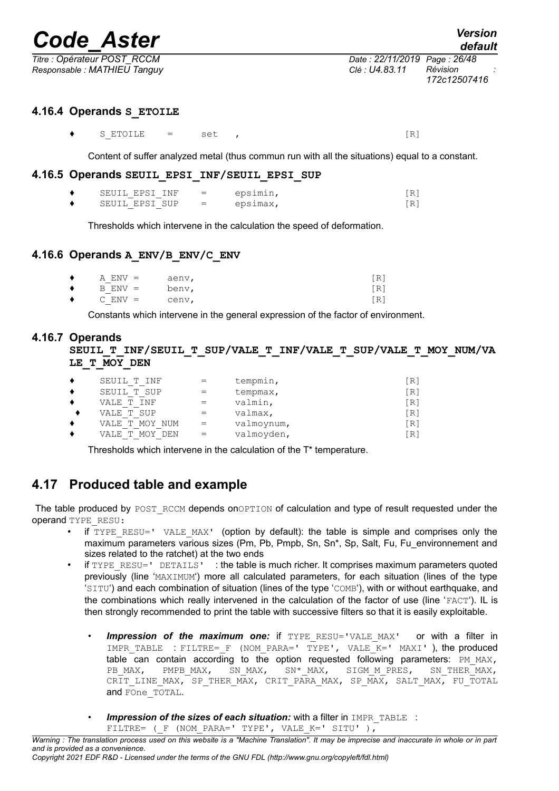*default*

*Titre : Opérateur POST\_RCCM Date : 22/11/2019 Page : 26/48 Responsable : MATHIEU Tanguy Clé : U4.83.11 Révision :*

## **4.16.4 Operands S\_ETOILE**

<span id="page-25-4"></span> $\bullet$  SETOILE = set ,  $[R]$ 

Content of suffer analyzed metal (thus commun run with all the situations) equal to a constant.

#### **4.16.5 Operands SEUIL\_EPSI\_INF/SEUIL\_EPSI\_SUP**

<span id="page-25-3"></span>

| SEUIL EPSI INF | $=$ | epsimin, |  |
|----------------|-----|----------|--|
| SEUIL EPSI SUP | $=$ | epsimax, |  |

Thresholds which intervene in the calculation the speed of deformation.

## **4.16.6 Operands A\_ENV/B\_ENV/C\_ENV**

<span id="page-25-2"></span>

| $\bullet$ | $A$ $ENV =$ | aenv, | [R] |
|-----------|-------------|-------|-----|
| $\bullet$ | $B$ $ENV =$ | benv, | [R] |
| $\bullet$ | $C$ $ENV =$ | cenv, | [R] |

Constants which intervene in the general expression of the factor of environment.

## **4.16.7 Operands**

<span id="page-25-1"></span>**SEUIL\_T\_INF/SEUIL\_T\_SUP/VALE\_T\_INF/VALE\_T\_SUP/VALE\_T\_MOY\_NUM/VA LE\_T\_MOY\_DEN**

| SEUIL T INF                     | $=$ | tempmin,   | 'Ri               |
|---------------------------------|-----|------------|-------------------|
| SEUIL T SUP                     | $=$ | tempmax,   | [R]               |
| T TNF<br>VALE                   |     | valmin,    | $\lceil R \rceil$ |
| VALE T SUP                      | $=$ | valmax,    | $\lceil R \rceil$ |
| MOY NUM<br>VALE<br>$\mathbb{T}$ | $=$ | valmoynum, | $\lceil R \rceil$ |
| <b>MOY</b><br>DEN<br>T<br>VALE. | $=$ | valmoyden, | 「R]               |

<span id="page-25-0"></span>Thresholds which intervene in the calculation of the T\* temperature.

## **4.17 Produced table and example**

The table produced by POST\_RCCM depends onOPTION of calculation and type of result requested under the operand TYPE\_RESU:

- if  $TYPE$   $RESU=$ '  $VALE$   $MAX'$  (option by default): the table is simple and comprises only the maximum parameters various sizes (Pm, Pb, Pmpb, Sn, Sn\*, Sp, Salt, Fu, Fu\_environnement and sizes related to the ratchet) at the two ends
- if TYPE RESU=' DETAILS' : the table is much richer. It comprises maximum parameters quoted previously (line 'MAXIMUM') more all calculated parameters, for each situation (lines of the type 'SITU') and each combination of situation (lines of the type 'COMB'), with or without earthquake, and the combinations which really intervened in the calculation of the factor of use (line 'FACT'). IL is then strongly recommended to print the table with successive filters so that it is easily exploitable.
	- **Impression of the maximum one:** if TYPE RESU='VALE MAX' or with a filter in IMPR TABLE : FILTRE= F (NOM PARA=' TYPE', VALE  $K=$ ' MAXI' ), the produced table can contain according to the option requested following parameters:  $PM_{MAX}$ ,  $PB_{MAX}$ ,  $PM_{MAX}$ ,  $SN_{MAX}$ ,  $SN_{MAX}$ ,  $SN_{MAX}$ ,  $SN_{MAX}$ ,  $SN_{MAX}$ ,  $SN_{MAX}$ ,  $SN_{MAX}$ ,  $SN_{MAX}$ ,  $SN_{MAX}$ ,  $SN_{MAX}$ ,  $SN_{MAX}$ ,  $SN_{MAX}$ ,  $SN_{MAX}$ ,  $SN_{MAX}$ ,  $SN_{MAX}$ ,  $SN_{$ PB\_MAX, PMPB\_MAX, SN\_MAX, SN\*\_MAX, SIGM\_M\_PRES, SN\_THER\_MAX, CRIT LINE MAX, SP\_THER\_MAX, CRIT\_PARA\_MAX, SP\_MAX, SALT\_MAX, FU\_TOTAL and FOne\_TOTAL.
	- **Impression of the sizes of each situation:** with a filter in IMPR TABLE : FILTRE= ( $F$  (NOM PARA=' TYPE', VALE K=' SITU' ),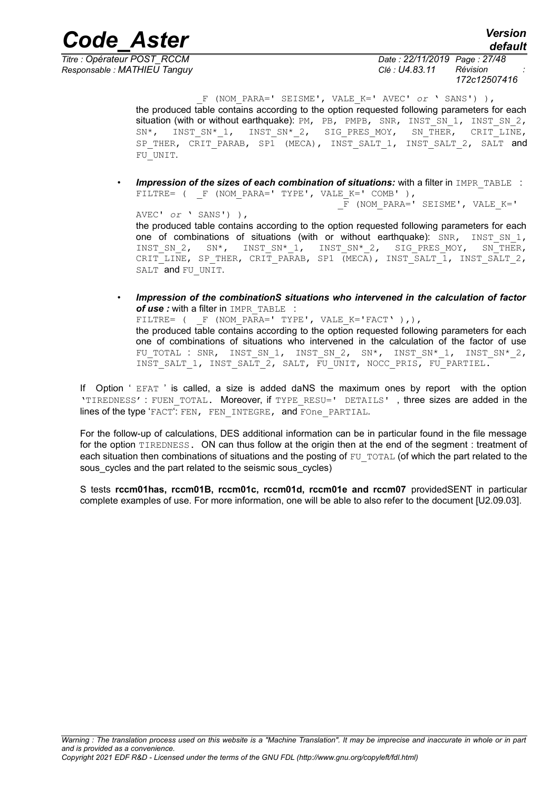*Responsable : MATHIEU Tanguy Clé : U4.83.11 Révision :*

*Titre : Opérateur POST\_RCCM Date : 22/11/2019 Page : 27/48 172c12507416*

> \_F (NOM\_PARA=' SEISME', VALE\_K=' AVEC' *or* ' SANS') ), the produced table contains according to the option requested following parameters for each situation (with or without earthquake): PM, PB, PMPB, SNR, INST\_SN\_1, INST\_SN\_2, SN\*, INST\_SN\*\_1, INST\_SN\*\_2, SIG\_PRES\_MOY, SN\_THER, CRIT\_LINE, SP\_THER, CRIT\_PARAB, SP1 (MECA), INST\_SALT\_1, INST\_SALT\_2, SALT and FU\_UNIT.

**Impression of the sizes of each combination of situations:** with a filter in IMPR\_TABLE : FILTRE= (  $F$  (NOM PARA=' TYPE', VALE K=' COMB' ), F (NOM PARA=' SEISME', VALE K='

AVEC' *or* ' SANS') ), the produced table contains according to the option requested following parameters for each one of combinations of situations (with or without earthquake): SNR, INST\_SN\_1, INST\_SN\_2, SN\*, INST\_SN\*\_1, INST\_SN\*\_2, SIG\_PRES\_MOY, SN\_THER, CRIT\_LINE, SP\_THER, CRIT\_PARAB, SP1 (MECA), INST\_SALT\_1, INST\_SALT\_2, SALT and FU UNIT.

• *Impression of the combinationS situations who intervened in the calculation of factor* of use : with a filter in IMPR TABLE :  $\tt{FlITRE= (F (NOM) PARA='} TYPE', VALE\_K='FACT', ),),$ the produced table contains according to the option requested following parameters for each one of combinations of situations who intervened in the calculation of the factor of use FU TOTAL : SNR, INST SN 1, INST SN 2, SN\*, INST SN\* 1, INST SN\* 2, INST\_SALT\_1, INST\_SALT\_2, SALT, FU\_UNIT, NOCC\_PRIS, FU\_PARTIEL.

If Option ' EFAT ' is called, a size is added daNS the maximum ones by report with the option 'TIREDNESS' : FUEN TOTAL. Moreover, if TYPE RESU=' DETAILS', three sizes are added in the lines of the type 'FACT': FEN, FEN INTEGRE, and FOne PARTIAL.

For the follow-up of calculations, DES additional information can be in particular found in the file message for the option TIREDNESS. ON can thus follow at the origin then at the end of the segment : treatment of each situation then combinations of situations and the posting of  $FU_T$  $T$ OTAL (of which the part related to the sous cycles and the part related to the seismic sous cycles)

S tests **rccm01has, rccm01B, rccm01c, rccm01d, rccm01e and rccm07** providedSENT in particular complete examples of use. For more information, one will be able to also refer to the document [U2.09.03].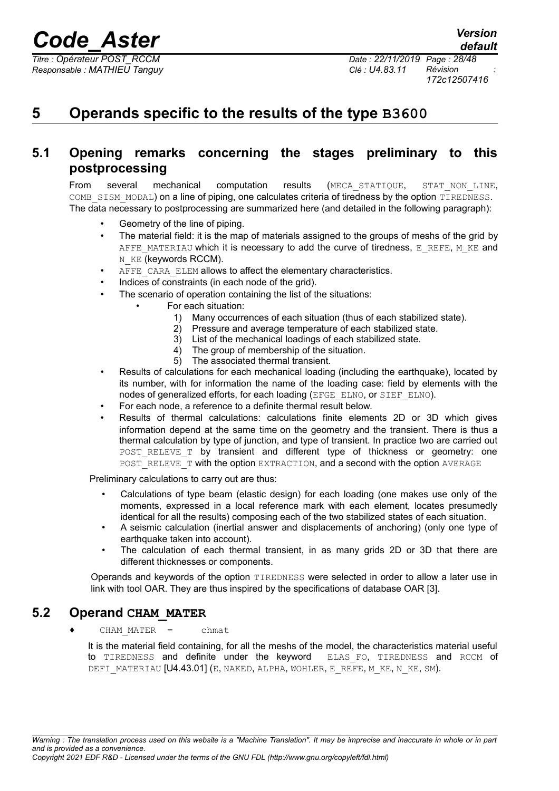*Responsable : MATHIEU Tanguy Clé : U4.83.11 Révision :*

*Titre : Opérateur POST\_RCCM Date : 22/11/2019 Page : 28/48 172c12507416*

## <span id="page-27-2"></span>**5 Operands specific to the results of the type B3600**

## **5.1 Opening remarks concerning the stages preliminary to this postprocessing**

<span id="page-27-1"></span>From several mechanical computation results (MECA\_STATIQUE, STAT\_NON\_LINE, COMB SISM MODAL) on a line of piping, one calculates criteria of tiredness by the option TIREDNESS. The data necessary to postprocessing are summarized here (and detailed in the following paragraph):

- Geometry of the line of piping.
- The material field: it is the map of materials assigned to the groups of meshs of the grid by AFFE\_MATERIAU which it is necessary to add the curve of tiredness, E\_REFE, M\_KE and N\_KE (keywords RCCM).
- AFFE\_CARA\_ELEM allows to affect the elementary characteristics.
- Indices of constraints (in each node of the grid).
- The scenario of operation containing the list of the situations:
	- For each situation:
		- 1) Many occurrences of each situation (thus of each stabilized state).
		- 2) Pressure and average temperature of each stabilized state.
		- 3) List of the mechanical loadings of each stabilized state.
		- 4) The group of membership of the situation.
		- 5) The associated thermal transient.
- Results of calculations for each mechanical loading (including the earthquake), located by its number, with for information the name of the loading case: field by elements with the nodes of generalized efforts, for each loading (EFGE\_ELNO, or SIEF\_ELNO).
- For each node, a reference to a definite thermal result below.
- Results of thermal calculations: calculations finite elements 2D or 3D which gives information depend at the same time on the geometry and the transient. There is thus a thermal calculation by type of junction, and type of transient. In practice two are carried out POST RELEVE T by transient and different type of thickness or geometry: one POST\_RELEVE\_T with the option EXTRACTION, and a second with the option AVERAGE

Preliminary calculations to carry out are thus:

- Calculations of type beam (elastic design) for each loading (one makes use only of the moments, expressed in a local reference mark with each element, locates presumedly identical for all the results) composing each of the two stabilized states of each situation.
- A seismic calculation (inertial answer and displacements of anchoring) (only one type of earthquake taken into account).
- The calculation of each thermal transient, in as many grids 2D or 3D that there are different thicknesses or components.

Operands and keywords of the option TIREDNESS were selected in order to allow a later use in link with tool OAR. They are thus inspired by the specifications of database OAR [3].

## **5.2 Operand CHAM\_MATER**

<span id="page-27-0"></span>♦ CHAM\_MATER = chmat

It is the material field containing, for all the meshs of the model, the characteristics material useful to TIREDNESS and definite under the keyword ELAS FO, TIREDNESS and RCCM of DEFI MATERIAU [U4.43.01] (E, NAKED, ALPHA, WOHLER, E\_REFE, M\_KE, N\_KE, SM).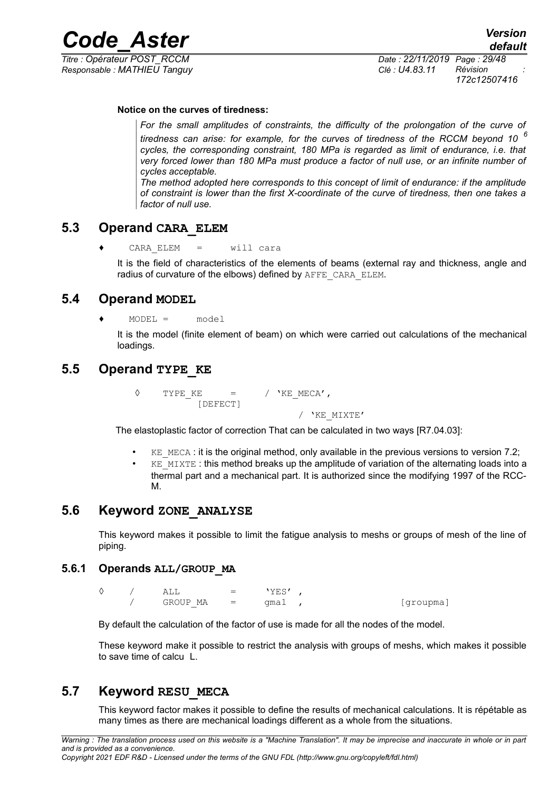*Responsable : MATHIEU Tanguy Clé : U4.83.11 Révision :*

*Titre : Opérateur POST\_RCCM Date : 22/11/2019 Page : 29/48 172c12507416*

#### **Notice on the curves of tiredness:**

*For the small amplitudes of constraints, the difficulty of the prolongation of the curve of tiredness can arise: for example, for the curves of tiredness of the RCCM beyond 10 <sup>6</sup> cycles, the corresponding constraint, 180 MPa is regarded as limit of endurance, i.e. that very forced lower than 180 MPa must produce a factor of null use, or an infinite number of cycles acceptable.* 

*The method adopted here corresponds to this concept of limit of endurance: if the amplitude of constraint is lower than the first X-coordinate of the curve of tiredness, then one takes a factor of null use.*

## **5.3 Operand CARA\_ELEM**

<span id="page-28-5"></span>♦ CARA\_ELEM = will cara

It is the field of characteristics of the elements of beams (external ray and thickness, angle and radius of curvature of the elbows) defined by AFFE\_CARA\_ELEM.

## **5.4 Operand MODEL**

<span id="page-28-4"></span> $MODEL = model$ 

<span id="page-28-3"></span>It is the model (finite element of beam) on which were carried out calculations of the mechanical loadings.

## **5.5 Operand TYPE\_KE**

 $\Diamond$  TYPE KE = / 'KE MECA', [DEFECT] / 'KE\_MIXTE'

The elastoplastic factor of correction That can be calculated in two ways [R7.04.03]:

- $KE$  MECA : it is the original method, only available in the previous versions to version 7.2;
	- $KE$  MIXTE : this method breaks up the amplitude of variation of the alternating loads into a thermal part and a mechanical part. It is authorized since the modifying 1997 of the RCC-M.

## **5.6 Keyword ZONE\_ANALYSE**

<span id="page-28-2"></span>This keyword makes it possible to limit the fatigue analysis to meshs or groups of mesh of the line of piping.

#### **5.6.1 Operands ALL/GROUP\_MA**

<span id="page-28-1"></span> $\Diamond$  / ALL = 'YES' ,  $GROUPMA = qma1$ , [groupma]

By default the calculation of the factor of use is made for all the nodes of the model.

These keyword make it possible to restrict the analysis with groups of meshs, which makes it possible to save time of calcu L.

## **5.7 Keyword RESU\_MECA**

<span id="page-28-0"></span>This keyword factor makes it possible to define the results of mechanical calculations. It is répétable as many times as there are mechanical loadings different as a whole from the situations.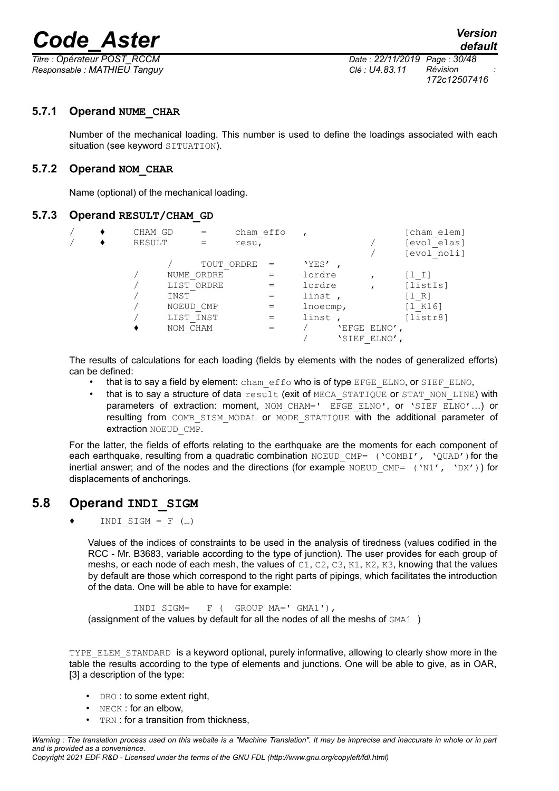*Responsable : MATHIEU Tanguy Clé : U4.83.11 Révision :*

*Titre : Opérateur POST\_RCCM Date : 22/11/2019 Page : 30/48 172c12507416*

## **5.7.1 Operand NUME\_CHAR**

<span id="page-29-3"></span>Number of the mechanical loading. This number is used to define the loadings associated with each situation (see keyword SITUATION).

## **5.7.2 Operand NOM\_CHAR**

<span id="page-29-2"></span>Name (optional) of the mechanical loading.

### **5.7.3 Operand RESULT/CHAM\_GD**

<span id="page-29-1"></span>

|  | CHAM GD | cham effo  |             |              | [cham elem] |
|--|---------|------------|-------------|--------------|-------------|
|  | RESULT  | resu,      |             |              | [evol elas] |
|  |         |            |             |              | [evol noli] |
|  |         | TOUT ORDRE | 'YES'       |              |             |
|  |         | NUME ORDRE | lordre      |              | [1 I]       |
|  |         | LIST ORDRE | lordre      |              | [listIs]    |
|  | INST    |            | linst,      |              | [1 R]       |
|  |         | NOEUD CMP  | $l$ noecmp, |              | [1 K16]     |
|  |         | LIST INST  | linst,      |              | [listr8]    |
|  |         | NOM CHAM   |             | 'EFGE ELNO'  |             |
|  |         |            |             | 'SIEF ELNO', |             |
|  |         |            |             |              |             |

The results of calculations for each loading (fields by elements with the nodes of generalized efforts) can be defined:

- that is to say a field by element: cham\_effo who is of type EFGE\_ELNO, or SIEF\_ELNO,
- that is to say a structure of data result (exit of MECA\_STATIQUE or STAT\_NON\_LINE) with parameters of extraction: moment, NOM CHAM=' EFGE ELNO', or 'SIEF ELNO'...) or resulting from COMB SISM MODAL or MODE STATIOUE with the additional parameter of extraction NOEUD CMP.

For the latter, the fields of efforts relating to the earthquake are the moments for each component of each earthquake, resulting from a quadratic combination  $NOEUD$  CMP= ( $NCOMBI'$ ,  $NOUAD'$ ) for the inertial answer; and of the nodes and the directions (for example NOEUD CMP= ('N1', 'DX')) for displacements of anchorings.

## **5.8 Operand INDI\_SIGM**

<span id="page-29-0"></span> $\blacklozenge$  INDI SIGM = F (...)

Values of the indices of constraints to be used in the analysis of tiredness (values codified in the RCC - Mr. B3683, variable according to the type of junction). The user provides for each group of meshs, or each node of each mesh, the values of C1, C2, C3, K1, K2, K3, knowing that the values by default are those which correspond to the right parts of pipings, which facilitates the introduction of the data. One will be able to have for example:

INDI\_SIGM= \_F ( GROUP\_MA=' GMA1'), (assignment of the values by default for all the nodes of all the meshs of  $GMA1$ )

TYPE ELEM STANDARD is a keyword optional, purely informative, allowing to clearly show more in the table the results according to the type of elements and junctions. One will be able to give, as in OAR, [3] a description of the type:

- DRO: to some extent right.
- NECK: for an elbow,
- TRN : for a transition from thickness,

*Warning : The translation process used on this website is a "Machine Translation". It may be imprecise and inaccurate in whole or in part and is provided as a convenience. Copyright 2021 EDF R&D - Licensed under the terms of the GNU FDL (http://www.gnu.org/copyleft/fdl.html)*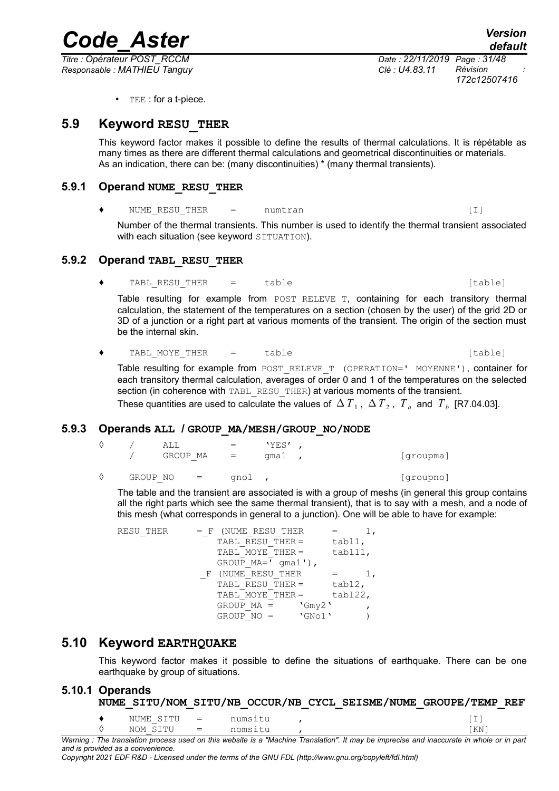*Responsable : MATHIEU Tanguy Clé : U4.83.11 Révision :*

*Titre : Opérateur POST\_RCCM Date : 22/11/2019 Page : 31/48 172c12507416*

• TEE : for a t-piece.

## **5.9 Keyword RESU\_THER**

<span id="page-30-2"></span>This keyword factor makes it possible to define the results of thermal calculations. It is répétable as many times as there are different thermal calculations and geometrical discontinuities or materials. As an indication, there can be: (many discontinuities) \* (many thermal transients).

### **5.9.1 Operand NUME\_RESU\_THER**

<span id="page-30-1"></span>NUME RESU THER  $=$  numtran  $[1]$ 

Number of the thermal transients. This number is used to identify the thermal transient associated with each situation (see keyword SITUATION).

## **5.9.2 Operand TABL\_RESU\_THER**

<span id="page-30-0"></span>◆ TABL RESU THER = table in table [table]

Table resulting for example from POST RELEVE T, containing for each transitory thermal calculation, the statement of the temperatures on a section (chosen by the user) of the grid 2D or 3D of a junction or a right part at various moments of the transient. The origin of the section must be the internal skin.

◆ TABL MOYE THER = table in table [table]

Table resulting for example from POST\_RELEVE\_T (OPERATION=' MOYENNE'), container for each transitory thermal calculation, averages of order 0 and 1 of the temperatures on the selected section (in coherence with TABL RESU THER) at various moments of the transient. These quantities are used to calculate the values of  $~\Delta$   $T_{1}$  ,  $~\Delta$   $T_{2}$  ,  $~T_{a}$  and  $~T_{b}$  [R7.04.03].

### **5.9.3 Operands ALL / GROUP\_MA/MESH/GROUP\_NO/NODE**

<span id="page-30-5"></span>

|   |          | AT.T.<br>GROUP MA = |                           | $=$  | 'YES'<br>qmal , | [groupma] |
|---|----------|---------------------|---------------------------|------|-----------------|-----------|
| ♦ | GROUP NO |                     | $\mathbf{r} = \mathbf{r}$ | qnol |                 | [qroupno] |

The table and the transient are associated is with a group of meshs (in general this group contains all the right parts which see the same thermal transient), that is to say with a mesh, and a node of this mesh (what corresponds in general to a junction). One will be able to have for example:

| TABL RESU THER =       | tabl1,                     |                                  |
|------------------------|----------------------------|----------------------------------|
| TABL MOYE THER =       | tabl11,                    |                                  |
| $GROUP MA = 'qma1')$ , |                            |                                  |
| (NUME RESU THER        |                            |                                  |
| TABL RESU THER =       | tabl2,                     |                                  |
| TABL MOYE THER =       | tabl22,                    |                                  |
| $GROUP MA =$           |                            |                                  |
| $GROUP NO =$           |                            |                                  |
|                        | $=$ F (NUME RESU THER<br>F | $\Gamma$ Gmy2 $\Gamma$<br>'GNo1' |

## **5.10 Keyword EARTHQUAKE**

<span id="page-30-4"></span>This keyword factor makes it possible to define the situations of earthquake. There can be one earthquake by group of situations.

## **5.10.1 Operands**

<span id="page-30-3"></span>**NUME\_SITU/NOM\_SITU/NB\_OCCUR/NB\_CYCL\_SEISME/NUME\_GROUPE/TEMP\_REF**

| Marnina |           |     |         | . The translation process used on this website is a "Machine Translation". It may be imprecise and inaccurate in whole or in pa |
|---------|-----------|-----|---------|---------------------------------------------------------------------------------------------------------------------------------|
|         | NOM SITU  |     | nomsitu |                                                                                                                                 |
|         | NUME SITU | $=$ | numsıtu |                                                                                                                                 |

*Warning : The translation process used on this website is a "Machine Translation". It may be imprecise and inaccurate in whole or in part and is provided as a convenience.*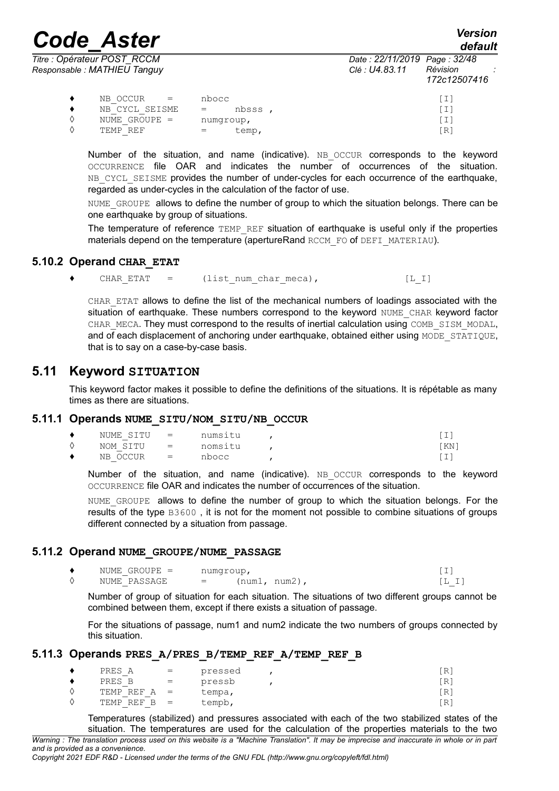*default*

|   | Titre : Opérateur POST_RCCM<br>Responsable : MATHIEU Tanguy |                        | Date: 22/11/2019 Page: 32/48<br>Clé : U4.83.11 | Révision<br>172c12507416 |
|---|-------------------------------------------------------------|------------------------|------------------------------------------------|--------------------------|
|   | NB OCCUR<br>$=$                                             | nbocc                  |                                                | [I]                      |
|   | NB CYCL SEISME                                              | nbsss.<br>$\alpha = 1$ |                                                | [I]                      |
| ♦ | NUME GROUPE $=$                                             | numgroup,              |                                                | [I]                      |
|   | TEMP REF                                                    | temp,                  |                                                | [R]                      |

Number of the situation, and name (indicative). NB OCCUR corresponds to the keyword OCCURRENCE file OAR and indicates the number of occurrences of the situation. NB CYCL SEISME provides the number of under-cycles for each occurrence of the earthquake, regarded as under-cycles in the calculation of the factor of use.

NUME GROUPE allows to define the number of group to which the situation belongs. There can be one earthquake by group of situations.

The temperature of reference TEMP\_REF situation of earthquake is useful only if the properties materials depend on the temperature (apertureRand RCCM\_FO of DEFI\_MATERIAU).

#### **5.10.2 Operand CHAR\_ETAT**

<span id="page-31-4"></span>◆ CHAR ETAT = (list num char meca), [L\_I]

CHAR\_ETAT allows to define the list of the mechanical numbers of loadings associated with the situation of earthquake. These numbers correspond to the keyword NUME\_CHAR keyword factor CHAR MECA. They must correspond to the results of inertial calculation using COMB SISM MODAL, and of each displacement of anchoring under earthquake, obtained either using MODE\_STATIQUE, that is to say on a case-by-case basis.

## **5.11 Keyword SITUATION**

<span id="page-31-3"></span>This keyword factor makes it possible to define the definitions of the situations. It is répétable as many times as there are situations.

#### **5.11.1 Operands NUME\_SITU/NOM\_SITU/NB\_OCCUR**

<span id="page-31-2"></span>

|           | NUME SITU = |                           | numsitu |       |
|-----------|-------------|---------------------------|---------|-------|
|           | NOM SITU    | $\mathbf{r} = \mathbf{r}$ | nomsitu | 'KN 1 |
| $\bullet$ | NB OCCUR    | $\sim$ $\sim$ $\sim$      | nbocc   |       |

Number of the situation, and name (indicative). NB OCCUR corresponds to the keyword OCCURRENCE file OAR and indicates the number of occurrences of the situation.

NUME GROUPE allows to define the number of group to which the situation belongs. For the results of the type B3600 , it is not for the moment not possible to combine situations of groups different connected by a situation from passage.

### **5.11.2 Operand NUME\_GROUPE/NUME\_PASSAGE**

<span id="page-31-1"></span>

| NUME GROUPE = | numgroup, |                | - |
|---------------|-----------|----------------|---|
| NUME PASSAGE  | $=$       | (num1<br>num2) |   |

Number of group of situation for each situation. The situations of two different groups cannot be combined between them, except if there exists a situation of passage.

For the situations of passage, num1 and num2 indicate the two numbers of groups connected by this situation.

### **5.11.3 Operands PRES\_A/PRES\_B/TEMP\_REF\_A/TEMP\_REF\_B**

<span id="page-31-0"></span>

| PRES A         | $=$ | pressed | 'R |
|----------------|-----|---------|----|
| PRES B         | $=$ | pressb  | R  |
| TEMP REF $A =$ |     | tempa,  | R  |
| TEMP REF $B =$ |     | tempb,  | R  |

Temperatures (stabilized) and pressures associated with each of the two stabilized states of the situation. The temperatures are used for the calculation of the properties materials to the two

*Warning : The translation process used on this website is a "Machine Translation". It may be imprecise and inaccurate in whole or in part and is provided as a convenience.*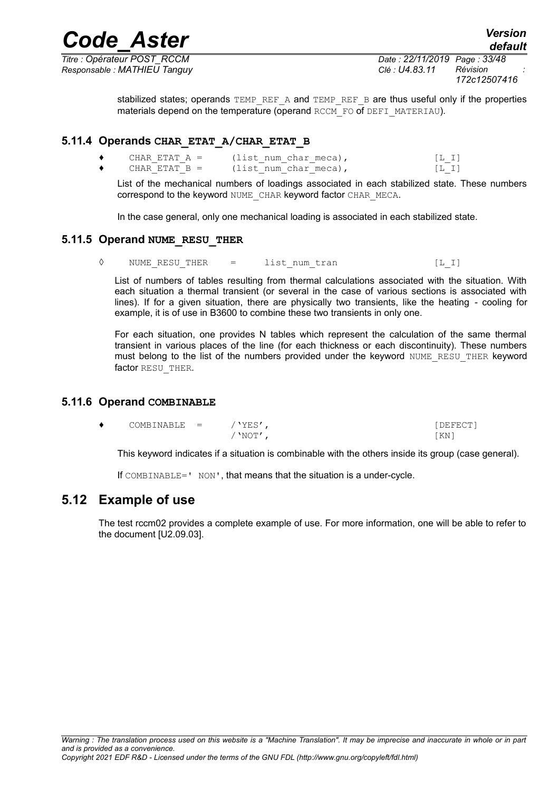*Titre : Opérateur POST\_RCCM Date : 22/11/2019 Page : 33/48 172c12507416*

*default*

stabilized states; operands TEMP\_REF\_A and TEMP\_REF\_B are thus useful only if the properties materials depend on the temperature (operand RCCM\_FO of DEFI\_MATERIAU).

#### **5.11.4 Operands CHAR\_ETAT\_A/CHAR\_ETAT\_B**

<span id="page-32-3"></span>

| CHAR ETAT A =   | (list num char meca), | [L, I] |
|-----------------|-----------------------|--------|
| CHAR ETAT $B =$ | (list num char meca), | [L,I]  |

List of the mechanical numbers of loadings associated in each stabilized state. These numbers correspond to the keyword NUME\_CHAR keyword factor CHAR\_MECA.

In the case general, only one mechanical loading is associated in each stabilized state.

#### **5.11.5 Operand NUME\_RESU\_THER**

<span id="page-32-2"></span>◊ NUME\_RESU\_THER = list\_num\_tran [L\_I]

List of numbers of tables resulting from thermal calculations associated with the situation. With each situation a thermal transient (or several in the case of various sections is associated with lines). If for a given situation, there are physically two transients, like the heating - cooling for example, it is of use in B3600 to combine these two transients in only one.

For each situation, one provides N tables which represent the calculation of the same thermal transient in various places of the line (for each thickness or each discontinuity). These numbers must belong to the list of the numbers provided under the keyword NUME\_RESU\_THER keyword factor RESU THER.

#### **5.11.6 Operand COMBINABLE**

<span id="page-32-1"></span>

| ▲ | COMBINABLE | 'YES' | DEFECT' |
|---|------------|-------|---------|
|   |            | 'NOT' | ΚN      |

This keyword indicates if a situation is combinable with the others inside its group (case general).

If COMBINABLE=' NON', that means that the situation is a under-cycle.

## **5.12 Example of use**

<span id="page-32-0"></span>The test rccm02 provides a complete example of use. For more information, one will be able to refer to the document [U2.09.03].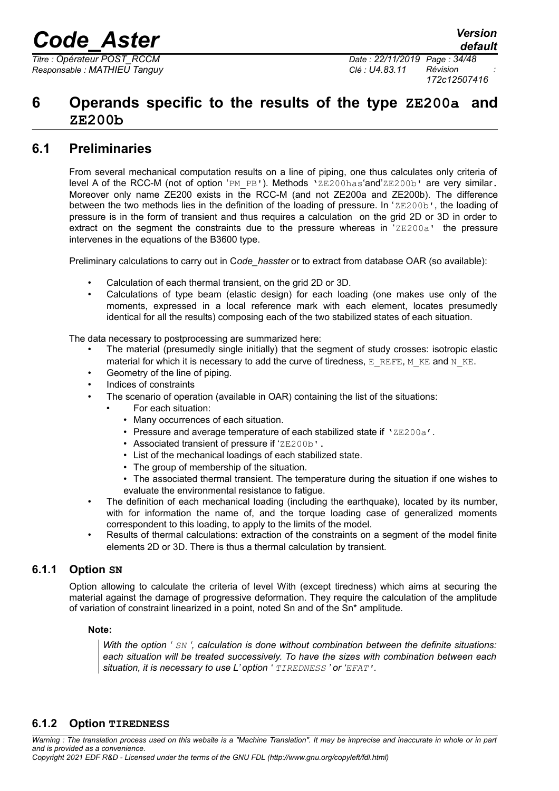*Responsable : MATHIEU Tanguy Clé : U4.83.11 Révision :*

*Titre : Opérateur POST\_RCCM Date : 22/11/2019 Page : 34/48 172c12507416*

## <span id="page-33-3"></span>**6 Operands specific to the results of the type ZE200a and ZE200b**

## **6.1 Preliminaries**

<span id="page-33-2"></span>From several mechanical computation results on a line of piping, one thus calculates only criteria of level A of the RCC-M (not of option 'PM\_PB'). Methods 'ZE200has'and'ZE200b' are very similar. Moreover only name ZE200 exists in the RCC-M (and not ZE200a and ZE200b). The difference between the two methods lies in the definition of the loading of pressure. In ' $ZE200b'$ , the loading of pressure is in the form of transient and thus requires a calculation on the grid 2D or 3D in order to extract on the segment the constraints due to the pressure whereas in  $2E200a'$  the pressure intervenes in the equations of the B3600 type.

Preliminary calculations to carry out in C*ode\_hasster* or to extract from database OAR (so available):

- Calculation of each thermal transient, on the grid 2D or 3D.
- Calculations of type beam (elastic design) for each loading (one makes use only of the moments, expressed in a local reference mark with each element, locates presumedly identical for all the results) composing each of the two stabilized states of each situation.

The data necessary to postprocessing are summarized here:

- The material (presumedly single initially) that the segment of study crosses: isotropic elastic material for which it is necessary to add the curve of tiredness,  $E$  REFE, M\_KE and N\_KE.
- Geometry of the line of piping.
- Indices of constraints
- The scenario of operation (available in OAR) containing the list of the situations:
	- For each situation:
		- Many occurrences of each situation.
		- Pressure and average temperature of each stabilized state if 'ZE200a'.
		- Associated transient of pressure if 'ZE200b'.
		- List of the mechanical loadings of each stabilized state.
		- The group of membership of the situation.
		- The associated thermal transient. The temperature during the situation if one wishes to evaluate the environmental resistance to fatigue.
- The definition of each mechanical loading (including the earthquake), located by its number, with for information the name of, and the torque loading case of generalized moments correspondent to this loading, to apply to the limits of the model.
- Results of thermal calculations: extraction of the constraints on a segment of the model finite elements 2D or 3D. There is thus a thermal calculation by transient.

## **6.1.1 Option SN**

<span id="page-33-1"></span>Option allowing to calculate the criteria of level With (except tiredness) which aims at securing the material against the damage of progressive deformation. They require the calculation of the amplitude of variation of constraint linearized in a point, noted Sn and of the Sn\* amplitude.

#### **Note:**

<span id="page-33-0"></span>*With the option ' SN ', calculation is done without combination between the definite situations: each situation will be treated successively. To have the sizes with combination between each situation, it is necessary to use L' option ' TIREDNESS ' or 'EFAT'.*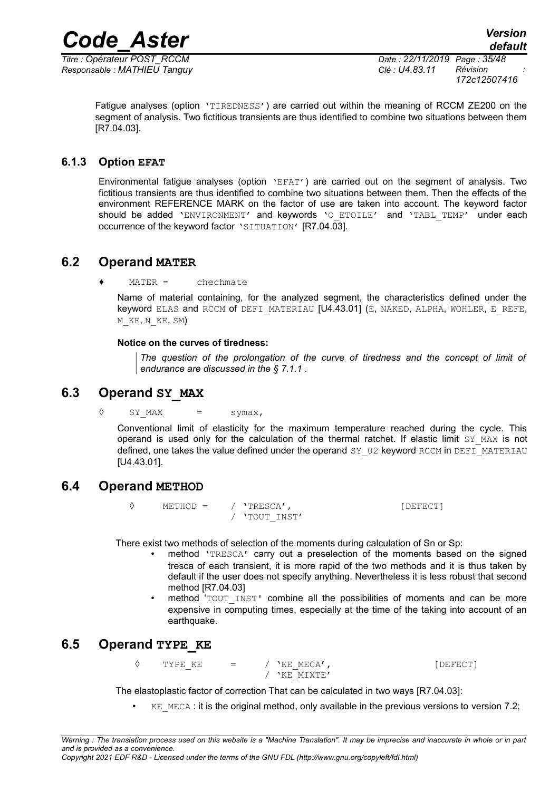*Responsable : MATHIEU Tanguy Clé : U4.83.11 Révision :*

*Titre : Opérateur POST\_RCCM Date : 22/11/2019 Page : 35/48 172c12507416*

Fatigue analyses (option 'TIREDNESS') are carried out within the meaning of RCCM ZE200 on the segment of analysis. Two fictitious transients are thus identified to combine two situations between them [R7.04.03].

## **6.1.3 Option EFAT**

<span id="page-34-4"></span>Environmental fatigue analyses (option 'EFAT') are carried out on the segment of analysis. Two fictitious transients are thus identified to combine two situations between them. Then the effects of the environment REFERENCE MARK on the factor of use are taken into account. The keyword factor should be added 'ENVIRONMENT' and keywords 'O\_ETOILE' and 'TABL\_TEMP' under each occurrence of the keyword factor 'SITUATION' [R7.04.03].

## **6.2 Operand MATER**

<span id="page-34-3"></span> $MATER =$ chechmate

Name of material containing, for the analyzed segment, the characteristics defined under the keyword ELAS and RCCM of DEFI\_MATERIAU [U4.43.01] (E, NAKED, ALPHA, WOHLER, E\_REFE, M\_KE, N\_KE, SM)

### **Notice on the curves of tiredness:**

*The question of the prolongation of the curve of tiredness and the concept of limit of endurance are discussed in the § [7.1.1](#page-41-0) .*

## **6.3 Operand SY\_MAX**

<span id="page-34-2"></span> $\Diamond$  SY\_MAX = symax,

Conventional limit of elasticity for the maximum temperature reached during the cycle. This operand is used only for the calculation of the thermal ratchet. If elastic limit SY MAX is not defined, one takes the value defined under the operand  $SY$  02 keyword RCCM in DEFI\_MATERIAU [U4.43.01].

## **6.4 Operand METHOD**

<span id="page-34-1"></span>◊ METHOD = / 'TRESCA', [DEFECT] / 'TOUT\_INST'

There exist two methods of selection of the moments during calculation of Sn or Sp:

- method 'TRESCA' carry out a preselection of the moments based on the signed tresca of each transient, it is more rapid of the two methods and it is thus taken by default if the user does not specify anything. Nevertheless it is less robust that second method [R7.04.03]
- method 'TOUT\_INST' combine all the possibilities of moments and can be more expensive in computing times, especially at the time of the taking into account of an earthquake.

## <span id="page-34-0"></span>**6.5 Operand TYPE\_KE**

 $\Diamond$  TYPE KE = / 'KE MECA',  $\Box$  [DEFECT] / 'KE\_MIXTE'

The elastoplastic factor of correction That can be calculated in two ways [R7.04.03]:

 $KE$  MECA : it is the original method, only available in the previous versions to version 7.2;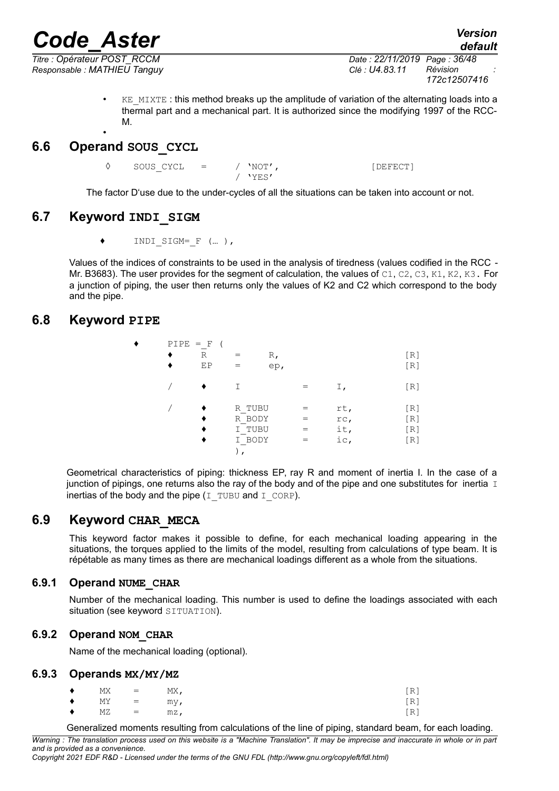*Code\_Aster Version Titre : Opérateur POST\_RCCM Date : 22/11/2019 Page : 36/48*

*Responsable : MATHIEU Tanguy Clé : U4.83.11 Révision :*

*172c12507416*

*default*

 $KE$  MIXTE : this method breaks up the amplitude of variation of the alternating loads into a thermal part and a mechanical part. It is authorized since the modifying 1997 of the RCC-M. •

## <span id="page-35-6"></span>**6.6 Operand SOUS\_CYCL**

◊ SOUS\_CYCL = / 'NOT', [DEFECT]

/ 'YES'

<span id="page-35-5"></span>The factor D'use due to the under-cycles of all the situations can be taken into account or not.

## **6.7 Keyword INDI\_SIGM**

 $\bullet$  INDI SIGM=  $F$  (... ),

Values of the indices of constraints to be used in the analysis of tiredness (values codified in the RCC - Mr. B3683). The user provides for the segment of calculation, the values of  $C1$ ,  $C2$ ,  $C3$ ,  $K1$ ,  $K2$ ,  $K3$ . For a junction of piping, the user then returns only the values of K2 and C2 which correspond to the body and the pipe.

## <span id="page-35-4"></span>**6.8 Keyword PIPE**

| ٠ | $PIPE = F$ |    |        |     |     |     |
|---|------------|----|--------|-----|-----|-----|
|   |            | R  |        | R,  |     | [R] |
|   |            | EP |        | ep, |     | [R] |
|   |            |    | Τ      |     | Ι,  | [R] |
|   |            |    | R TUBU |     | rt, | [R] |
|   |            |    | R BODY |     | rc, | [R] |
|   |            |    | I TUBU |     | it, | [R] |
|   |            |    | I BODY |     | ic, | [R] |
|   |            |    |        |     |     |     |

Geometrical characteristics of piping: thickness EP, ray R and moment of inertia I. In the case of a junction of pipings, one returns also the ray of the body and of the pipe and one substitutes for inertia I inertias of the body and the pipe  $(I_T \text{ TUBU and } I_C \text{ ORP}).$ 

## **6.9 Keyword CHAR\_MECA**

<span id="page-35-3"></span>This keyword factor makes it possible to define, for each mechanical loading appearing in the situations, the torques applied to the limits of the model, resulting from calculations of type beam. It is répétable as many times as there are mechanical loadings different as a whole from the situations.

## **6.9.1 Operand NUME\_CHAR**

<span id="page-35-2"></span>Number of the mechanical loading. This number is used to define the loadings associated with each situation (see keyword SITUATION).

## **6.9.2 Operand NOM\_CHAR**

<span id="page-35-1"></span>Name of the mechanical loading (optional).

### **6.9.3 Operands MX/MY/MZ**

<span id="page-35-0"></span>

| $\bullet$ MX =     | MX,    | [R] |
|--------------------|--------|-----|
| $\bullet$ MY = my, |        | [R] |
| $\bullet$ MZ =     | $mz$ , | [R] |

Generalized moments resulting from calculations of the line of piping, standard beam, for each loading.

*Warning : The translation process used on this website is a "Machine Translation". It may be imprecise and inaccurate in whole or in part and is provided as a convenience.*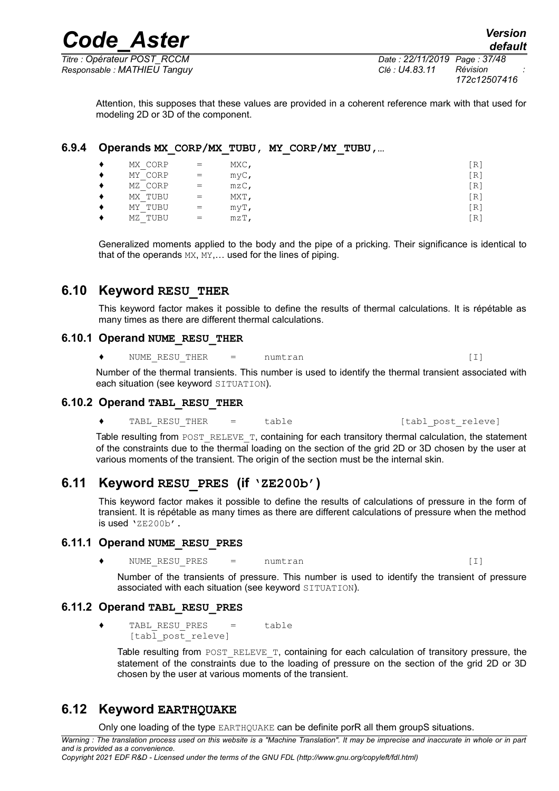*Responsable : MATHIEU Tanguy Clé : U4.83.11 Révision :*

*Titre : Opérateur POST\_RCCM Date : 22/11/2019 Page : 37/48 172c12507416*

Attention, this supposes that these values are provided in a coherent reference mark with that used for modeling 2D or 3D of the component.

### **6.9.4 Operands MX\_CORP/MX\_TUBU, MY\_CORP/MY\_TUBU,…**

<span id="page-36-7"></span>

| MX CORP | $=$ | $MXC$ , | 'R′ |
|---------|-----|---------|-----|
| MY CORP | $=$ | $myC$ , | [R] |
| MZ CORP | $=$ | $mzC$ , | R.  |
| MX TUBU | $=$ | MXT,    | iR. |
| MY TUBU | $=$ | $myT$ , | iR. |
| MZ TUBU | $=$ | $mZT$ , | 'R  |
|         |     |         |     |

Generalized moments applied to the body and the pipe of a pricking. Their significance is identical to that of the operands MX, MY,… used for the lines of piping.

## **6.10 Keyword RESU\_THER**

<span id="page-36-6"></span>This keyword factor makes it possible to define the results of thermal calculations. It is répétable as many times as there are different thermal calculations.

## **6.10.1 Operand NUME\_RESU\_THER**

<span id="page-36-5"></span>◆ NUME\_RESU\_THER = numtran (I)

Number of the thermal transients. This number is used to identify the thermal transient associated with each situation (see keyword SITUATION).

### **6.10.2 Operand TABL\_RESU\_THER**

<span id="page-36-4"></span>◆ TABL RESU THER = table [tabl post releve]

Table resulting from POST\_RELEVE\_T, containing for each transitory thermal calculation, the statement of the constraints due to the thermal loading on the section of the grid 2D or 3D chosen by the user at various moments of the transient. The origin of the section must be the internal skin.

## **6.11 Keyword RESU\_PRES (if 'ZE200b')**

<span id="page-36-3"></span>This keyword factor makes it possible to define the results of calculations of pressure in the form of transient. It is répétable as many times as there are different calculations of pressure when the method is used 'ZE200b'.

### **6.11.1 Operand NUME\_RESU\_PRES**

<span id="page-36-2"></span>NUME RESU PRES = numtran (I)

Number of the transients of pressure. This number is used to identify the transient of pressure associated with each situation (see keyword SITUATION).

### **6.11.2 Operand TABL\_RESU\_PRES**

<span id="page-36-1"></span> $\bullet$  TABL\_RESU\_PRES = table [tabl post releve]

Table resulting from POST\_RELEVE\_T, containing for each calculation of transitory pressure, the statement of the constraints due to the loading of pressure on the section of the grid 2D or 3D chosen by the user at various moments of the transient.

## **6.12 Keyword EARTHQUAKE**

<span id="page-36-0"></span>Only one loading of the type EARTHQUAKE can be definite porR all them groupS situations.

*Warning : The translation process used on this website is a "Machine Translation". It may be imprecise and inaccurate in whole or in part and is provided as a convenience. Copyright 2021 EDF R&D - Licensed under the terms of the GNU FDL (http://www.gnu.org/copyleft/fdl.html)*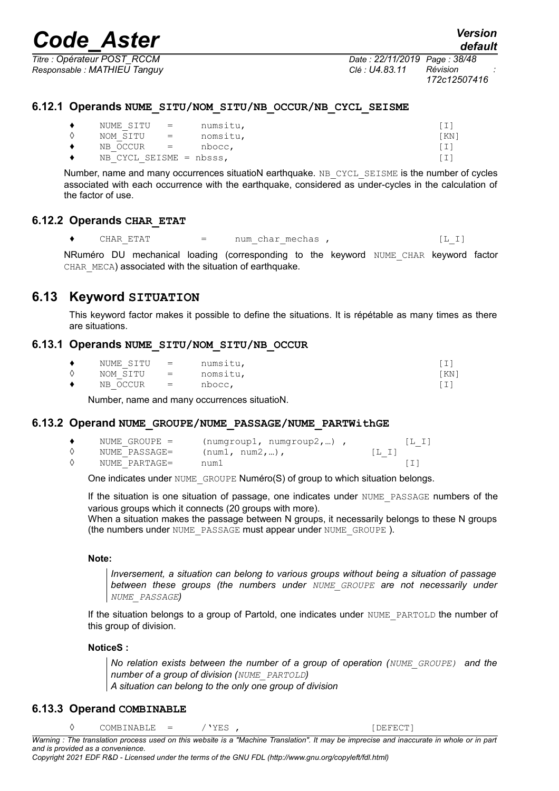*Titre : Opérateur POST\_RCCM Date : 22/11/2019 Page : 38/48 Responsable : MATHIEU Tanguy Clé : U4.83.11 Révision :*

*172c12507416*

#### **6.12.1 Operands NUME\_SITU/NOM\_SITU/NB\_OCCUR/NB\_CYCL\_SEISME**

<span id="page-37-0"></span>

| NUME SITU =             |                                                                   | numsitu, |       |
|-------------------------|-------------------------------------------------------------------|----------|-------|
| NOM SITU                | $\mathcal{L} = \mathcal{L} \mathcal{L} = \mathcal{L} \mathcal{L}$ | nomsitu, | 'KN 1 |
| $NB$ OCCUR $=$          |                                                                   | nbocc,   |       |
| NB CYCL SEISME = nbsss, |                                                                   |          |       |

Number, name and many occurrences situatioN earthquake. NB CYCL SEISME is the number of cycles associated with each occurrence with the earthquake, considered as under-cycles in the calculation of the factor of use.

### **6.12.2 Operands CHAR\_ETAT**

<span id="page-37-5"></span>◆ CHAR\_ETAT = num\_char\_mechas ,  $[L_I]$ 

NRuméro DU mechanical loading (corresponding to the keyword NUME CHAR keyword factor CHAR MECA) associated with the situation of earthquake.

## **6.13 Keyword SITUATION**

<span id="page-37-4"></span>This keyword factor makes it possible to define the situations. It is répétable as many times as there are situations.

### **6.13.1 Operands NUME\_SITU/NOM\_SITU/NB\_OCCUR**

<span id="page-37-3"></span>

| NUME SITU | $\alpha$ and $\alpha$ and $\alpha$ and $\alpha$ | numsitu, | 1 T. |
|-----------|-------------------------------------------------|----------|------|
| NOM SITU  | $\alpha = 1$                                    | nomsitu, | KN ] |
| NB OCCUR  | $\mathbf{r} = \mathbf{r}$                       | nbocc,   |      |

Number, name and many occurrences situatioN.

#### **6.13.2 Operand NUME\_GROUPE/NUME\_PASSAGE/NUME\_PARTWithGE**

<span id="page-37-2"></span>

| NUME GROUPE = | $(numqroup1, numqroup2, )$ , |        |
|---------------|------------------------------|--------|
| NUME PASSAGE= | $(num1, num2,)$ ,            | [L, I] |
| NUME PARTAGE= | num1                         |        |

One indicates under NUME GROUPE Numéro(S) of group to which situation belongs.

If the situation is one situation of passage, one indicates under NUME\_PASSAGE numbers of the various groups which it connects (20 groups with more).

When a situation makes the passage between N groups, it necessarily belongs to these N groups (the numbers under NUME\_PASSAGE must appear under NUME\_GROUPE ).

#### **Note:**

*Inversement, a situation can belong to various groups without being a situation of passage between these groups (the numbers under NUME\_GROUPE are not necessarily under NUME\_PASSAGE)*

If the situation belongs to a group of Partold, one indicates under NUME\_PARTOLD the number of this group of division.

#### **NoticeS :**

*No relation exists between the number of a group of operation (NUME\_GROUPE) and the number of a group of division (NUME\_PARTOLD)*

*A situation can belong to the only one group of division*

### **6.13.3 Operand COMBINABLE**

<span id="page-37-1"></span>◊ COMBINABLE = /'YES , [DEFECT]

*Warning : The translation process used on this website is a "Machine Translation". It may be imprecise and inaccurate in whole or in part and is provided as a convenience. Copyright 2021 EDF R&D - Licensed under the terms of the GNU FDL (http://www.gnu.org/copyleft/fdl.html)*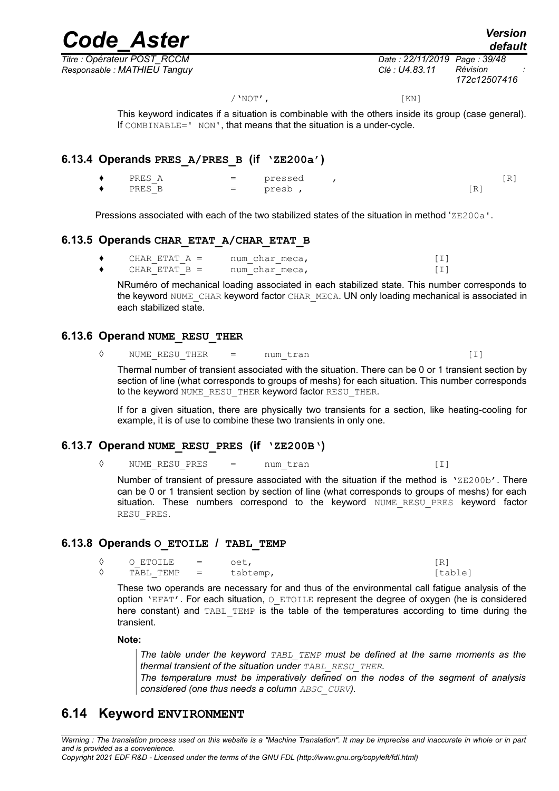*Code\_Aster Version default*

*Titre : Opérateur POST\_RCCM Date : 22/11/2019 Page : 39/48 Responsable : MATHIEU Tanguy Clé : U4.83.11 Révision :*

*172c12507416*

/'NOT', [KN]

This keyword indicates if a situation is combinable with the others inside its group (case general). If COMBINABLE=' NON', that means that the situation is a under-cycle.

### **6.13.4 Operands PRES\_A/PRES\_B (if 'ZE200a')**

<span id="page-38-5"></span>

| $\bullet$ | PRES A | $=$ | pressed |     | $\mathbb{R}$ |
|-----------|--------|-----|---------|-----|--------------|
| $\bullet$ | PRES B | $=$ | presb   | . . |              |

Pressions associated with each of the two stabilized states of the situation in method 'ZE200a'.

### **6.13.5 Operands CHAR\_ETAT\_A/CHAR\_ETAT\_B**

<span id="page-38-4"></span>

| CHAR ETAT A =   | num char meca, |  |
|-----------------|----------------|--|
| CHAR ETAT $B =$ | num char meca, |  |

NRuméro of mechanical loading associated in each stabilized state. This number corresponds to the keyword NUME CHAR keyword factor CHAR MECA. UN only loading mechanical is associated in each stabilized state.

#### **6.13.6 Operand NUME\_RESU\_THER**

<span id="page-38-3"></span>◊ NUME\_RESU\_THER = num\_tran [I]

Thermal number of transient associated with the situation. There can be 0 or 1 transient section by section of line (what corresponds to groups of meshs) for each situation. This number corresponds to the keyword NUME\_RESU\_THER keyword factor RESU\_THER.

If for a given situation, there are physically two transients for a section, like heating-cooling for example, it is of use to combine these two transients in only one.

### **6.13.7 Operand NUME\_RESU\_PRES (if 'ZE200B')**

<span id="page-38-2"></span>◊ NUME\_RESU\_PRES = num\_tran [I]

Number of transient of pressure associated with the situation if the method is  $'ZE200b'$ . There can be 0 or 1 transient section by section of line (what corresponds to groups of meshs) for each situation. These numbers correspond to the keyword NUME RESU PRES keyword factor RESU\_PRES.

### **6.13.8 Operands O\_ETOILE / TABL\_TEMP**

<span id="page-38-1"></span> $\begin{array}{ccc} \Diamond & \bigcirc \text{ ETOILE} & = & \bigcirc \text{et}, \\ \Diamond & \text{ TART. TEMP} & = & \text{ tabtemp}. \end{array}$  [R] TABL TEMP = tabtemp, [table]

These two operands are necessary for and thus of the environmental call fatigue analysis of the option 'EFAT'. For each situation,  $\circ$  ETOILE represent the degree of oxygen (he is considered here constant) and TABL TEMP is the table of the temperatures according to time during the transient.

#### **Note:**

*The table under the keyword TABL\_TEMP must be defined at the same moments as the thermal transient of the situation under TABL\_RESU\_THER.*

*The temperature must be imperatively defined on the nodes of the segment of analysis considered (one thus needs a column ABSC\_CURV).*

## <span id="page-38-0"></span>**6.14 Keyword ENVIRONMENT**

*Warning : The translation process used on this website is a "Machine Translation". It may be imprecise and inaccurate in whole or in part and is provided as a convenience.*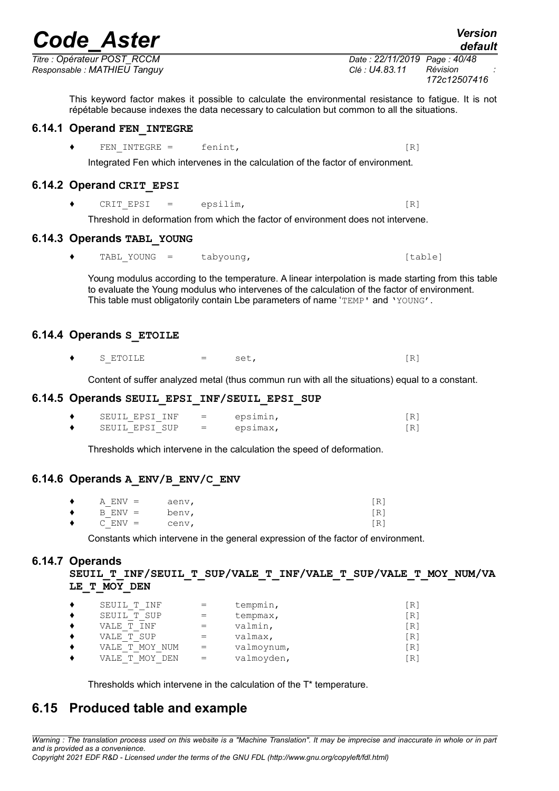*Titre : Opérateur POST\_RCCM Date : 22/11/2019 Page : 40/48 Responsable : MATHIEU Tanguy Clé : U4.83.11 Révision :*

This keyword factor makes it possible to calculate the environmental resistance to fatigue. It is not répétable because indexes the data necessary to calculation but common to all the situations.

## **6.14.1 Operand FEN\_INTEGRE**

<span id="page-39-7"></span>◆ FEN\_INTEGRE = fenint, [R]

Integrated Fen which intervenes in the calculation of the factor of environment.

## **6.14.2 Operand CRIT\_EPSI**

<span id="page-39-6"></span> $\bullet$  CRIT\_EPSI = epsilim,  $[R]$ 

Threshold in deformation from which the factor of environment does not intervene.

## **6.14.3 Operands TABL\_YOUNG**

<span id="page-39-5"></span>♦ TABL\_YOUNG = tabyoung, [table]

Young modulus according to the temperature. A linear interpolation is made starting from this table to evaluate the Young modulus who intervenes of the calculation of the factor of environment. This table must obligatorily contain Lbe parameters of name 'TEMP' and 'YOUNG'.

## **6.14.4 Operands S\_ETOILE**

<span id="page-39-4"></span> $\bullet$  S ETOILE  $=$  set,  $[R]$ 

Content of suffer analyzed metal (thus commun run with all the situations) equal to a constant.

## **6.14.5 Operands SEUIL\_EPSI\_INF/SEUIL\_EPSI\_SUP**

<span id="page-39-3"></span>

| SEUIL EPSI INF | $\mathbf{r} = \mathbf{r}$ | epsimin, |  |
|----------------|---------------------------|----------|--|
| SEUIL EPSI SUP | $\equiv$                  | epsimax, |  |

Thresholds which intervene in the calculation the speed of deformation.

## **6.14.6 Operands A\_ENV/B\_ENV/C\_ENV**

<span id="page-39-2"></span>

| $\bullet$ | $A$ ENV $=$ | aenv, | [R] |
|-----------|-------------|-------|-----|
| $\bullet$ | $B$ $ENV =$ | benv, | [R] |
| $\bullet$ | $C$ ENV $=$ | cenv, | [R] |

Constants which intervene in the general expression of the factor of environment.

## **6.14.7 Operands**

<span id="page-39-1"></span>SEUIL T INF/SEUIL T SUP/VALE T INF/VALE T SUP/VALE T MOY NUM/VA **LE\_T\_MOY\_DEN**

| SEUIL T INF                     |     | tempmin,   | [R]               |
|---------------------------------|-----|------------|-------------------|
| SEUIL T SUP                     |     | tempmax,   | [R]               |
| INF<br>T<br>VALE                |     | valmin,    | [R]               |
| VALE T SUP                      |     | valmax,    | $\lceil R \rceil$ |
| MOY<br>NUM<br>VALE<br>T         | $=$ | valmoynum, | [R]               |
| <b>MOY</b><br>DEN<br>T<br>VALE. | $=$ | valmoyden, | [R]               |

<span id="page-39-0"></span>Thresholds which intervene in the calculation of the T\* temperature.

## **6.15 Produced table and example**

*Warning : The translation process used on this website is a "Machine Translation". It may be imprecise and inaccurate in whole or in part and is provided as a convenience.*

*Copyright 2021 EDF R&D - Licensed under the terms of the GNU FDL (http://www.gnu.org/copyleft/fdl.html)*

*default*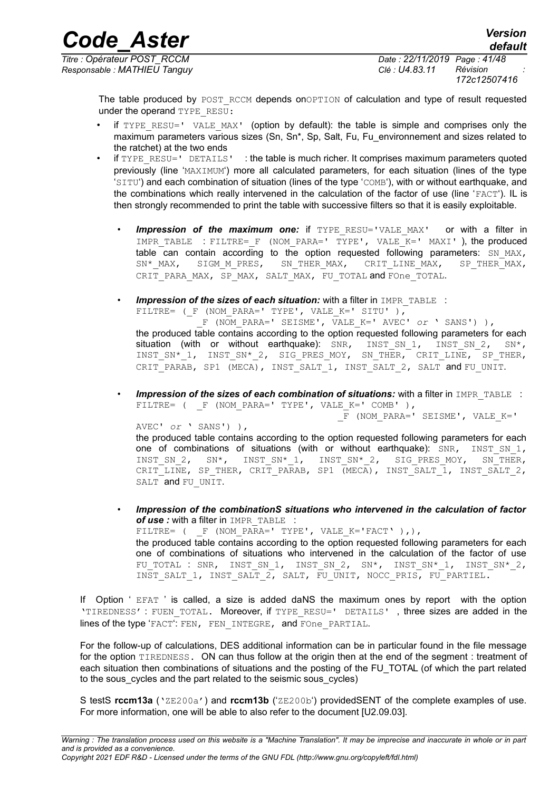*Titre : Opérateur POST\_RCCM Date : 22/11/2019 Page : 41/48 Responsable : MATHIEU Tanguy Clé : U4.83.11 Révision :*

*172c12507416*

The table produced by POST\_RCCM depends onOPTION of calculation and type of result requested under the operand TYPE\_RESU:

- if TYPE RESU=' VALE MAX' (option by default): the table is simple and comprises only the maximum parameters various sizes (Sn, Sn\*, Sp, Salt, Fu, Fu\_environnement and sizes related to the ratchet) at the two ends
- if TYPE RESU=' DETAILS' : the table is much richer. It comprises maximum parameters quoted previously (line 'MAXIMUM') more all calculated parameters, for each situation (lines of the type 'SITU') and each combination of situation (lines of the type 'COMB'), with or without earthquake, and the combinations which really intervened in the calculation of the factor of use (line 'FACT'). IL is then strongly recommended to print the table with successive filters so that it is easily exploitable.
	- **Impression of the maximum one:** if TYPE RESU='VALE MAX' or with a filter in IMPR TABLE : FILTRE= F (NOM PARA=' TYPE', VALE  $K='$  MAXI' ), the produced table can contain according to the option requested following parameters:  $SN$  MAX, SN\* MAX, SIGM\_M\_PRES, SN\_THER\_MAX, CRIT\_LINE\_MAX, SP\_THER\_MAX, CRIT\_PARA\_MAX, SP\_MAX, SALT\_MAX, FU\_TOTAL and FOne\_TOTAL.
	- **Impression of the sizes of each situation:** with a filter in IMPR TABLE : FILTRE= (  $F$  (NOM PARA=' TYPE', VALE K=' SITU' ), \_F (NOM\_PARA=' SEISME', VALE\_K=' AVEC' *or* ' SANS') ), the produced table contains according to the option requested following parameters for each situation (with or without earthquake): SNR, INST SN 1, INST SN 2, SN\*, INST SN\* 1, INST SN\* 2, SIG PRES MOY, SN\_THER, CRIT\_LINE, SP\_THER, CRIT PARAB, SP1 (MECA), INST SALT 1, INST SALT 2, SALT and FU UNIT.
	- **Impression of the sizes of each combination of situations:** with a filter in IMPR TABLE : FILTRE= ( F (NOM PARA=' TYPE', VALE K=' COMB' ),  $\overline{F}$  (NOM PARA=' SEISME', VALE K=' AVEC' *or* ' SANS') ),

the produced table contains according to the option requested following parameters for each one of combinations of situations (with or without earthquake): SNR, INST\_SN\_1, INST\_SN\_2, SN\*, INST\_SN\*\_1, INST\_SN\*\_2, SIG\_PRES\_MOY, SN\_THER, CRIT LINE, SP\_THER, CRIT\_PARAB, SP1 (MECA), INST\_SALT\_1, INST\_SALT\_2, SALT and FU UNIT.

• *Impression of the combinationS situations who intervened in the calculation of factor* of use : with a filter in IMPR TABLE : FILTRE= (  $F$  (NOM PARA=' TYPE', VALE K='FACT' ),), the produced table contains according to the option requested following parameters for each one of combinations of situations who intervened in the calculation of the factor of use FU\_TOTAL : SNR,  $INT\_SN\_1$ ,  $INT\_SN\_2$ ,  $SN^*$ ,  $INT\_SN^*\_1$ ,  $INT\_SN^*\_2$ , INST\_SALT\_1, INST\_SALT\_2, SALT, FU\_UNIT, NOCC\_PRIS, FU\_PARTIEL.

If Option ' EFAT ' is called, a size is added daNS the maximum ones by report with the option 'TIREDNESS' : FUEN TOTAL. Moreover, if TYPE RESU=' DETAILS', three sizes are added in the lines of the type 'FACT': FEN, FEN INTEGRE, and FOne PARTIAL.

For the follow-up of calculations, DES additional information can be in particular found in the file message for the option TIREDNESS. ON can thus follow at the origin then at the end of the segment : treatment of each situation then combinations of situations and the posting of the FU\_TOTAL (of which the part related to the sous\_cycles and the part related to the seismic sous\_cycles)

S testS **rccm13a** ('ZE200a') and **rccm13b** ('ZE200b') providedSENT of the complete examples of use. For more information, one will be able to also refer to the document [U2.09.03].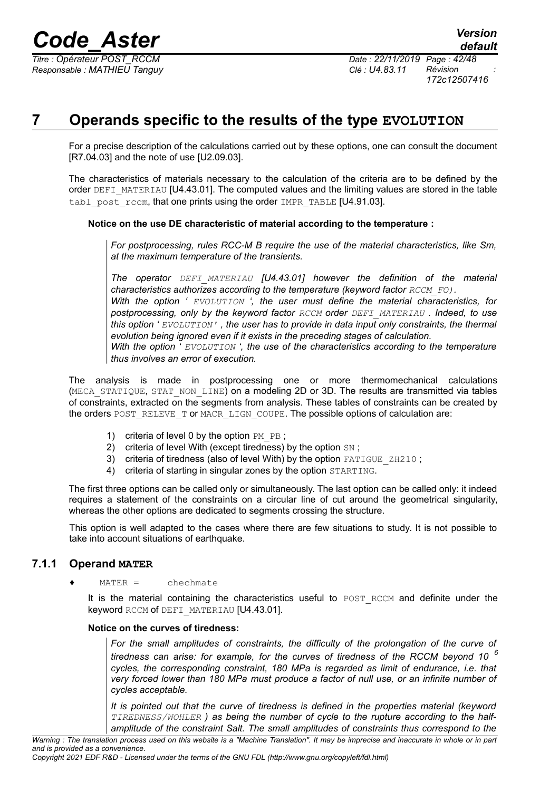

*Responsable : MATHIEU Tanguy Clé : U4.83.11 Révision :*

*Titre : Opérateur POST\_RCCM Date : 22/11/2019 Page : 42/48 172c12507416*

## **7 Operands specific to the results of the type EVOLUTION**

<span id="page-41-1"></span>For a precise description of the calculations carried out by these options, one can consult the document [R7.04.03] and the note of use [U2.09.03].

The characteristics of materials necessary to the calculation of the criteria are to be defined by the order DEFI\_MATERIAU [U4.43.01]. The computed values and the limiting values are stored in the table tabl\_post\_rccm, that one prints using the order IMPR\_TABLE  $[U4.91.03]$ .

#### **Notice on the use DE characteristic of material according to the temperature :**

*For postprocessing, rules RCC-M B require the use of the material characteristics, like Sm, at the maximum temperature of the transients.* 

*The operator DEFI\_MATERIAU [U4.43.01] however the definition of the material characteristics authorizes according to the temperature (keyword factor RCCM\_FO)*. *With the option ' EVOLUTION ', the user must define the material characteristics, for postprocessing, only by the keyword factor RCCM order DEFI\_MATERIAU . Indeed, to use this option ' EVOLUTION' , the user has to provide in data input only constraints, the thermal evolution being ignored even if it exists in the preceding stages of calculation. With the option ' EVOLUTION ', the use of the characteristics according to the temperature thus involves an error of execution.*

The analysis is made in postprocessing one or more thermomechanical calculations (MECA\_STATIQUE, STAT\_NON\_LINE) on a modeling 2D or 3D. The results are transmitted via tables of constraints, extracted on the segments from analysis. These tables of constraints can be created by the orders POST\_RELEVE\_T or MACR\_LIGN\_COUPE. The possible options of calculation are:

- 1) criteria of level 0 by the option  $PM$   $PB$ ;
- 2) criteria of level With (except tiredness) by the option SN;
- 3) criteria of tiredness (also of level With) by the option FATIGUE ZH210 :
- 4) criteria of starting in singular zones by the option STARTING.

The first three options can be called only or simultaneously. The last option can be called only: it indeed requires a statement of the constraints on a circular line of cut around the geometrical singularity, whereas the other options are dedicated to segments crossing the structure.

This option is well adapted to the cases where there are few situations to study. It is not possible to take into account situations of earthquake.

#### **7.1.1 Operand MATER**

<span id="page-41-0"></span> $MATER =$ chechmate

It is the material containing the characteristics useful to POST RCCM and definite under the keyword RCCM of DEFI\_MATERIAU [U4.43.01].

#### **Notice on the curves of tiredness:**

*For the small amplitudes of constraints, the difficulty of the prolongation of the curve of tiredness can arise: for example, for the curves of tiredness of the RCCM beyond 10 <sup>6</sup> cycles, the corresponding constraint, 180 MPa is regarded as limit of endurance, i.e. that very forced lower than 180 MPa must produce a factor of null use, or an infinite number of cycles acceptable.* 

*It is pointed out that the curve of tiredness is defined in the properties material (keyword TIREDNESS/WOHLER ) as being the number of cycle to the rupture according to the halfamplitude of the constraint Salt. The small amplitudes of constraints thus correspond to the*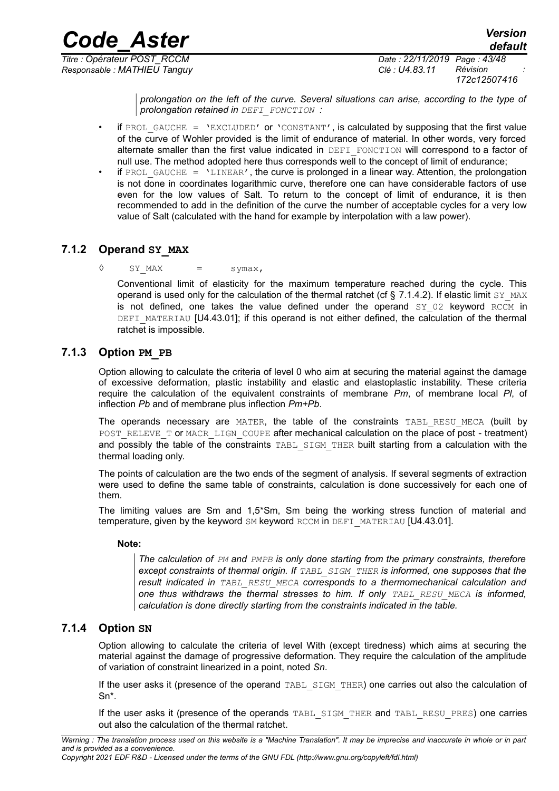*Responsable : MATHIEU Tanguy Clé : U4.83.11 Révision :*

*Titre : Opérateur POST\_RCCM Date : 22/11/2019 Page : 43/48 172c12507416*

*default*

*prolongation on the left of the curve. Several situations can arise, according to the type of prolongation retained in DEFI\_FONCTION :* 

- if PROL GAUCHE = 'EXCLUDED' or 'CONSTANT', is calculated by supposing that the first value of the curve of Wohler provided is the limit of endurance of material. In other words, very forced alternate smaller than the first value indicated in DEFI\_FONCTION will correspond to a factor of null use. The method adopted here thus corresponds well to the concept of limit of endurance:
- if PROL GAUCHE =  $'$ LINEAR', the curve is prolonged in a linear way. Attention, the prolongation is not done in coordinates logarithmic curve, therefore one can have considerable factors of use even for the low values of Salt. To return to the concept of limit of endurance, it is then recommended to add in the definition of the curve the number of acceptable cycles for a very low value of Salt (calculated with the hand for example by interpolation with a law power).

## **7.1.2 Operand SY\_MAX**

<span id="page-42-2"></span> $\Diamond$  SY\_MAX = symax,

Conventional limit of elasticity for the maximum temperature reached during the cycle. This operand is used only for the calculation of the thermal ratchet (cf  $\S$  [7.1.4.2\)](#page-43-1). If elastic limit  $SY$  MAX is not defined, one takes the value defined under the operand  $SY$  02 keyword RCCM in DEFI\_MATERIAU [U4.43.01]; if this operand is not either defined, the calculation of the thermal ratchet is impossible.

## **7.1.3 Option PM\_PB**

<span id="page-42-1"></span>Option allowing to calculate the criteria of level 0 who aim at securing the material against the damage of excessive deformation, plastic instability and elastic and elastoplastic instability. These criteria require the calculation of the equivalent constraints of membrane *Pm*, of membrane local *Pl*, of inflection *Pb* and of membrane plus inflection *Pm+Pb*.

The operands necessary are MATER, the table of the constraints TABL RESU MECA (built by POST\_RELEVE\_T Or MACR\_LIGN\_COUPE after mechanical calculation on the place of post - treatment) and possibly the table of the constraints TABL SIGM THER built starting from a calculation with the thermal loading only.

The points of calculation are the two ends of the segment of analysis. If several segments of extraction were used to define the same table of constraints, calculation is done successively for each one of them.

The limiting values are Sm and 1,5\*Sm, Sm being the working stress function of material and temperature, given by the keyword SM keyword RCCM in DEFI\_MATERIAU [U4.43.01].

#### **Note:**

*The calculation of PM and PMPB is only done starting from the primary constraints, therefore except constraints of thermal origin. If TABL\_SIGM\_THER is informed, one supposes that the result indicated in TABL\_RESU\_MECA corresponds to a thermomechanical calculation and one thus withdraws the thermal stresses to him. If only TABL\_RESU\_MECA is informed, calculation is done directly starting from the constraints indicated in the table.*

## **7.1.4 Option SN**

<span id="page-42-0"></span>Option allowing to calculate the criteria of level With (except tiredness) which aims at securing the material against the damage of progressive deformation. They require the calculation of the amplitude of variation of constraint linearized in a point, noted *Sn*.

If the user asks it (presence of the operand TABL SIGM THER) one carries out also the calculation of Sn\*.

If the user asks it (presence of the operands TABL\_SIGM\_THER and TABL\_RESU\_PRES) one carries out also the calculation of the thermal ratchet.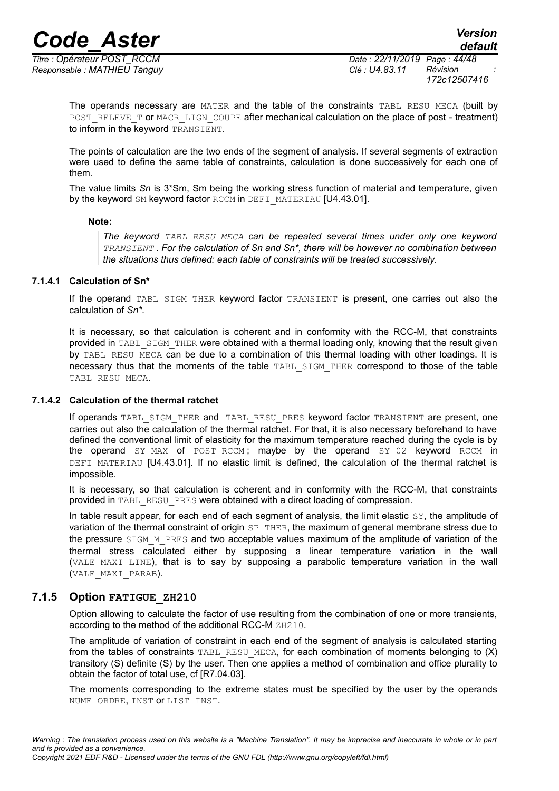*Responsable : MATHIEU Tanguy Clé : U4.83.11 Révision :*

*Titre : Opérateur POST\_RCCM Date : 22/11/2019 Page : 44/48 172c12507416*

The operands necessary are MATER and the table of the constraints TABL RESU MECA (built by POST\_RELEVE\_T OF MACR\_LIGN\_COUPE after mechanical calculation on the place of post - treatment) to inform in the keyword TRANSIENT.

The points of calculation are the two ends of the segment of analysis. If several segments of extraction were used to define the same table of constraints, calculation is done successively for each one of them.

The value limits *Sn* is 3\*Sm, Sm being the working stress function of material and temperature, given by the keyword SM keyword factor RCCM in DEFI\_MATERIAU [U4.43.01].

#### **Note:**

*The keyword TABL\_RESU\_MECA can be repeated several times under only one keyword TRANSIENT . For the calculation of Sn and Sn\*, there will be however no combination between the situations thus defined: each table of constraints will be treated successively.*

#### **7.1.4.1 Calculation of Sn\***

<span id="page-43-2"></span>If the operand TABL SIGM THER keyword factor TRANSIENT is present, one carries out also the calculation of *Sn\**.

It is necessary, so that calculation is coherent and in conformity with the RCC-M, that constraints provided in TABL SIGM THER were obtained with a thermal loading only, knowing that the result given by TABL RESU MECA can be due to a combination of this thermal loading with other loadings. It is necessary thus that the moments of the table TABL\_SIGM\_THER correspond to those of the table TABL\_RESU\_MECA.

#### **7.1.4.2 Calculation of the thermal ratchet**

<span id="page-43-1"></span>If operands TABL\_SIGM\_THER and TABL\_RESU\_PRES keyword factor TRANSIENT are present, one carries out also the calculation of the thermal ratchet. For that, it is also necessary beforehand to have defined the conventional limit of elasticity for the maximum temperature reached during the cycle is by the operand SY\_MAX of POST\_RCCM; maybe by the operand SY\_02 keyword RCCM in DEFI\_MATERIAU [U4.43.01]. If no elastic limit is defined, the calculation of the thermal ratchet is impossible.

It is necessary, so that calculation is coherent and in conformity with the RCC-M, that constraints provided in TABL\_RESU\_PRES were obtained with a direct loading of compression.

In table result appear, for each end of each segment of analysis, the limit elastic SY, the amplitude of variation of the thermal constraint of origin SP\_THER, the maximum of general membrane stress due to the pressure SIGM M PRES and two acceptable values maximum of the amplitude of variation of the thermal stress calculated either by supposing a linear temperature variation in the wall (VALE MAXI LINE), that is to say by supposing a parabolic temperature variation in the wall (VALE\_MAXI\_PARAB).

### **7.1.5 Option FATIGUE\_ZH210**

<span id="page-43-0"></span>Option allowing to calculate the factor of use resulting from the combination of one or more transients, according to the method of the additional RCC-M ZH210.

The amplitude of variation of constraint in each end of the segment of analysis is calculated starting from the tables of constraints TABL\_RESU\_MECA, for each combination of moments belonging to  $(X)$ transitory (S) definite (S) by the user. Then one applies a method of combination and office plurality to obtain the factor of total use, cf [R7.04.03].

The moments corresponding to the extreme states must be specified by the user by the operands NUME ORDRE, INST OF LIST INST.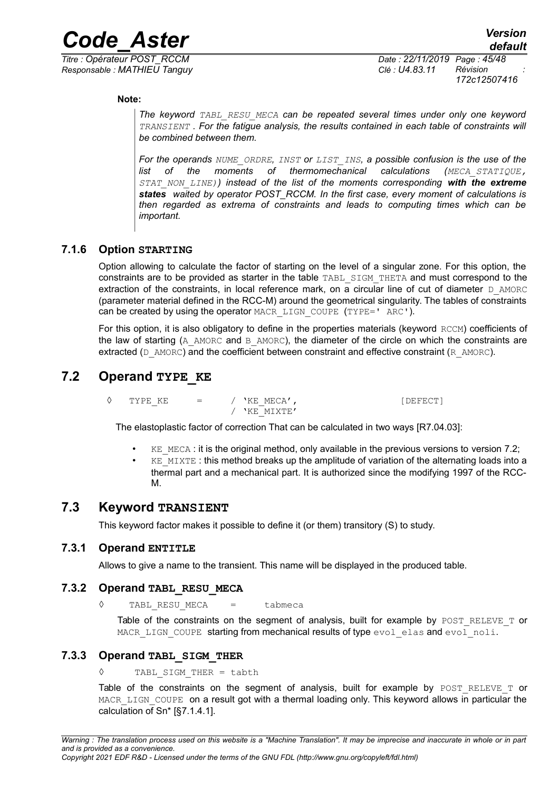*Responsable : MATHIEU Tanguy Clé : U4.83.11 Révision :*

*Titre : Opérateur POST\_RCCM Date : 22/11/2019 Page : 45/48 172c12507416*

**Note:**

*The keyword TABL\_RESU\_MECA can be repeated several times under only one keyword TRANSIENT . For the fatigue analysis, the results contained in each table of constraints will be combined between them.*

*For the operands NUME\_ORDRE, INST or LIST\_INS, a possible confusion is the use of the list of the moments of thermomechanical calculations (MECA\_STATIQUE, STAT\_NON\_LINE)) instead of the list of the moments corresponding with the extreme states waited by operator POST\_RCCM. In the first case, every moment of calculations is then regarded as extrema of constraints and leads to computing times which can be important.* 

## **7.1.6 Option STARTING**

<span id="page-44-5"></span>Option allowing to calculate the factor of starting on the level of a singular zone. For this option, the constraints are to be provided as starter in the table TABL\_SIGM\_THETA and must correspond to the extraction of the constraints, in local reference mark, on a circular line of cut of diameter D\_AMORC (parameter material defined in the RCC-M) around the geometrical singularity. The tables of constraints can be created by using the operator MACR\_LIGN\_COUPE (TYPE='  $ARC'$ ).

For this option, it is also obligatory to define in the properties materials (keyword RCCM) coefficients of the law of starting (A\_AMORC and B\_AMORC), the diameter of the circle on which the constraints are extracted ( $D$  AMORC) and the coefficient between constraint and effective constraint ( $R$  AMORC).

## **7.2 Operand TYPE\_KE**

<span id="page-44-4"></span> $\Diamond$  TYPE KE = / 'KE MECA',  $[DEFECT]$  $/$  'KE\_MIXTE'

The elastoplastic factor of correction That can be calculated in two ways [R7.04.03]:

- $KE$  MECA : it is the original method, only available in the previous versions to version 7.2;
- $KE$  MIXTE : this method breaks up the amplitude of variation of the alternating loads into a thermal part and a mechanical part. It is authorized since the modifying 1997 of the RCC-M.

## **7.3 Keyword TRANSIENT**

<span id="page-44-3"></span>This keyword factor makes it possible to define it (or them) transitory (S) to study.

### **7.3.1 Operand ENTITLE**

<span id="page-44-2"></span>Allows to give a name to the transient. This name will be displayed in the produced table.

### **7.3.2 Operand TABL\_RESU\_MECA**

<span id="page-44-1"></span>◊ TABL\_RESU\_MECA = tabmeca

Table of the constraints on the segment of analysis, built for example by POST\_RELEVE\_T or MACR LIGN COUPE starting from mechanical results of type evol elas and evol noli.

### **7.3.3 Operand TABL\_SIGM\_THER**

<span id="page-44-0"></span>◊ TABL\_SIGM\_THER = tabth

Table of the constraints on the segment of analysis, built for example by  $POST$  RELEVE T or MACR\_LIGN\_COUPE on a result got with a thermal loading only. This keyword allows in particular the calculation of Sn\* [[§7.1.4.1\]](#page-43-2).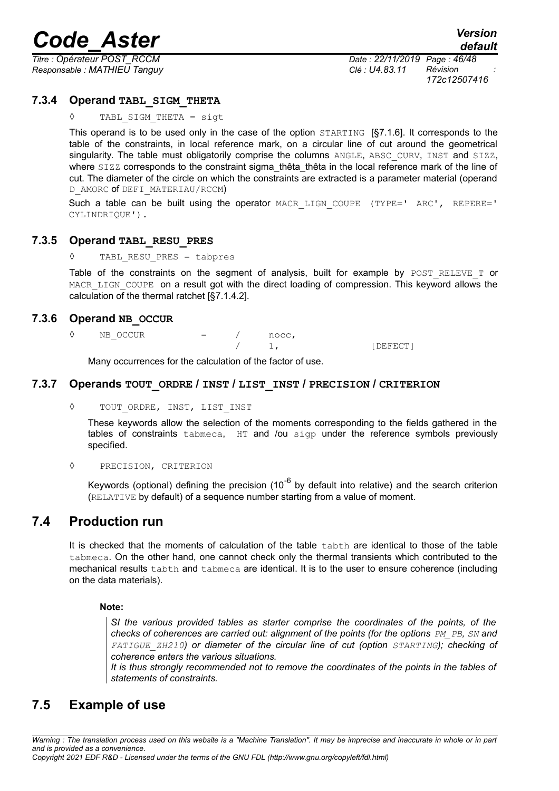*Responsable : MATHIEU Tanguy Clé : U4.83.11 Révision :*

*Titre : Opérateur POST\_RCCM Date : 22/11/2019 Page : 46/48 172c12507416*

#### **7.3.4 Operand TABL\_SIGM\_THETA**

<span id="page-45-5"></span>TABL SIGM THETA = sigt

This operand is to be used only in the case of the option STARTING [[§7.1.6\]](#page-44-5). It corresponds to the table of the constraints, in local reference mark, on a circular line of cut around the geometrical singularity. The table must obligatorily comprise the columns ANGLE, ABSC CURV, INST and SIZZ, where SIZZ corresponds to the constraint sigma\_thêta\_thêta in the local reference mark of the line of cut. The diameter of the circle on which the constraints are extracted is a parameter material (operand D\_AMORC of DEFI\_MATERIAU/RCCM)

Such a table can be built using the operator MACR LIGN COUPE (TYPE=' ARC', REPERE=' CYLINDRIQUE').

#### **7.3.5 Operand TABL\_RESU\_PRES**

<span id="page-45-4"></span>◊ TABL\_RESU\_PRES = tabpres

Table of the constraints on the segment of analysis, built for example by POST RELEVE T or MACR\_LIGN\_COUPE on a result got with the direct loading of compression. This keyword allows the calculation of the thermal ratchet [[§7.1.4.2\]](#page-43-1).

#### **7.3.6 Operand NB\_OCCUR**

<span id="page-45-3"></span> $\Diamond$  NB OCCUR = / nocc, 1, [DEFECT]

Many occurrences for the calculation of the factor of use.

#### **7.3.7 Operands TOUT\_ORDRE / INST / LIST\_INST / PRECISION / CRITERION**

<span id="page-45-2"></span>◊ TOUT\_ORDRE, INST, LIST\_INST

These keywords allow the selection of the moments corresponding to the fields gathered in the tables of constraints tabmeca, HT and /ou sigp under the reference symbols previously specified.

#### ◊ PRECISION, CRITERION

Keywords (optional) defining the precision  $(10^{-6}$  by default into relative) and the search criterion (RELATIVE by default) of a sequence number starting from a value of moment.

## **7.4 Production run**

<span id="page-45-1"></span>It is checked that the moments of calculation of the table tabth are identical to those of the table tabmeca. On the other hand, one cannot check only the thermal transients which contributed to the mechanical results tabth and tabmeca are identical. It is to the user to ensure coherence (including on the data materials).

#### **Note:**

*SI the various provided tables as starter comprise the coordinates of the points, of the checks of coherences are carried out: alignment of the points (for the options PM PB, SN and FATIGUE\_ZH210) or diameter of the circular line of cut (option STARTING); checking of coherence enters the various situations.*

*It is thus strongly recommended not to remove the coordinates of the points in the tables of statements of constraints.*

## <span id="page-45-0"></span>**7.5 Example of use**

*Warning : The translation process used on this website is a "Machine Translation". It may be imprecise and inaccurate in whole or in part and is provided as a convenience.*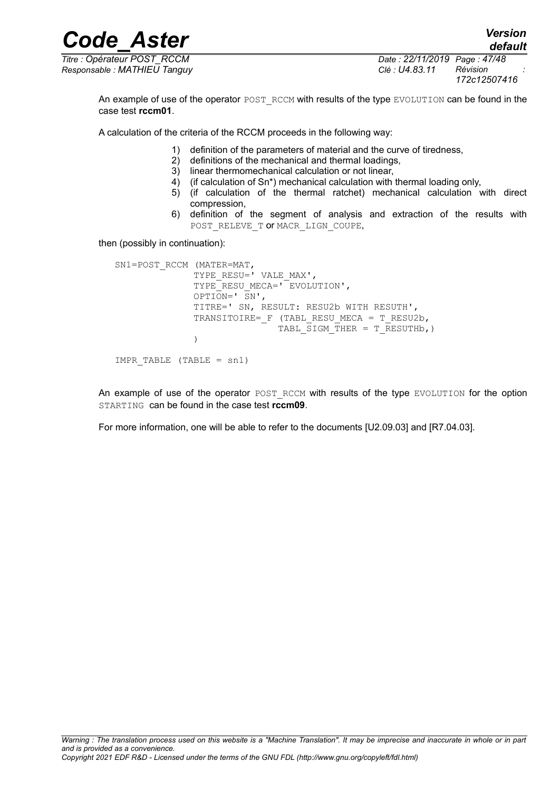*Code\_Aster Version Titre : Opérateur POST\_RCCM Date : 22/11/2019 Page : 47/48*

*Responsable : MATHIEU Tanguy Clé : U4.83.11 Révision :*

*172c12507416*

*default*

An example of use of the operator POST\_RCCM with results of the type EVOLUTION can be found in the case test **rccm01**.

A calculation of the criteria of the RCCM proceeds in the following way:

- 1) definition of the parameters of material and the curve of tiredness,
- 2) definitions of the mechanical and thermal loadings,
- 3) linear thermomechanical calculation or not linear,
- 4) (if calculation of Sn\*) mechanical calculation with thermal loading only,
- 5) (if calculation of the thermal ratchet) mechanical calculation with direct compression,
- 6) definition of the segment of analysis and extraction of the results with POST\_RELEVE\_T OF MACR\_LIGN\_COUPE,

then (possibly in continuation):

```
SN1=POST RCCM (MATER=MAT,
              TYPE_RESU=' VALE_MAX',
              TYPE<sup>RESUMECA=' EVOLUTION',</sup>
               OPTION=' SN',
               TITRE=' SN, RESULT: RESU2b WITH RESUTH',
              TRANSITOIRE= F (TABL RESU MECA = T RESU2b,
                             TABL SIGM THER = T RESUTHb, )
)IMPR TABLE (TABLE = sn1)
```
An example of use of the operator POST\_RCCM with results of the type EVOLUTION for the option STARTING can be found in the case test **rccm09**.

For more information, one will be able to refer to the documents [U2.09.03] and [R7.04.03].